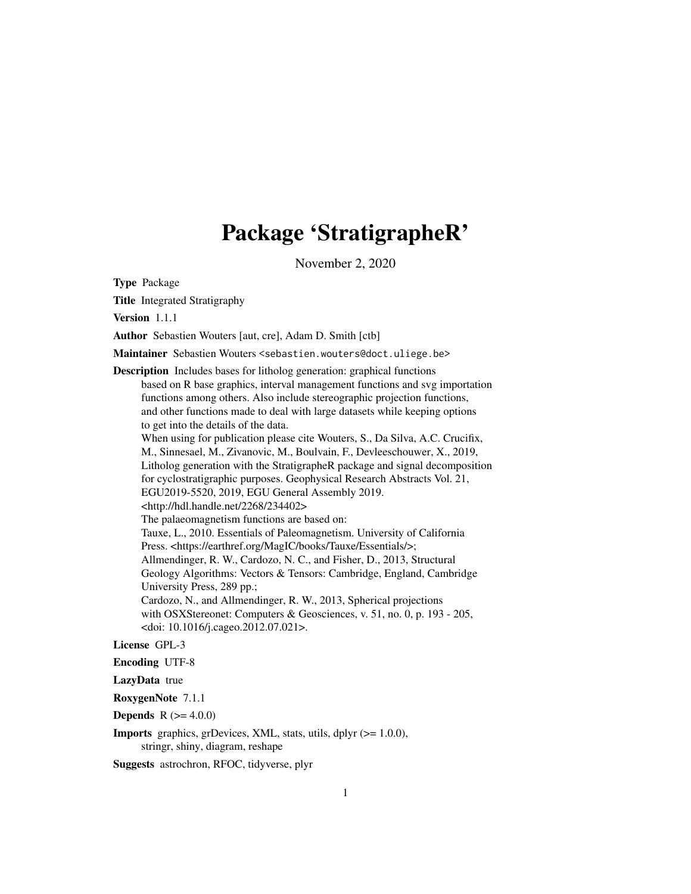# Package 'StratigrapheR'

November 2, 2020

Type Package

Title Integrated Stratigraphy

Version 1.1.1

Author Sebastien Wouters [aut, cre], Adam D. Smith [ctb]

Maintainer Sebastien Wouters <sebastien.wouters@doct.uliege.be>

Description Includes bases for litholog generation: graphical functions based on R base graphics, interval management functions and svg importation functions among others. Also include stereographic projection functions, and other functions made to deal with large datasets while keeping options to get into the details of the data. When using for publication please cite Wouters, S., Da Silva, A.C. Crucifix, M., Sinnesael, M., Zivanovic, M., Boulvain, F., Devleeschouwer, X., 2019, Litholog generation with the StratigrapheR package and signal decomposition for cyclostratigraphic purposes. Geophysical Research Abstracts Vol. 21, EGU2019-5520, 2019, EGU General Assembly 2019. <http://hdl.handle.net/2268/234402> The palaeomagnetism functions are based on: Tauxe, L., 2010. Essentials of Paleomagnetism. University of California Press. <https://earthref.org/MagIC/books/Tauxe/Essentials/>; Allmendinger, R. W., Cardozo, N. C., and Fisher, D., 2013, Structural Geology Algorithms: Vectors & Tensors: Cambridge, England, Cambridge University Press, 289 pp.; Cardozo, N., and Allmendinger, R. W., 2013, Spherical projections with OSXStereonet: Computers & Geosciences, v. 51, no. 0, p. 193 - 205, <doi: 10.1016/j.cageo.2012.07.021>.

### License GPL-3

Encoding UTF-8

#### LazyData true

RoxygenNote 7.1.1

**Depends** R  $(>= 4.0.0)$ 

**Imports** graphics, grDevices, XML, stats, utils, dplyr  $(>= 1.0.0)$ , stringr, shiny, diagram, reshape

Suggests astrochron, RFOC, tidyverse, plyr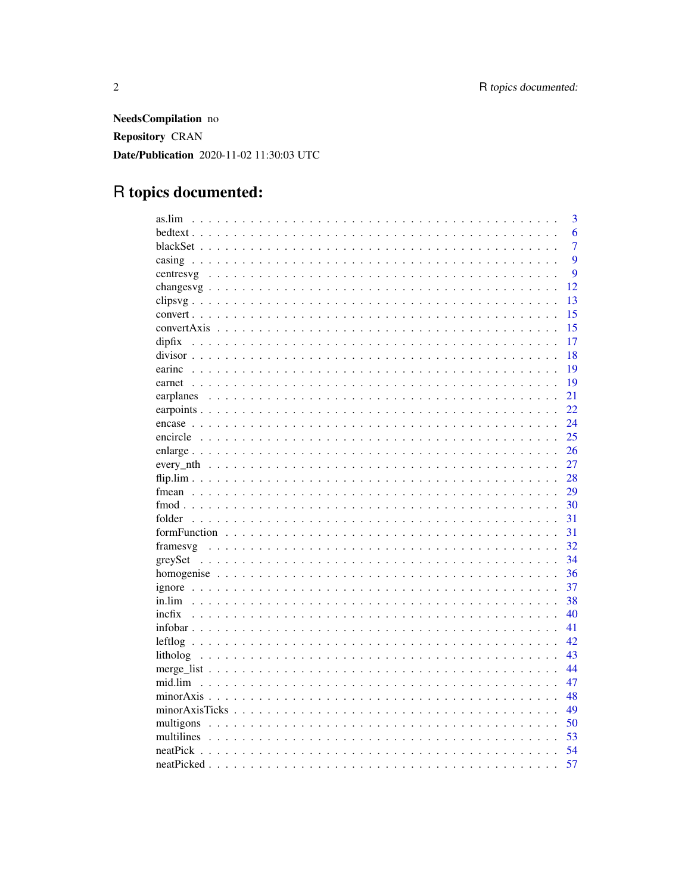NeedsCompilation no Repository CRAN Date/Publication 2020-11-02 11:30:03 UTC

# R topics documented:

| as.lim     | $\overline{3}$   |
|------------|------------------|
|            | 6                |
|            | $\overline{7}$   |
|            | $\overline{9}$   |
|            | $\boldsymbol{Q}$ |
|            | 12               |
|            | 13               |
|            | 15               |
|            | 15               |
|            | 17               |
|            | 18               |
|            | 19               |
|            | 19               |
|            | 21               |
|            | 22               |
|            | 24               |
|            | 25               |
|            | 26               |
|            | 27               |
|            | 28               |
|            | 29               |
|            | 30               |
|            | 31               |
|            | 31               |
|            | 32               |
|            | 34               |
|            | 36               |
|            | 37               |
|            | 38               |
| incfix     | 40               |
|            | 41               |
|            | 42               |
|            | 43               |
|            | 44               |
| mid.lim    | 47               |
|            | 48               |
|            | 49               |
| multigons  | 50               |
| multilines | 53               |
|            | 54               |
|            | 57               |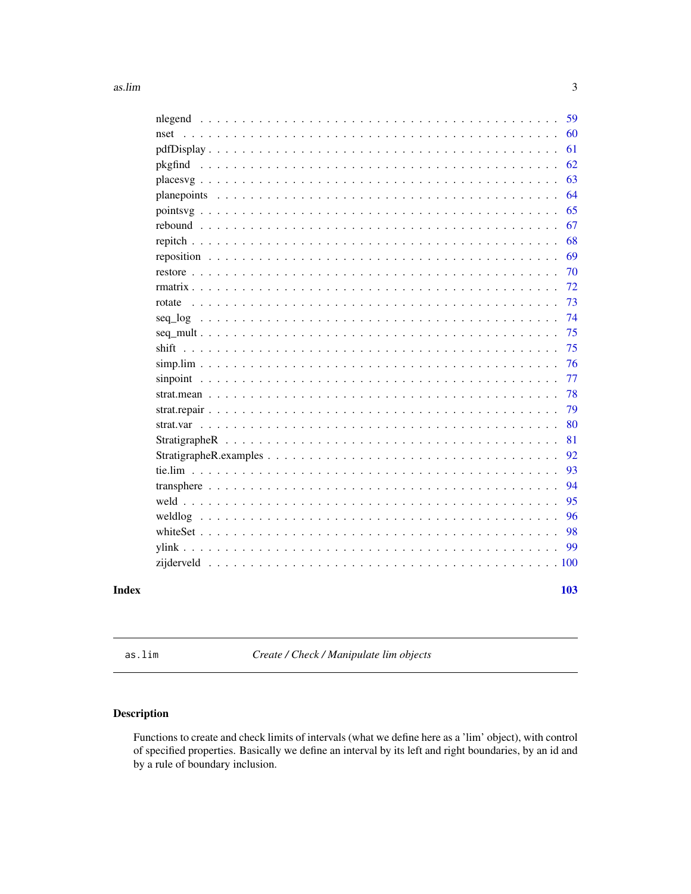<span id="page-2-0"></span>

|                                                                                                                                                                                                                                                                                                                                                                                                                    | 59  |
|--------------------------------------------------------------------------------------------------------------------------------------------------------------------------------------------------------------------------------------------------------------------------------------------------------------------------------------------------------------------------------------------------------------------|-----|
| nset                                                                                                                                                                                                                                                                                                                                                                                                               | 60  |
|                                                                                                                                                                                                                                                                                                                                                                                                                    | 61  |
|                                                                                                                                                                                                                                                                                                                                                                                                                    | 62  |
| places $y_1, \ldots, y_n, \ldots, y_n, \ldots, y_n, \ldots, y_n, \ldots, y_n, \ldots, y_n, \ldots, y_n, \ldots, y_n, \ldots, y_n, \ldots, y_n, \ldots, y_n, \ldots, y_n, \ldots, y_n, \ldots, y_n, \ldots, y_n, \ldots, y_n, \ldots, y_n, \ldots, y_n, \ldots, y_n, \ldots, y_n, \ldots, y_n, \ldots, y_n, \ldots, y_n, \ldots, y_n, \ldots, y_n, \ldots, y_n, \ldots, y_n, \ldots, y_n, \ldots, y_n, \ldots, y_n$ | 63  |
|                                                                                                                                                                                                                                                                                                                                                                                                                    | 64  |
|                                                                                                                                                                                                                                                                                                                                                                                                                    | 65  |
|                                                                                                                                                                                                                                                                                                                                                                                                                    | 67  |
|                                                                                                                                                                                                                                                                                                                                                                                                                    | 68  |
|                                                                                                                                                                                                                                                                                                                                                                                                                    | 69  |
|                                                                                                                                                                                                                                                                                                                                                                                                                    | 70  |
|                                                                                                                                                                                                                                                                                                                                                                                                                    | 72  |
| rotate                                                                                                                                                                                                                                                                                                                                                                                                             | 73  |
|                                                                                                                                                                                                                                                                                                                                                                                                                    | 74  |
|                                                                                                                                                                                                                                                                                                                                                                                                                    | 75  |
|                                                                                                                                                                                                                                                                                                                                                                                                                    | 75  |
|                                                                                                                                                                                                                                                                                                                                                                                                                    | 76  |
|                                                                                                                                                                                                                                                                                                                                                                                                                    | 77  |
|                                                                                                                                                                                                                                                                                                                                                                                                                    | 78  |
|                                                                                                                                                                                                                                                                                                                                                                                                                    | 79  |
|                                                                                                                                                                                                                                                                                                                                                                                                                    | 80  |
|                                                                                                                                                                                                                                                                                                                                                                                                                    | 81  |
|                                                                                                                                                                                                                                                                                                                                                                                                                    | 92  |
|                                                                                                                                                                                                                                                                                                                                                                                                                    | 93  |
|                                                                                                                                                                                                                                                                                                                                                                                                                    | 94  |
|                                                                                                                                                                                                                                                                                                                                                                                                                    | 95  |
| weldlog                                                                                                                                                                                                                                                                                                                                                                                                            | 96  |
|                                                                                                                                                                                                                                                                                                                                                                                                                    | 98  |
|                                                                                                                                                                                                                                                                                                                                                                                                                    | 99  |
|                                                                                                                                                                                                                                                                                                                                                                                                                    |     |
|                                                                                                                                                                                                                                                                                                                                                                                                                    |     |
|                                                                                                                                                                                                                                                                                                                                                                                                                    | 103 |

### **Index**

<span id="page-2-1"></span>as.lim

Create / Check / Manipulate lim objects

### Description

Functions to create and check limits of intervals (what we define here as a 'lim' object), with control of specified properties. Basically we define an interval by its left and right boundaries, by an id and by a rule of boundary inclusion.

 $\overline{3}$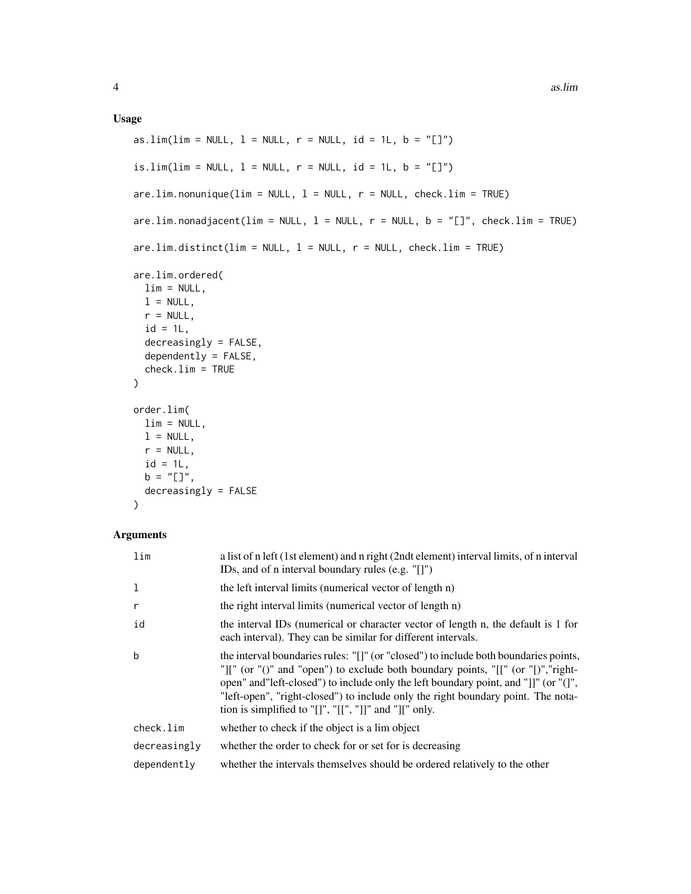### Usage

```
as.lim(lim = NULL, l = NULL, r = NULL, id = 1L, b = "[]")
is.lim(lim = NULL, l = NULL, r = NULL, id = 1L, b = "[]")
are.lim.nonunique(lim = NULL, l = NULL, r = NULL, check.lim = TRUE)
are.lim.nonadjacent(lim = NULL, l = NULL, r = NULL, b = "[]", check.lim = TRUE)
are.lim.distinct(lim = NULL, 1 = NULL, r = NULL, check.lim = TRUE)
are.lim.ordered(
 \lim = NULL,
 l = NULL,r = NULL,id = 1L,decreasingly = FALSE,
 dependently = FALSE,
 check.lim = TRUE
\lambdaorder.lim(
 lim = NULL,
 l = NULL,r = NULL,id = 1L,b = "[]",decreasingly = FALSE
)
```
### Arguments

| $\lim$       | a list of n left (1st element) and n right (2ndt element) interval limits, of n interval<br>IDs, and of n interval boundary rules $(e.g. "[]")$                                                                                                                                                                                                                                                               |
|--------------|---------------------------------------------------------------------------------------------------------------------------------------------------------------------------------------------------------------------------------------------------------------------------------------------------------------------------------------------------------------------------------------------------------------|
| 1            | the left interval limits (numerical vector of length n)                                                                                                                                                                                                                                                                                                                                                       |
| r            | the right interval limits (numerical vector of length n)                                                                                                                                                                                                                                                                                                                                                      |
| id           | the interval IDs (numerical or character vector of length n, the default is 1 for<br>each interval). They can be similar for different intervals.                                                                                                                                                                                                                                                             |
| b            | the interval boundaries rules: "[]" (or "closed") to include both boundaries points,<br>"][" (or "()" and "open") to exclude both boundary points, "[[" (or "[)", "right-<br>open" and"left-closed") to include only the left boundary point, and "]]" (or "(]",<br>"left-open", "right-closed") to include only the right boundary point. The nota-<br>tion is simplified to "[]", "[[", "]]" and "][" only. |
| check.lim    | whether to check if the object is a lim object                                                                                                                                                                                                                                                                                                                                                                |
| decreasingly | whether the order to check for or set for is decreasing                                                                                                                                                                                                                                                                                                                                                       |
| dependently  | whether the intervals themselves should be ordered relatively to the other                                                                                                                                                                                                                                                                                                                                    |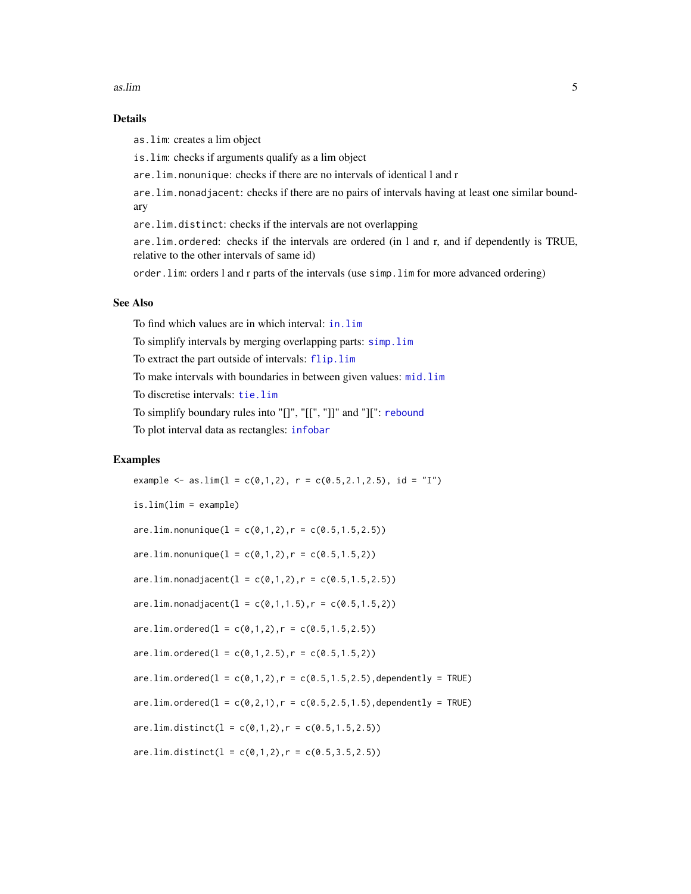#### as.lim 5

### Details

as.lim: creates a lim object

is.lim: checks if arguments qualify as a lim object

are.lim.nonunique: checks if there are no intervals of identical l and r

are.lim.nonadjacent: checks if there are no pairs of intervals having at least one similar boundary

are.lim.distinct: checks if the intervals are not overlapping

are.lim.ordered: checks if the intervals are ordered (in l and r, and if dependently is TRUE, relative to the other intervals of same id)

order.lim: orders l and r parts of the intervals (use simp.lim for more advanced ordering)

#### See Also

To find which values are in which interval: [in.lim](#page-37-1) To simplify intervals by merging overlapping parts: [simp.lim](#page-75-1) To extract the part outside of intervals: [flip.lim](#page-27-1) To make intervals with boundaries in between given values: [mid.lim](#page-46-1) To discretise intervals: [tie.lim](#page-92-1) To simplify boundary rules into "[]", "[[", "]]" and "][": [rebound](#page-66-1) To plot interval data as rectangles: [infobar](#page-40-1)

#### Examples

example  $\leq$  as.lim(1 = c(0,1,2), r = c(0.5,2.1,2.5), id = "I") is.lim(lim = example)  $are.lim. nonunique(1 = c(0,1,2), r = c(0.5,1.5,2.5))$  $are.lim.nonunique(1 = c(0,1,2), r = c(0.5,1.5,2))$  $are.lim.nonadjacent(1 = c(0,1,2), r = c(0.5,1.5,2.5))$  $are.lim.nonadjacent(1 = c(0,1,1.5), r = c(0.5,1.5,2))$  $are.lim. ordered(1 = c(0,1,2), r = c(0.5,1.5,2.5))$  $are.lim.ordered(1 = c(0,1,2.5), r = c(0.5,1.5,2))$  $are.lim. ordered(1 = c(0, 1, 2), r = c(0.5, 1.5, 2.5), dependently = TRUE)$  $are$ .lim.ordered( $l = c(0, 2, 1)$ ,  $r = c(0.5, 2.5, 1.5)$ , dependently = TRUE)  $are.lim.distinct(l = c(0,1,2), r = c(0.5,1.5,2.5))$  $are.lim.distinct(1 = c(0,1,2), r = c(0.5,3.5,2.5))$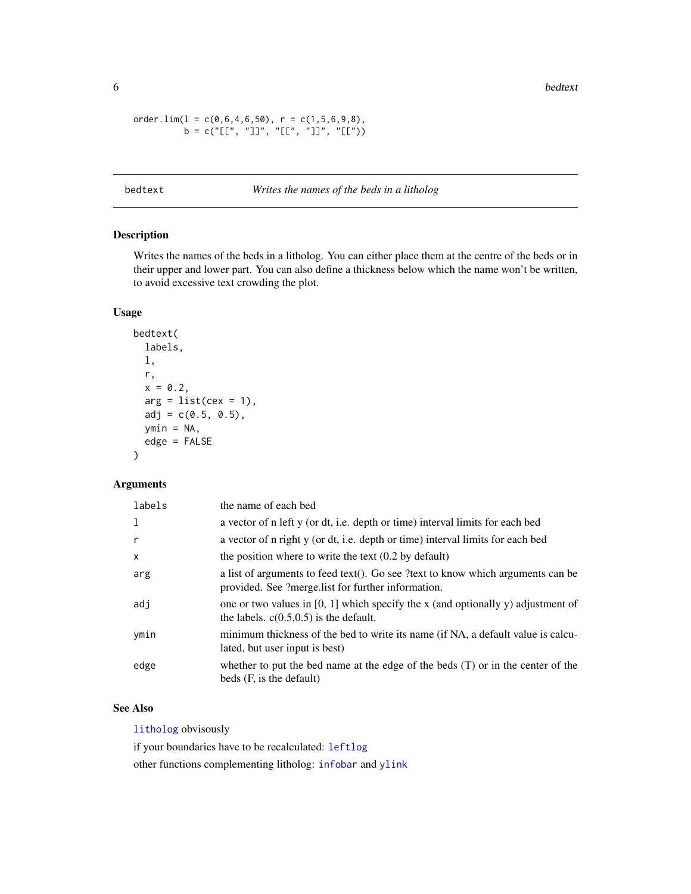<span id="page-5-0"></span>6 bedtext by the control of the control of the control of the control of the control of the control of the control of the control of the control of the control of the control of the control of the control of the control of

```
order.lim(l = c(0, 6, 4, 6, 50), r = c(1, 5, 6, 9, 8),
          b = c("[[", "]]", "[['", "]]", "[[''])
```
### bedtext *Writes the names of the beds in a litholog*

### Description

Writes the names of the beds in a litholog. You can either place them at the centre of the beds or in their upper and lower part. You can also define a thickness below which the name won't be written, to avoid excessive text crowding the plot.

### Usage

```
bedtext(
  labels,
  l,
  r,
  x = 0.2,
  arg = list(cex = 1),
  adj = c(0.5, 0.5),ymin = NA,
  edge = FALSE
\mathcal{L}
```
### Arguments

| labels | the name of each bed                                                                                                                  |
|--------|---------------------------------------------------------------------------------------------------------------------------------------|
|        | a vector of n left y (or dt, i.e. depth or time) interval limits for each bed                                                         |
|        | a vector of n right y (or dt, i.e. depth or time) interval limits for each bed                                                        |
| X      | the position where to write the text $(0.2$ by default)                                                                               |
| arg    | a list of arguments to feed text(). Go see ?text to know which arguments can be<br>provided. See ?merge.list for further information. |
| adj    | one or two values in [0, 1] which specify the x (and optionally y) adjustment of<br>the labels. $c(0.5, 0.5)$ is the default.         |
| ymin   | minimum thickness of the bed to write its name (if NA, a default value is calcu-<br>lated, but user input is best)                    |
| edge   | whether to put the bed name at the edge of the beds $(T)$ or in the center of the<br>beds (F, is the default)                         |

### See Also

[litholog](#page-42-1) obvisously

if your boundaries have to be recalculated: [leftlog](#page-41-1)

other functions complementing litholog: [infobar](#page-40-1) and [ylink](#page-98-1)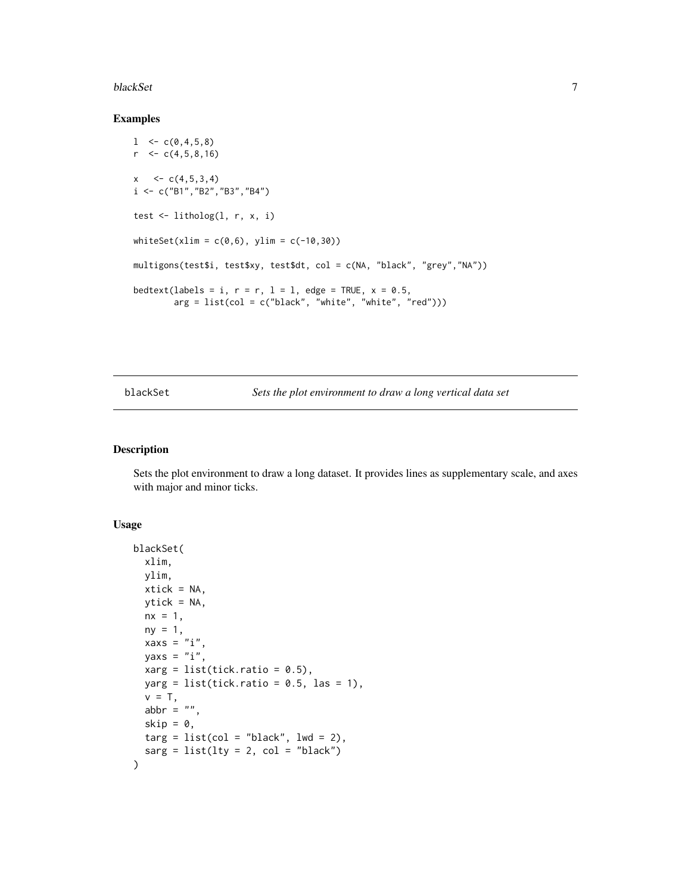#### <span id="page-6-0"></span>blackSet 7

#### Examples

```
l < -c(0, 4, 5, 8)r < -c(4,5,8,16)x \leq -c(4,5,3,4)i <- c("B1","B2","B3","B4")
test <- litholog(l, r, x, i)
whiteset(xlim = c(0,6), ylim = c(-10,30))multigons(test$i, test$xy, test$dt, col = c(NA, "black", "grey","NA"))
bedtext(labels = i, r = r, l = l, edge = TRUE, x = 0.5,
        arg = list(col = c("black", "white", "white", "red")))
```
blackSet *Sets the plot environment to draw a long vertical data set*

#### Description

Sets the plot environment to draw a long dataset. It provides lines as supplementary scale, and axes with major and minor ticks.

#### Usage

```
blackSet(
  xlim,
  ylim,
  xtick = NA,
  ytick = NA,
  nx = 1,
  ny = 1,xaxs = "i",yaxs = "i",xarg = list(tick.ratio = 0.5),
  yarg = list(tick.ratio = 0.5, las = 1),v = T,
  abbr = ",
  skip = 0,\text{targ} = \text{list}(\text{col} = \text{"black", lwd} = 2),sarg = list(lty = 2, col = "black"))
```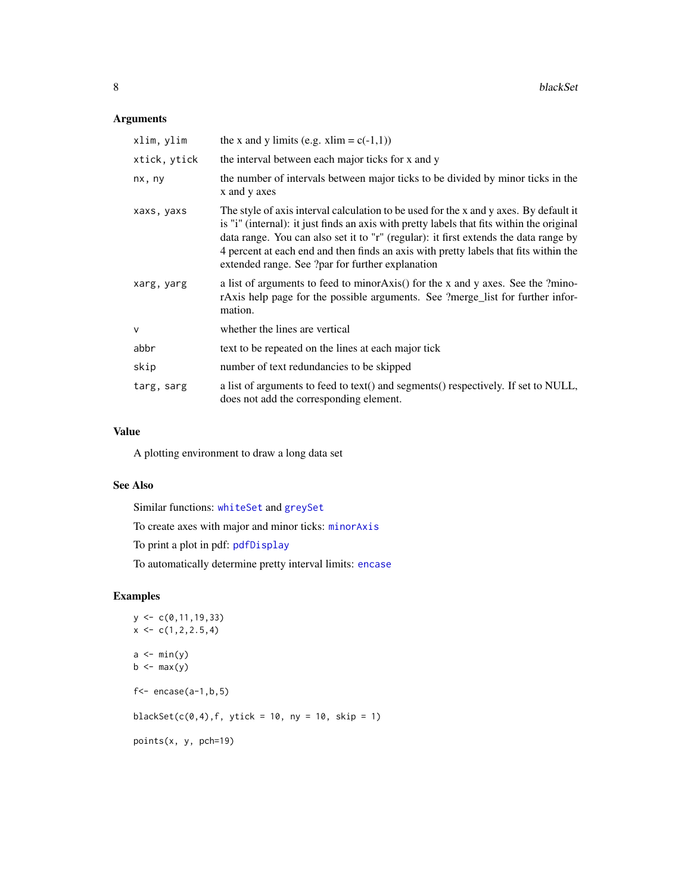### Arguments

| xlim, ylim   | the x and y limits (e.g. xlim = $c(-1,1)$ )                                                                                                                                                                                                                                                                                                                                                                            |
|--------------|------------------------------------------------------------------------------------------------------------------------------------------------------------------------------------------------------------------------------------------------------------------------------------------------------------------------------------------------------------------------------------------------------------------------|
| xtick, ytick | the interval between each major ticks for x and y                                                                                                                                                                                                                                                                                                                                                                      |
| nx, ny       | the number of intervals between major ticks to be divided by minor ticks in the<br>x and y axes                                                                                                                                                                                                                                                                                                                        |
| xaxs, yaxs   | The style of axis interval calculation to be used for the x and y axes. By default it<br>is "i" (internal): it just finds an axis with pretty labels that fits within the original<br>data range. You can also set it to "r" (regular): it first extends the data range by<br>4 percent at each end and then finds an axis with pretty labels that fits within the<br>extended range. See ?par for further explanation |
| xarg, yarg   | a list of arguments to feed to minor Axis() for the x and y axes. See the ?mino-<br>rAxis help page for the possible arguments. See ?merge_list for further infor-<br>mation.                                                                                                                                                                                                                                          |
| $\mathsf{V}$ | whether the lines are vertical                                                                                                                                                                                                                                                                                                                                                                                         |
| abbr         | text to be repeated on the lines at each major tick                                                                                                                                                                                                                                                                                                                                                                    |
| skip         | number of text redundancies to be skipped                                                                                                                                                                                                                                                                                                                                                                              |
| targ, sarg   | a list of arguments to feed to text() and segments() respectively. If set to NULL,<br>does not add the corresponding element.                                                                                                                                                                                                                                                                                          |

### Value

A plotting environment to draw a long data set

### See Also

Similar functions: [whiteSet](#page-97-1) and [greySet](#page-33-1)

To create axes with major and minor ticks: [minorAxis](#page-47-1)

To print a plot in pdf: [pdfDisplay](#page-60-1)

To automatically determine pretty interval limits: [encase](#page-23-1)

```
y \leftarrow c(0, 11, 19, 33)x \leftarrow c(1, 2, 2.5, 4)a \leftarrow min(y)b \leq -\max(y)f <- encase(a-1,b,5)blackSet(c(0,4), f, ytick = 10, ny = 10, skip = 1)points(x, y, pch=19)
```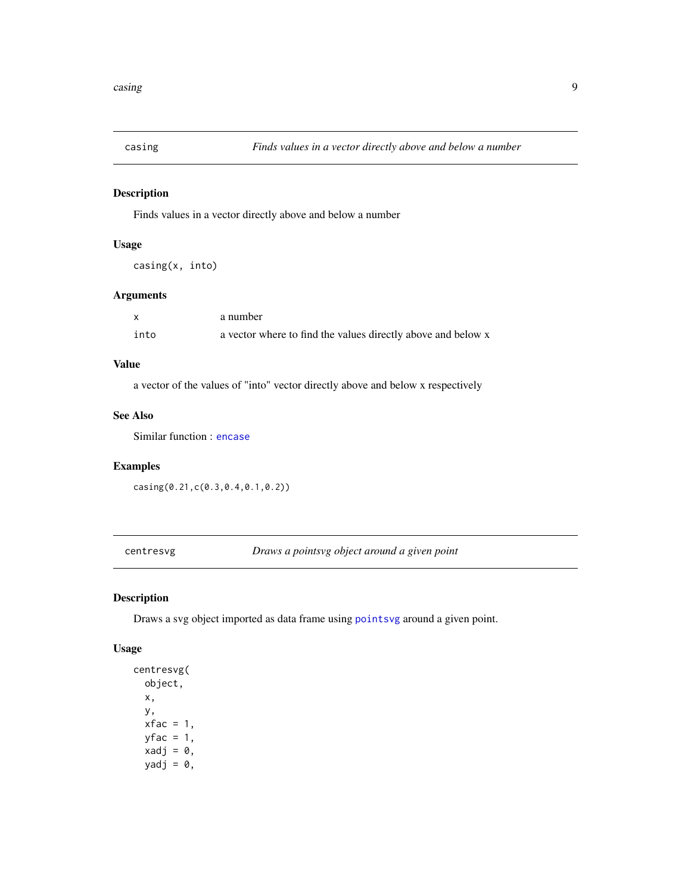<span id="page-8-2"></span><span id="page-8-0"></span>

### Description

Finds values in a vector directly above and below a number

### Usage

```
casing(x, into)
```
### Arguments

|      | a number                                                     |
|------|--------------------------------------------------------------|
| into | a vector where to find the values directly above and below x |

### Value

a vector of the values of "into" vector directly above and below x respectively

### See Also

Similar function : [encase](#page-23-1)

## Examples

casing(0.21,c(0.3,0.4,0.1,0.2))

<span id="page-8-1"></span>centresvg *Draws a pointsvg object around a given point*

### Description

Draws a svg object imported as data frame using [pointsvg](#page-64-1) around a given point.

### Usage

```
centresvg(
  object,
  x,
  y,
  xfac = 1,
  yfac = 1,
  xadj = 0,yadj = \theta,
```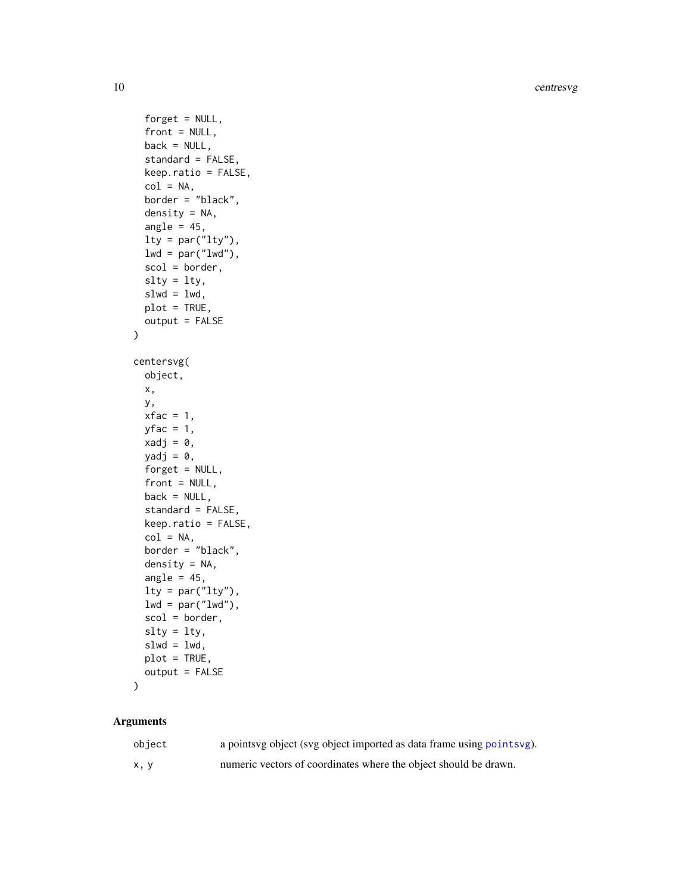10 centresvg

```
forget = NULL,
  front = NULL,
  back = NULL,standard = FALSE,
  keep.ratio = FALSE,
  col = NA,
  border = "black",
  density = NA,
  angle = 45,
  lty = par("lty"),
  lwd = par("lwd"),
  scol = border,
  slty = lty,
  slwd = lwd,
 plot = TRUE,
  output = FALSE
\mathcal{L}centersvg(
  object,
 x,
 y,
 xfac = 1,yfac = 1,
 xadj = 0,yadj = \theta,
  forget = NULL,front = NULL,
 back = NULL,standard = FALSE,
  keep.ratio = FALSE,
  col = NA,
  border = "black",
  density = NA,
  angle = 45,
  lty = par("lty"),
  lwd = par("lwd"),
  scol = border,
  slty = lty,
  slwd = lwd,
 plot = TRUE,
 output = FALSE
\mathcal{L}
```
### Arguments

| object | a points vg object (svg object imported as data frame using points vg). |
|--------|-------------------------------------------------------------------------|
| x, y   | numeric vectors of coordinates where the object should be drawn.        |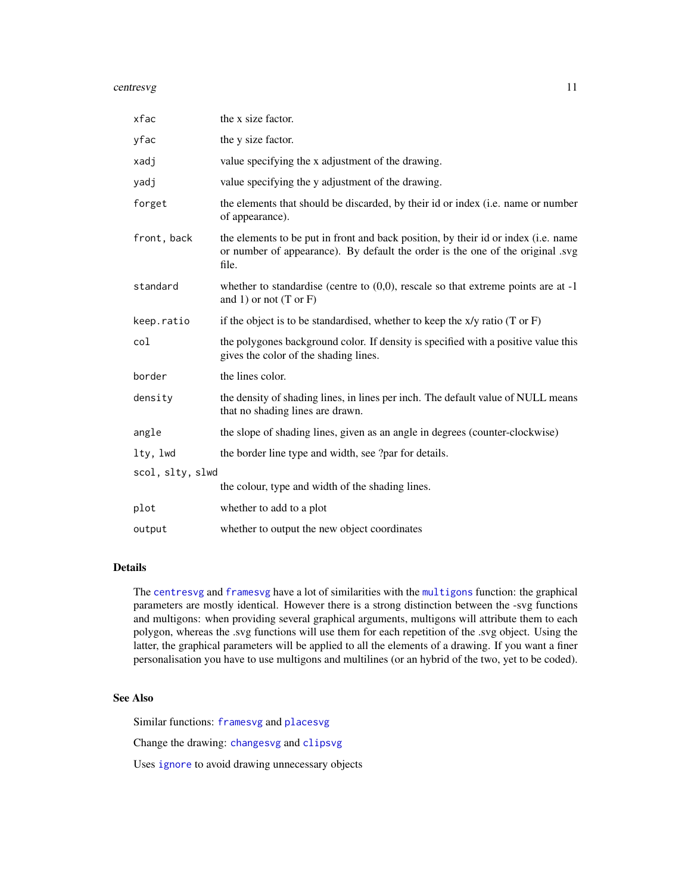#### centresvg and the control of the control of the control of the control of the control of the control of the control of the control of the control of the control of the control of the control of the control of the control o

| xfac             | the x size factor.                                                                                                                                                            |
|------------------|-------------------------------------------------------------------------------------------------------------------------------------------------------------------------------|
| yfac             | the y size factor.                                                                                                                                                            |
| xadj             | value specifying the x adjustment of the drawing.                                                                                                                             |
| yadj             | value specifying the y adjustment of the drawing.                                                                                                                             |
| forget           | the elements that should be discarded, by their id or index (i.e. name or number<br>of appearance).                                                                           |
| front, back      | the elements to be put in front and back position, by their id or index (i.e. name<br>or number of appearance). By default the order is the one of the original .svg<br>file. |
| standard         | whether to standardise (centre to $(0,0)$ , rescale so that extreme points are at -1<br>and 1) or not $(T \text{ or } F)$                                                     |
| keep.ratio       | if the object is to be standardised, whether to keep the $x/y$ ratio (T or F)                                                                                                 |
| col              | the polygones background color. If density is specified with a positive value this<br>gives the color of the shading lines.                                                   |
| border           | the lines color.                                                                                                                                                              |
| density          | the density of shading lines, in lines per inch. The default value of NULL means<br>that no shading lines are drawn.                                                          |
| angle            | the slope of shading lines, given as an angle in degrees (counter-clockwise)                                                                                                  |
| lty, lwd         | the border line type and width, see ?par for details.                                                                                                                         |
| scol, slty, slwd |                                                                                                                                                                               |
|                  | the colour, type and width of the shading lines.                                                                                                                              |
| plot             | whether to add to a plot                                                                                                                                                      |
| output           | whether to output the new object coordinates                                                                                                                                  |

### Details

The [centresvg](#page-8-1) and [framesvg](#page-31-1) have a lot of similarities with the [multigons](#page-49-1) function: the graphical parameters are mostly identical. However there is a strong distinction between the -svg functions and multigons: when providing several graphical arguments, multigons will attribute them to each polygon, whereas the .svg functions will use them for each repetition of the .svg object. Using the latter, the graphical parameters will be applied to all the elements of a drawing. If you want a finer personalisation you have to use multigons and multilines (or an hybrid of the two, yet to be coded).

#### See Also

Similar functions: [framesvg](#page-31-1) and [placesvg](#page-62-1)

Change the drawing: [changesvg](#page-11-1) and [clipsvg](#page-12-1)

Uses [ignore](#page-36-1) to avoid drawing unnecessary objects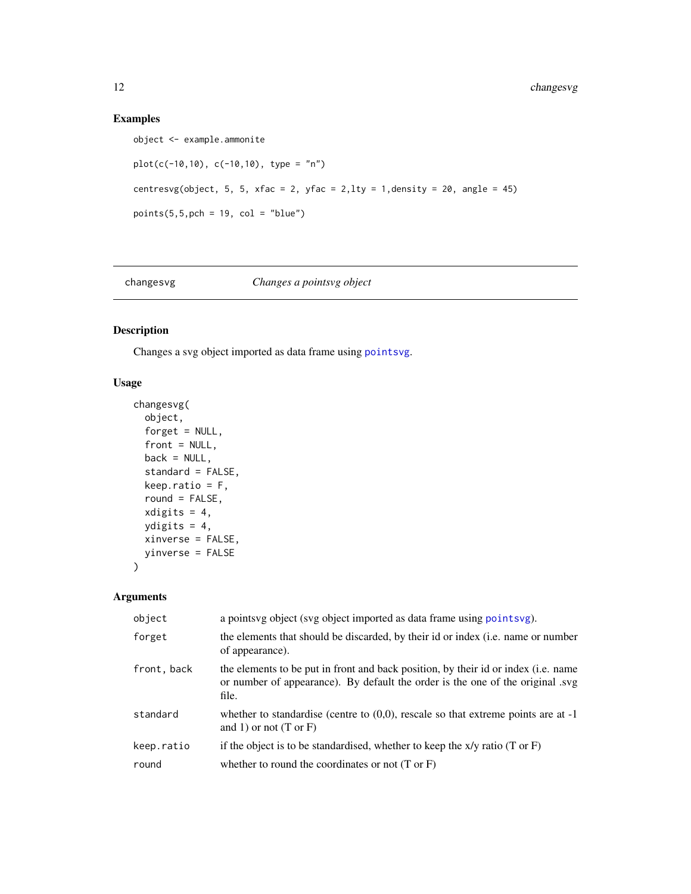### Examples

```
object <- example.ammonite
plot(c(-10,10), c(-10,10), type = "n")
centresvg(object, 5, 5, xfac = 2, yfac = 2, lty = 1, density = 20, angle = 45)
points(5,5,pch = 19, col = "blue")
```
<span id="page-11-1"></span>

### changesvg *Changes a pointsvg object*

### Description

Changes a svg object imported as data frame using [pointsvg](#page-64-1).

### Usage

```
changesvg(
 object,
 forget = NULL,front = NULL,
 back = NULL,standard = FALSE,
 keep.ratio = F,
 round = FALSE,
 xdigits = 4,
 ydigits = 4,
 xinverse = FALSE,
 yinverse = FALSE
)
```
### Arguments

| object      | a points vg object (svg object imported as data frame using points vg).                                                                                                      |
|-------------|------------------------------------------------------------------------------------------------------------------------------------------------------------------------------|
| forget      | the elements that should be discarded, by their id or index (i.e. name or number<br>of appearance).                                                                          |
| front, back | the elements to be put in front and back position, by their id or index (i.e. name<br>or number of appearance). By default the order is the one of the original syg<br>file. |
| standard    | whether to standardise (centre to $(0,0)$ , rescale so that extreme points are at -1<br>and 1) or not $(T \text{ or } F)$                                                    |
| keep.ratio  | if the object is to be standardised, whether to keep the $x/y$ ratio (T or F)                                                                                                |
| round       | whether to round the coordinates or not $(T \text{ or } F)$                                                                                                                  |

<span id="page-11-0"></span>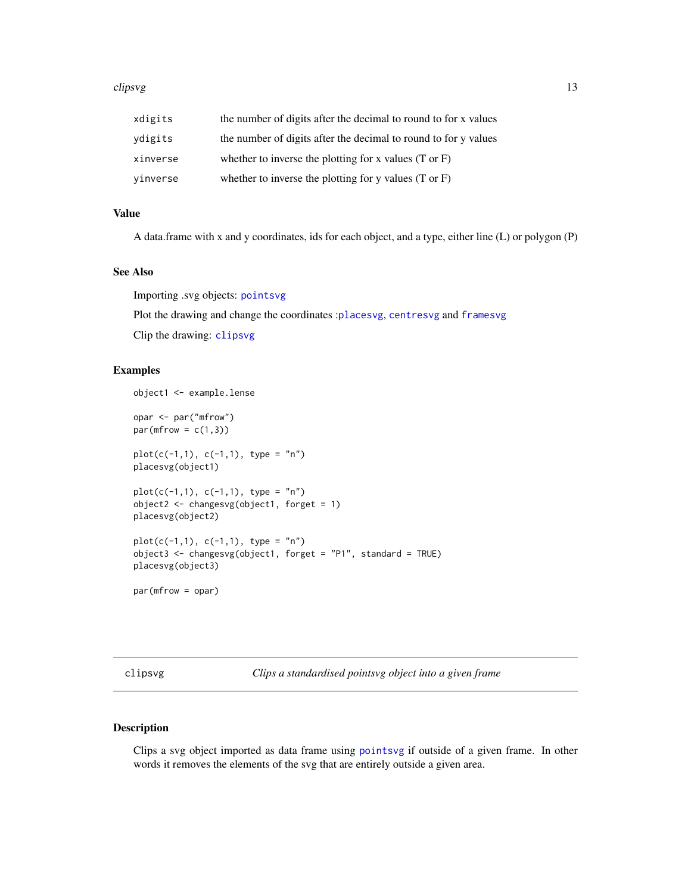#### <span id="page-12-0"></span>clipsvg the clipsical contract of the clipsical contract of the clipsical contract of the clipsical contract of the contract of the contract of the contract of the contract of the contract of the contract of the contract o

| xdigits  | the number of digits after the decimal to round to for x values  |
|----------|------------------------------------------------------------------|
| ydigits  | the number of digits after the decimal to round to for y values  |
| xinverse | whether to inverse the plotting for x values $(T \text{ or } F)$ |
| vinverse | whether to inverse the plotting for y values $(T \text{ or } F)$ |

#### Value

A data.frame with x and y coordinates, ids for each object, and a type, either line (L) or polygon (P)

### See Also

Importing .svg objects: [pointsvg](#page-64-1)

Plot the drawing and change the coordinates :[placesvg](#page-62-1), [centresvg](#page-8-1) and [framesvg](#page-31-1)

Clip the drawing: [clipsvg](#page-12-1)

### Examples

```
object1 <- example.lense
opar <- par("mfrow")
par(mfrow = c(1,3))plot(c(-1,1), c(-1,1), type = "n")placesvg(object1)
plot(c(-1,1), c(-1,1), type = "n")object2 <- changesvg(object1, forget = 1)
placesvg(object2)
plot(c(-1,1), c(-1,1), type = "n")object3 <- changesvg(object1, forget = "P1", standard = TRUE)
placesvg(object3)
par(mfrow = opar)
```
<span id="page-12-1"></span>clipsvg *Clips a standardised pointsvg object into a given frame*

### Description

Clips a svg object imported as data frame using [pointsvg](#page-64-1) if outside of a given frame. In other words it removes the elements of the svg that are entirely outside a given area.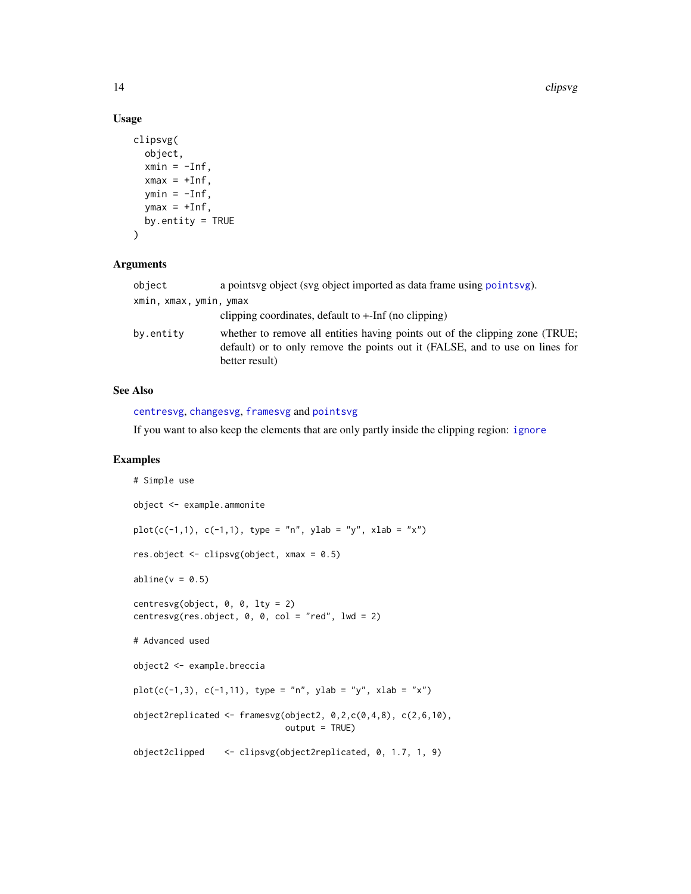### Usage

```
clipsvg(
  object,
  xmin = -Inf,xmax = +Inf,
  ymin = -Inf,ymax = +Inf,
  by.entity = TRUE\mathcal{L}
```
#### Arguments

| object                 | a points vg object (svg object imported as data frame using points vg).                                                                                                        |  |
|------------------------|--------------------------------------------------------------------------------------------------------------------------------------------------------------------------------|--|
| xmin, xmax, ymin, ymax |                                                                                                                                                                                |  |
|                        | clipping coordinates, default to $+$ -Inf (no clipping)                                                                                                                        |  |
| by.entity              | whether to remove all entities having points out of the clipping zone (TRUE;<br>default) or to only remove the points out it (FALSE, and to use on lines for<br>better result) |  |

### See Also

[centresvg](#page-8-1), [changesvg](#page-11-1), [framesvg](#page-31-1) and [pointsvg](#page-64-1)

If you want to also keep the elements that are only partly inside the clipping region: [ignore](#page-36-1)

```
# Simple use
object <- example.ammonite
plot(c(-1,1), c(-1,1), type = "n", ylab = "y", xlab = "x")
res.object <- clipsvg(object, xmax = 0.5)
abline(v = 0.5)centresvg(object, 0, 0, 1ty = 2)
centresvg(res.object, 0, 0, col = "red", lwd = 2)# Advanced used
object2 <- example.breccia
plot(c(-1,3), c(-1,11), type = "n", ylab = "y", xlab = "x")object2replicated <- framesvg(object2, 0,2,c(0,4,8), c(2,6,10),
                             output = TRUE)
object2clipped <- clipsvg(object2replicated, 0, 1.7, 1, 9)
```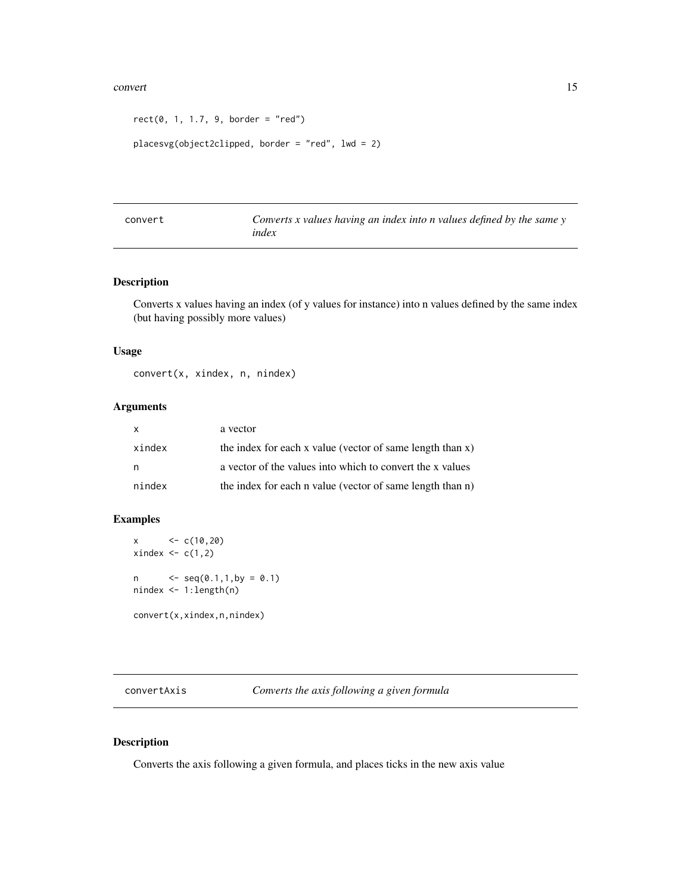#### <span id="page-14-0"></span>convert that the convert convert of the convertible convert of the convert of the convert of the convertible convertible converted of the convertible convertible convertible convertible convertible convertible convertible

```
rect(0, 1, 1.7, 9, border = "red")
```

```
placesvg(object2clipped, border = "red", lwd = 2)
```

| convert | Converts $x$ values having an index into $n$ values defined by the same $y$ |
|---------|-----------------------------------------------------------------------------|
|         | index                                                                       |

### Description

Converts x values having an index (of y values for instance) into n values defined by the same index (but having possibly more values)

#### Usage

convert(x, xindex, n, nindex)

### Arguments

| X.     | a vector                                                  |
|--------|-----------------------------------------------------------|
| xindex | the index for each x value (vector of same length than x) |
| n      | a vector of the values into which to convert the x values |
| nindex | the index for each n value (vector of same length than n) |

### Examples

 $x \leftarrow c(10, 20)$  $xindex \leftarrow c(1,2)$  $n \leq - \text{seq}(0.1, 1, \text{by} = 0.1)$ nindex <- 1:length(n) convert(x,xindex,n,nindex)

convertAxis *Converts the axis following a given formula*

### Description

Converts the axis following a given formula, and places ticks in the new axis value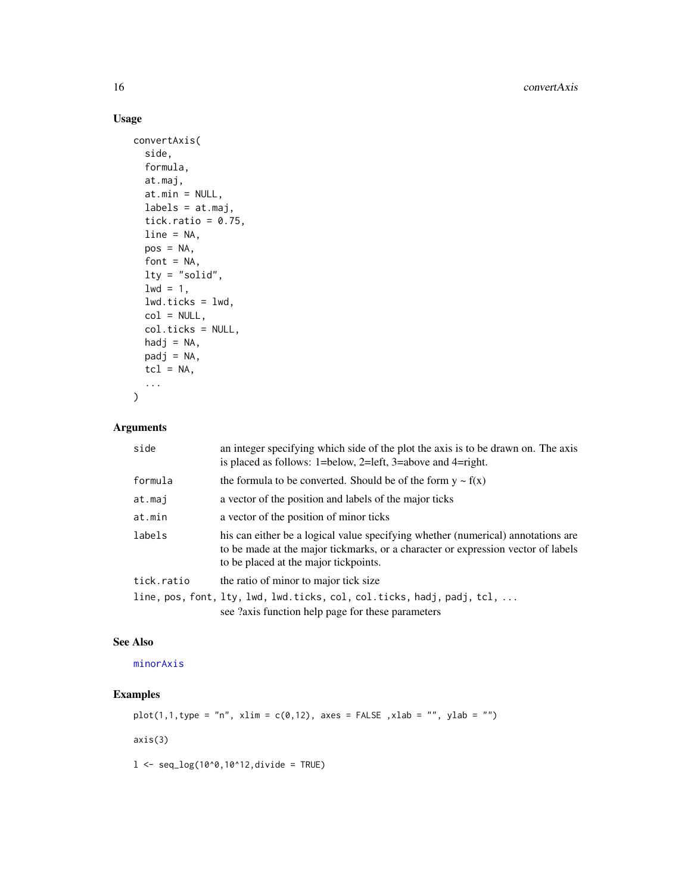### Usage

```
convertAxis(
  side,
 formula,
 at.maj,
 at.min = NULL,
 labels = at.maj,tick.ratio = 0.75,
 line = NA,
 pos = NA,
  font = NA,
 lty = "solid",
  1wd = 1,
 lwd.ticks = lwd,col = NULL,col.ticks = NULL,
 hadj = NA,
 padj = NA,
  tcl = NA,
  ...
)
```
### Arguments

| an integer specifying which side of the plot the axis is to be drawn on. The axis<br>is placed as follows: $1 = \text{below}$ , $2 = \text{left}$ , $3 = \text{above}$ and $4 = \text{right}$ .               |
|---------------------------------------------------------------------------------------------------------------------------------------------------------------------------------------------------------------|
| the formula to be converted. Should be of the form $y \sim f(x)$                                                                                                                                              |
| a vector of the position and labels of the major ticks                                                                                                                                                        |
| a vector of the position of minor ticks                                                                                                                                                                       |
| his can either be a logical value specifying whether (numerical) annotations are<br>to be made at the major tickmarks, or a character or expression vector of labels<br>to be placed at the major tickpoints. |
| the ratio of minor to major tick size                                                                                                                                                                         |
| line, pos, font, lty, lwd, lwd.ticks, col, col.ticks, hadj, padj, tcl,<br>see ?axis function help page for these parameters                                                                                   |
|                                                                                                                                                                                                               |

### See Also

[minorAxis](#page-47-1)

### Examples

 $plot(1,1,type = "n", xlim = c(0,12), axes = FALSE , xlab = "", ylab = "")$ 

axis(3)

 $1 < -$  seq\_log(10^0,10^12,divide = TRUE)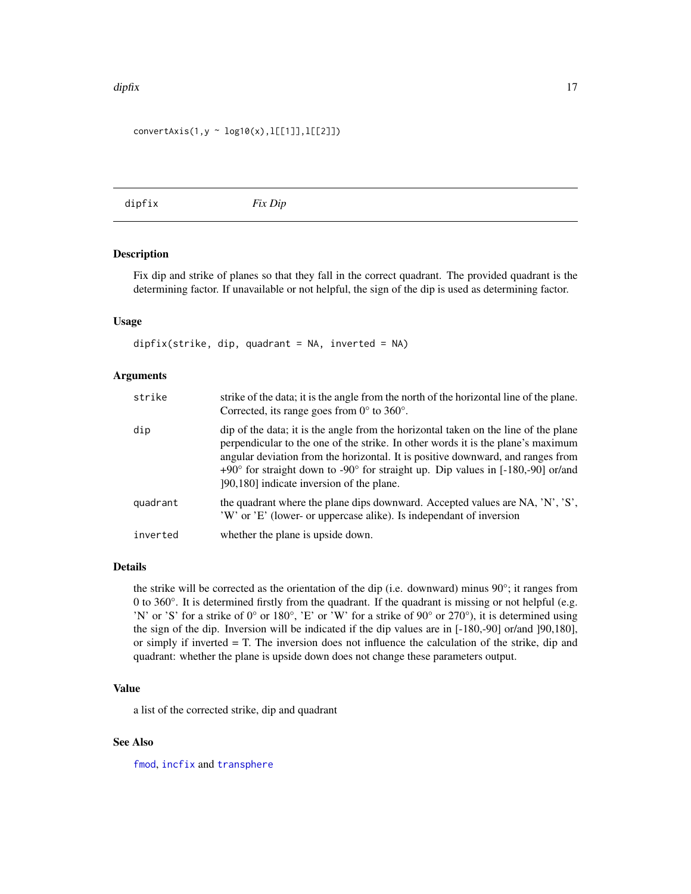#### <span id="page-16-0"></span>dipfix and the contract of the contract of the contract of the contract of the contract of the contract of the contract of the contract of the contract of the contract of the contract of the contract of the contract of the

#### convertAxis(1,y ~ log10(x),l[[1]],l[[2]])

<span id="page-16-1"></span>dipfix *Fix Dip*

### Description

Fix dip and strike of planes so that they fall in the correct quadrant. The provided quadrant is the determining factor. If unavailable or not helpful, the sign of the dip is used as determining factor.

#### Usage

 $dipfix(strike, dip, quadrant = NA, inverted = NA)$ 

#### Arguments

| strike   | strike of the data; it is the angle from the north of the horizontal line of the plane.<br>Corrected, its range goes from $0^{\circ}$ to 360°.                                                                                                                                                                                                                                                               |
|----------|--------------------------------------------------------------------------------------------------------------------------------------------------------------------------------------------------------------------------------------------------------------------------------------------------------------------------------------------------------------------------------------------------------------|
| dip      | dip of the data; it is the angle from the horizontal taken on the line of the plane<br>perpendicular to the one of the strike. In other words it is the plane's maximum<br>angular deviation from the horizontal. It is positive downward, and ranges from<br>+90 $\degree$ for straight down to -90 $\degree$ for straight up. Dip values in [-180,-90] or/and<br>[90,180] indicate inversion of the plane. |
| quadrant | the quadrant where the plane dips downward. Accepted values are NA, 'N', 'S',<br>'W' or 'E' (lower- or uppercase alike). Is independant of inversion                                                                                                                                                                                                                                                         |
| inverted | whether the plane is upside down.                                                                                                                                                                                                                                                                                                                                                                            |

### Details

the strike will be corrected as the orientation of the dip (i.e. downward) minus 90°; it ranges from 0 to 360°. It is determined firstly from the quadrant. If the quadrant is missing or not helpful (e.g. 'N' or 'S' for a strike of 0° or 180°, 'E' or 'W' for a strike of 90° or 270°), it is determined using the sign of the dip. Inversion will be indicated if the dip values are in [-180,-90] or/and ]90,180], or simply if inverted = T. The inversion does not influence the calculation of the strike, dip and quadrant: whether the plane is upside down does not change these parameters output.

### Value

a list of the corrected strike, dip and quadrant

#### See Also

[fmod](#page-29-1), [incfix](#page-39-1) and [transphere](#page-93-1)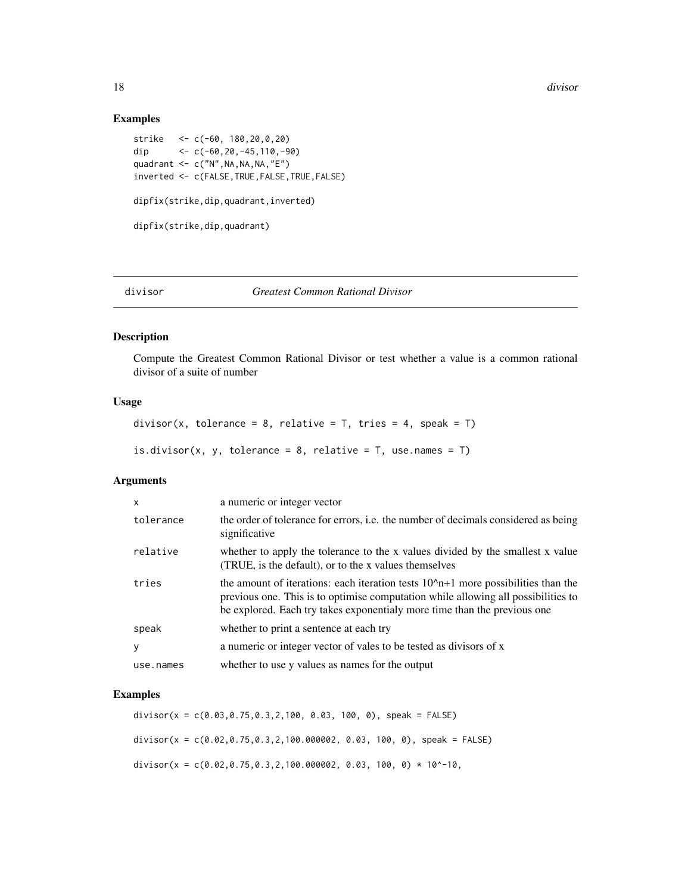### Examples

```
strike <- c(-60, 180,20,0,20)
dip \langle -c(-60, 20, -45, 110, -90) \ranglequadrant \leq c("N", NA, NA, NA, "E")
inverted <- c(FALSE,TRUE,FALSE,TRUE,FALSE)
dipfix(strike,dip,quadrant,inverted)
dipfix(strike,dip,quadrant)
```
#### divisor *Greatest Common Rational Divisor*

### Description

Compute the Greatest Common Rational Divisor or test whether a value is a common rational divisor of a suite of number

#### Usage

```
divisor(x, tolerance = 8, relative = T, tries = 4, speak = T)
is.divisor(x, y, tolerance = 8, relative = T, use.names = T)
```
### Arguments

| $\mathsf{x}$ | a numeric or integer vector                                                                                                                                                                                                                           |
|--------------|-------------------------------------------------------------------------------------------------------------------------------------------------------------------------------------------------------------------------------------------------------|
| tolerance    | the order of tolerance for errors, <i>i.e.</i> the number of decimals considered as being<br>significative                                                                                                                                            |
| relative     | whether to apply the tolerance to the x values divided by the smallest x value<br>(TRUE, is the default), or to the x values themselves                                                                                                               |
| tries        | the amount of iterations: each iteration tests $102 n+1$ more possibilities than the<br>previous one. This is to optimise computation while allowing all possibilities to<br>be explored. Each try takes exponentialy more time than the previous one |
| speak        | whether to print a sentence at each try                                                                                                                                                                                                               |
| y            | a numeric or integer vector of vales to be tested as divisors of x                                                                                                                                                                                    |
| use.names    | whether to use y values as names for the output                                                                                                                                                                                                       |

### Examples

divisor(x = c(0.03,0.75,0.3,2,100, 0.03, 100, 0), speak = FALSE) divisor( $x = c(0.02, 0.75, 0.3, 2, 100.000002, 0.03, 100, 0)$ , speak = FALSE) divisor(x =  $c(0.02, 0.75, 0.3, 2, 100.000002, 0.03, 100, 0) * 10^2-10$ ,

<span id="page-17-0"></span>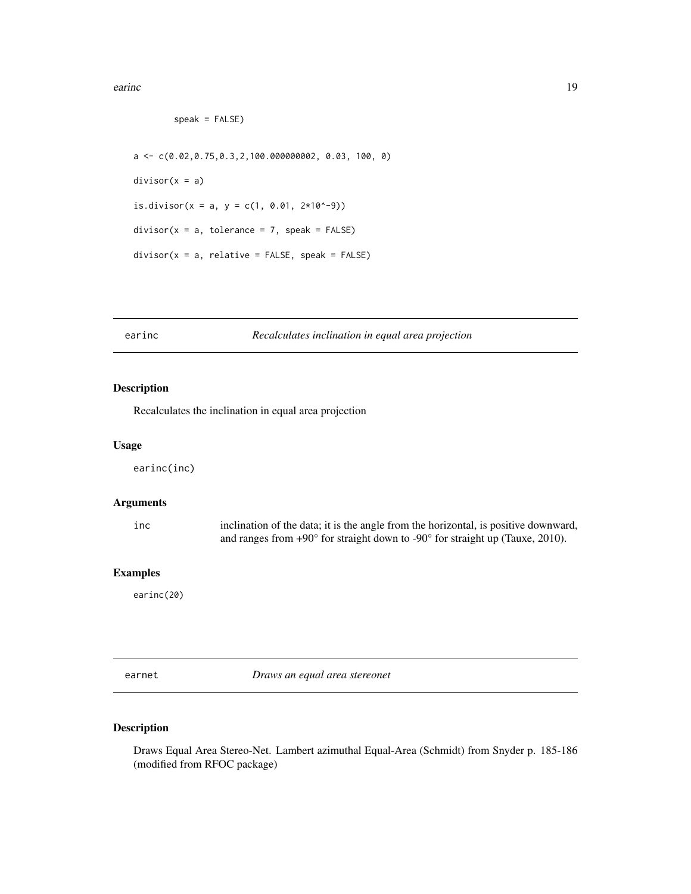<span id="page-18-0"></span>earinc 19

```
speak = FALSE)
a \leq c(0.02, 0.75, 0.3, 2, 100.000000002, 0.03, 100, 0)divisor(x = a)is.divisor(x = a, y = c(1, 0.01, 2*10^{\circ}-9))
divisor(x = a, tolerance = 7, speak = FALSE)divisor(x = a, relative = FALSE, speak = FALSE)
```
### <span id="page-18-1"></span>earinc *Recalculates inclination in equal area projection*

### Description

Recalculates the inclination in equal area projection

#### Usage

earinc(inc)

### Arguments

| 1nc | inclination of the data; it is the angle from the horizontal, is positive downward,             |
|-----|-------------------------------------------------------------------------------------------------|
|     | and ranges from $+90^{\circ}$ for straight down to $-90^{\circ}$ for straight up (Tauxe, 2010). |

### Examples

earinc(20)

<span id="page-18-2"></span>earnet *Draws an equal area stereonet*

### Description

Draws Equal Area Stereo-Net. Lambert azimuthal Equal-Area (Schmidt) from Snyder p. 185-186 (modified from RFOC package)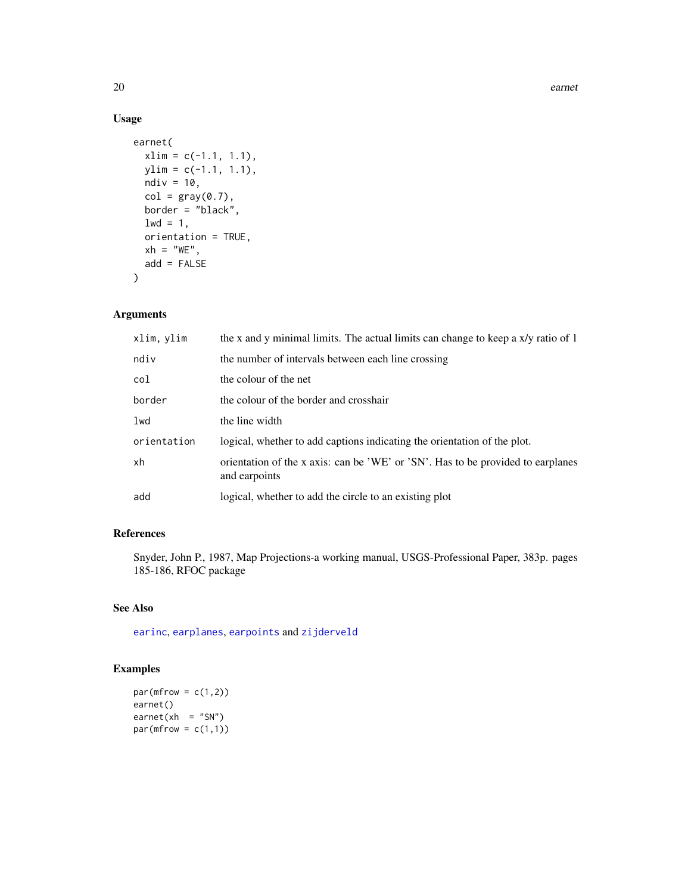## Usage

```
earnet(
 xlim = c(-1.1, 1.1),ylim = c(-1.1, 1.1),
 ndiv = 10,
 col = gray(0.7),
 border = "black",
 1wd = 1,orientation = TRUE,
 xh = "WE",add = FALSE)
```
### Arguments

| xlim, ylim  | the x and y minimal limits. The actual limits can change to keep a x/y ratio of 1                |
|-------------|--------------------------------------------------------------------------------------------------|
| ndiv        | the number of intervals between each line crossing                                               |
| col         | the colour of the net                                                                            |
| border      | the colour of the border and crosshair                                                           |
| $1$ wd      | the line width                                                                                   |
| orientation | logical, whether to add captions indicating the orientation of the plot.                         |
| xh          | orientation of the x axis: can be 'WE' or 'SN'. Has to be provided to earplanes<br>and earpoints |
| add         | logical, whether to add the circle to an existing plot                                           |

### References

Snyder, John P., 1987, Map Projections-a working manual, USGS-Professional Paper, 383p. pages 185-186, RFOC package

### See Also

[earinc](#page-18-1), [earplanes](#page-20-1), [earpoints](#page-21-1) and [zijderveld](#page-99-1)

```
par(mfrow = c(1,2))earnet()
\text{earth} = "SN")par(mfrow = c(1,1))
```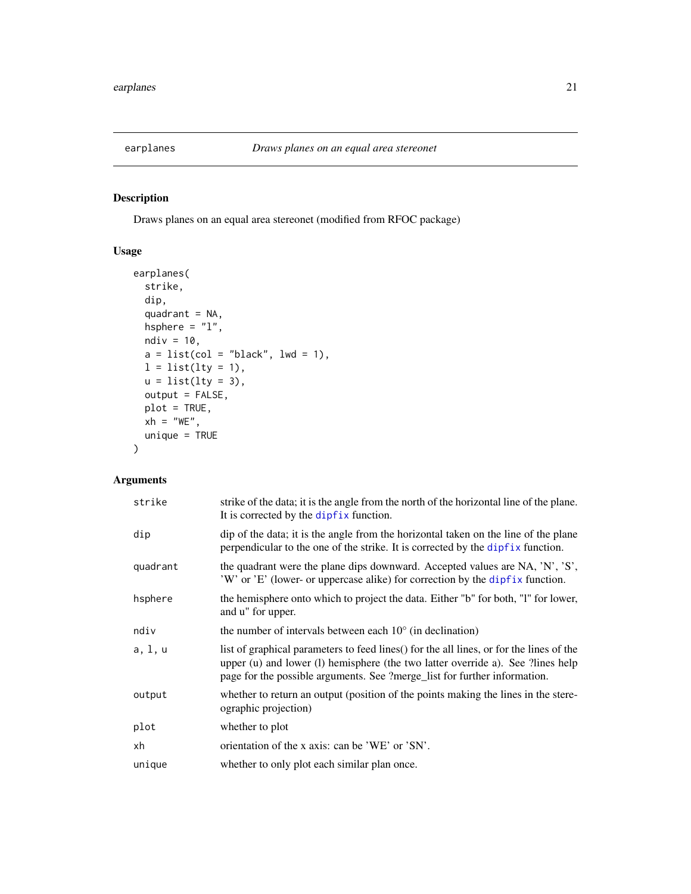<span id="page-20-1"></span><span id="page-20-0"></span>

### Description

Draws planes on an equal area stereonet (modified from RFOC package)

### Usage

```
earplanes(
  strike,
  dip,
  quadrant = NA,
 hsphere = "1",ndiv = 10,
 a = list(col = "black", lwd = 1),l = list(lty = 1),u = list(lty = 3),output = FALSE,
 plot = TRUE,
 xh = "WE",unique = TRUE\mathcal{L}
```
### Arguments

| strike   | strike of the data; it is the angle from the north of the horizontal line of the plane.<br>It is corrected by the dipfix function.                                                                                                                      |
|----------|---------------------------------------------------------------------------------------------------------------------------------------------------------------------------------------------------------------------------------------------------------|
| dip      | dip of the data; it is the angle from the horizontal taken on the line of the plane<br>perpendicular to the one of the strike. It is corrected by the dipfix function.                                                                                  |
| quadrant | the quadrant were the plane dips downward. Accepted values are NA, 'N', 'S',<br>'W' or 'E' (lower- or uppercase alike) for correction by the dipfix function.                                                                                           |
| hsphere  | the hemisphere onto which to project the data. Either "b" for both, "l" for lower,<br>and u" for upper.                                                                                                                                                 |
| ndiv     | the number of intervals between each $10^{\circ}$ (in declination)                                                                                                                                                                                      |
| a, 1, u  | list of graphical parameters to feed lines() for the all lines, or for the lines of the<br>upper (u) and lower (l) hemisphere (the two latter override a). See ?lines help<br>page for the possible arguments. See ?merge_list for further information. |
| output   | whether to return an output (position of the points making the lines in the stere-<br>ographic projection)                                                                                                                                              |
| plot     | whether to plot                                                                                                                                                                                                                                         |
| xh       | orientation of the x axis: can be 'WE' or 'SN'.                                                                                                                                                                                                         |
| unique   | whether to only plot each similar plan once.                                                                                                                                                                                                            |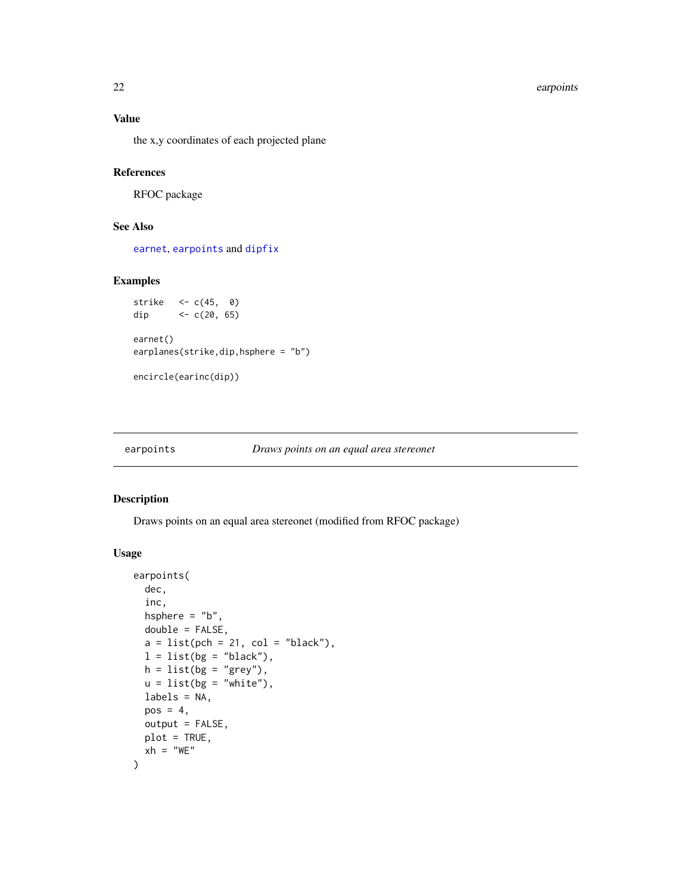### Value

the x,y coordinates of each projected plane

#### References

RFOC package

#### See Also

[earnet](#page-18-2), [earpoints](#page-21-1) and [dipfix](#page-16-1)

#### Examples

```
strike <- c(45, 0)
dip <- c(20, 65)earnet()
earplanes(strike,dip,hsphere = "b")
```
encircle(earinc(dip))

#### <span id="page-21-1"></span>earpoints *Draws points on an equal area stereonet*

#### Description

Draws points on an equal area stereonet (modified from RFOC package)

### Usage

```
earpoints(
  dec,
  inc,
 hsphere = "b",
 double = FALSE,a = list(pch = 21, col = "black"),
 l = list(bg = "black"),
 h = list(bg = "grey"),u = list(bg = "white"),
 labels = NA,
 pos = 4,
 output = FALSE,
 plot = TRUE,
 xh = "WE")
```
<span id="page-21-0"></span>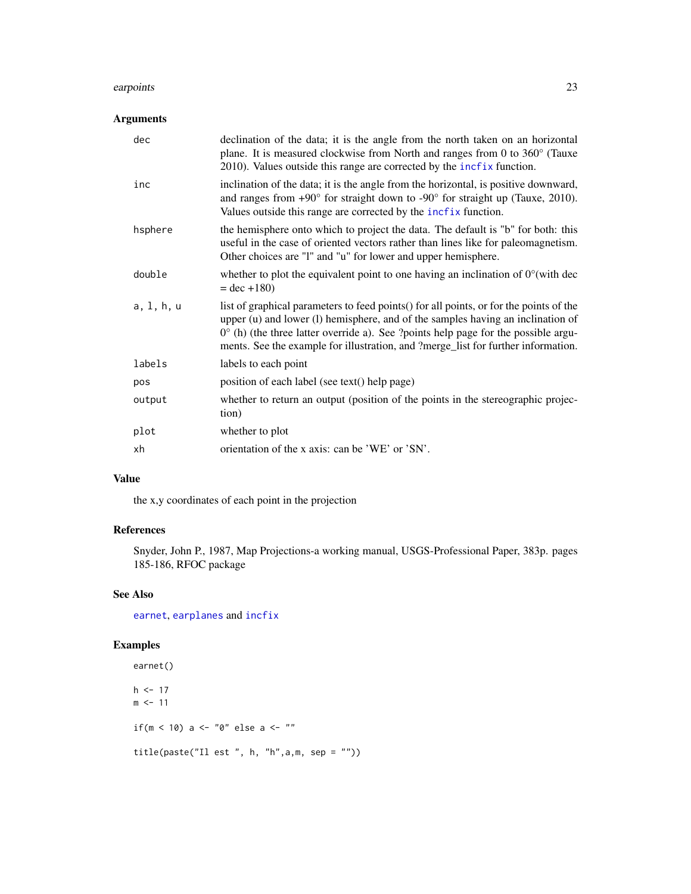#### earpoints 23

### Arguments

| dec        | declination of the data; it is the angle from the north taken on an horizontal<br>plane. It is measured clockwise from North and ranges from 0 to $360^{\circ}$ (Tauxe<br>$2010$ ). Values outside this range are corrected by the $\inf_{x}$ function.                                                                                                       |
|------------|---------------------------------------------------------------------------------------------------------------------------------------------------------------------------------------------------------------------------------------------------------------------------------------------------------------------------------------------------------------|
| inc        | inclination of the data; it is the angle from the horizontal, is positive downward,<br>and ranges from $+90^{\circ}$ for straight down to $-90^{\circ}$ for straight up (Tauxe, 2010).<br>Values outside this range are corrected by the incfix function.                                                                                                     |
| hsphere    | the hemisphere onto which to project the data. The default is "b" for both: this<br>useful in the case of oriented vectors rather than lines like for paleomagnetism.<br>Other choices are "1" and "u" for lower and upper hemisphere.                                                                                                                        |
| double     | whether to plot the equivalent point to one having an inclination of $0^{\circ}$ (with dec<br>$=$ dec +180)                                                                                                                                                                                                                                                   |
| a, 1, h, u | list of graphical parameters to feed points() for all points, or for the points of the<br>upper (u) and lower (l) hemisphere, and of the samples having an inclination of<br>$0^{\circ}$ (h) (the three latter override a). See ?points help page for the possible argu-<br>ments. See the example for illustration, and ?merge_list for further information. |
| labels     | labels to each point                                                                                                                                                                                                                                                                                                                                          |
| pos        | position of each label (see text() help page)                                                                                                                                                                                                                                                                                                                 |
| output     | whether to return an output (position of the points in the stereographic projec-<br>tion)                                                                                                                                                                                                                                                                     |
| plot       | whether to plot                                                                                                                                                                                                                                                                                                                                               |
| xh         | orientation of the x axis: can be 'WE' or 'SN'.                                                                                                                                                                                                                                                                                                               |

### Value

the x,y coordinates of each point in the projection

## References

Snyder, John P., 1987, Map Projections-a working manual, USGS-Professional Paper, 383p. pages 185-186, RFOC package

### See Also

[earnet](#page-18-2), [earplanes](#page-20-1) and [incfix](#page-39-1)

```
earnet()
h <- 17
m <- 11
if(m < 10) a <- "0" else a <- ""
title(paste("Il est ", h, "h",a,m, sep = ""))
```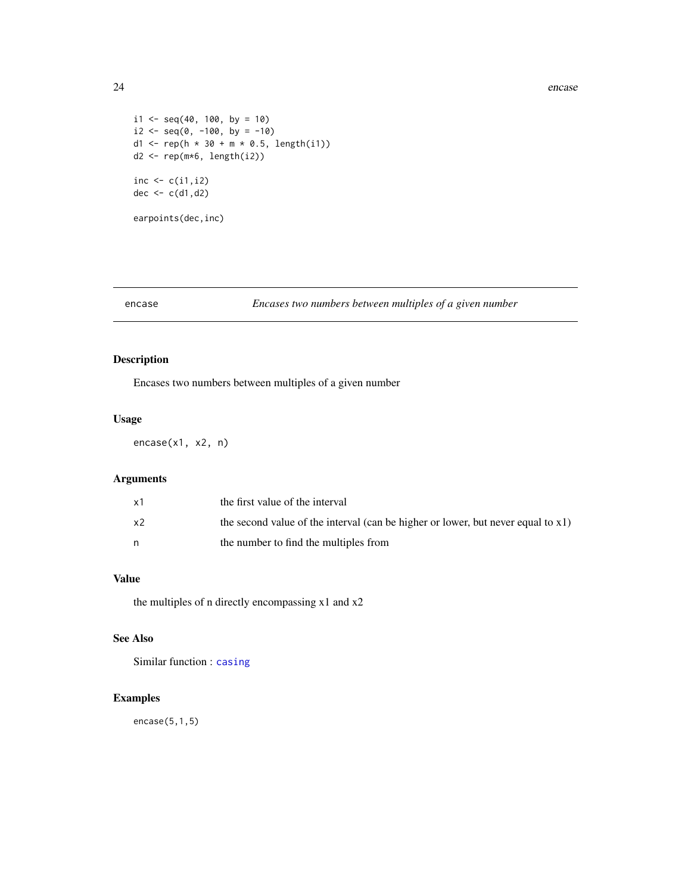```
i1 <- seq(40, 100, by = 10)
i2 \leq -seq(0, -100, by = -10)d1 <- rep(h * 30 + m * 0.5, length(i1))d2 \leq -\operatorname{rep}(\mathfrak{m} \star 6, \operatorname{length}(i2))inc \leftarrow c(i1,i2)
dec \leftarrow c(d1,d2)
earpoints(dec,inc)
```
### <span id="page-23-1"></span>encase *Encases two numbers between multiples of a given number*

### Description

Encases two numbers between multiples of a given number

#### Usage

encase(x1, x2, n)

### Arguments

| x1 | the first value of the interval                                                     |
|----|-------------------------------------------------------------------------------------|
| x2 | the second value of the interval (can be higher or lower, but never equal to $x1$ ) |
|    | the number to find the multiples from                                               |

### Value

the multiples of n directly encompassing x1 and x2

### See Also

Similar function : [casing](#page-8-2)

### Examples

encase(5,1,5)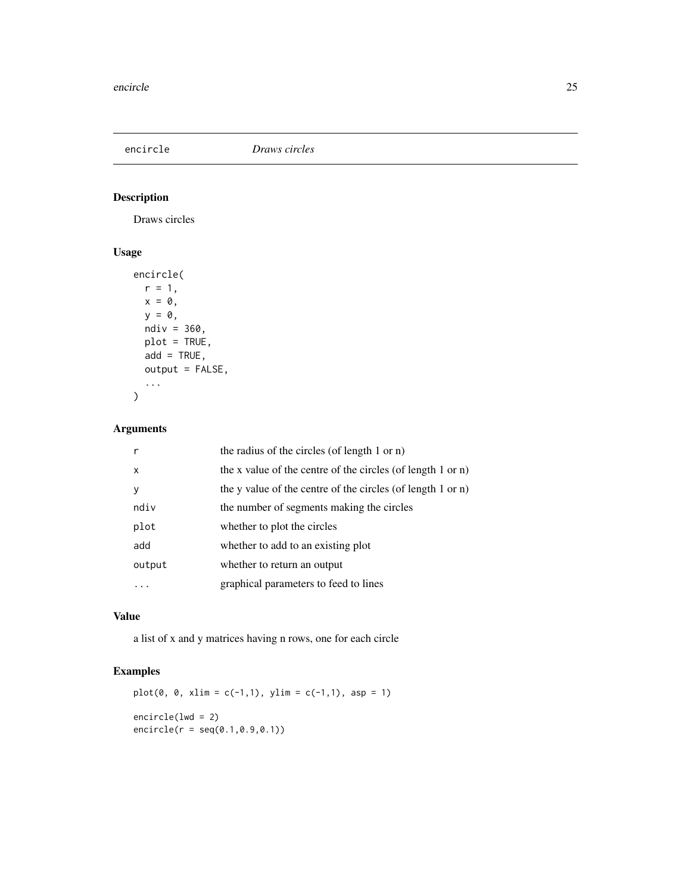<span id="page-24-0"></span>encircle *Draws circles*

### Description

Draws circles

### Usage

```
encircle(
 r = 1,
 x = 0,
 y = 0,
 ndiv = 360,plot = TRUE,
 add = TRUE,output = FALSE,
  ...
)
```
### Arguments

|        | the radius of the circles (of length 1 or n)                |
|--------|-------------------------------------------------------------|
| x      | the x value of the centre of the circles (of length 1 or n) |
| У      | the y value of the centre of the circles (of length 1 or n) |
| ndiv   | the number of segments making the circles                   |
| plot   | whether to plot the circles                                 |
| add    | whether to add to an existing plot                          |
| output | whether to return an output                                 |
|        | graphical parameters to feed to lines                       |
|        |                                                             |

### Value

a list of x and y matrices having n rows, one for each circle

```
plot(0, 0, xlim = c(-1,1), ylim = c(-1,1), asp = 1)encircle(lwd = 2)
encircle(r = seq(0.1,0.9,0.1))
```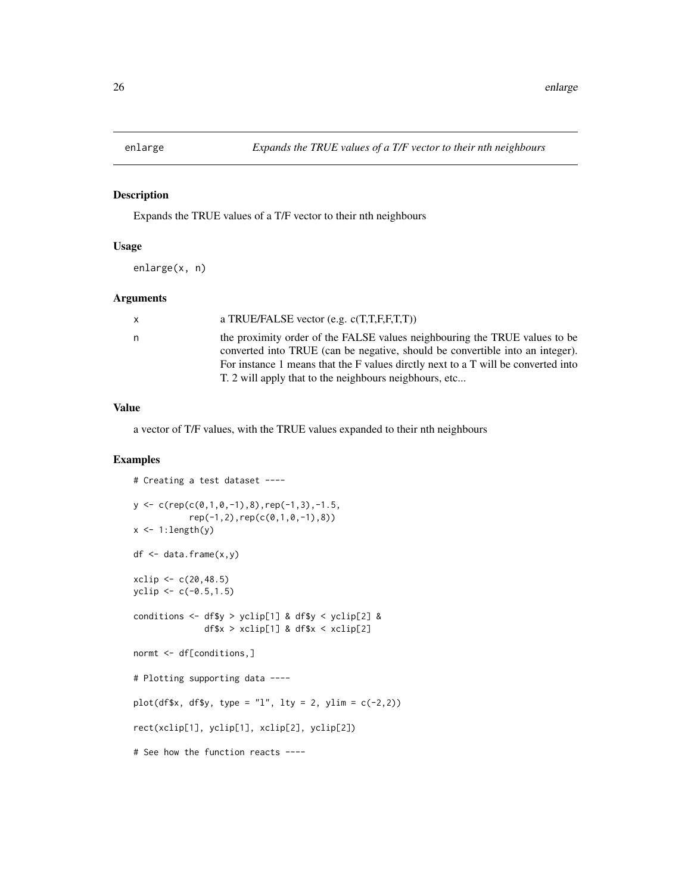<span id="page-25-0"></span>

### Description

Expands the TRUE values of a T/F vector to their nth neighbours

#### Usage

enlarge(x, n)

#### Arguments

| x. | a TRUE/FALSE vector (e.g. $c(T, T, F, F, T, T)$ )                                                                                                                                                                                                                                                           |
|----|-------------------------------------------------------------------------------------------------------------------------------------------------------------------------------------------------------------------------------------------------------------------------------------------------------------|
| n  | the proximity order of the FALSE values neighbouring the TRUE values to be<br>converted into TRUE (can be negative, should be convertible into an integer).<br>For instance 1 means that the F values directly next to a T will be converted into<br>T. 2 will apply that to the neighbours neigbhours, etc |
|    |                                                                                                                                                                                                                                                                                                             |

#### Value

a vector of T/F values, with the TRUE values expanded to their nth neighbours

```
# Creating a test dataset ----
y \leftarrow c(rep(c(0,1,0,-1),8),rep(-1,3),-1.5,rep(-1,2),rep(c(0,1,0,-1),8))
x \leftarrow 1: length(y)
df <- data.frame(x,y)
xclip <- c(20,48.5)
yclip <- c(-0.5,1.5)
conditions <- df$y > yclip[1] & df$y < yclip[2] &
              df$x > xclip[1] & df$x < xclip[2]
normt <- df[conditions,]
# Plotting supporting data ----
plot(df$x, df$y, type = "l", lty = 2, ylim = c(-2,2))rect(xclip[1], yclip[1], xclip[2], yclip[2])
# See how the function reacts ----
```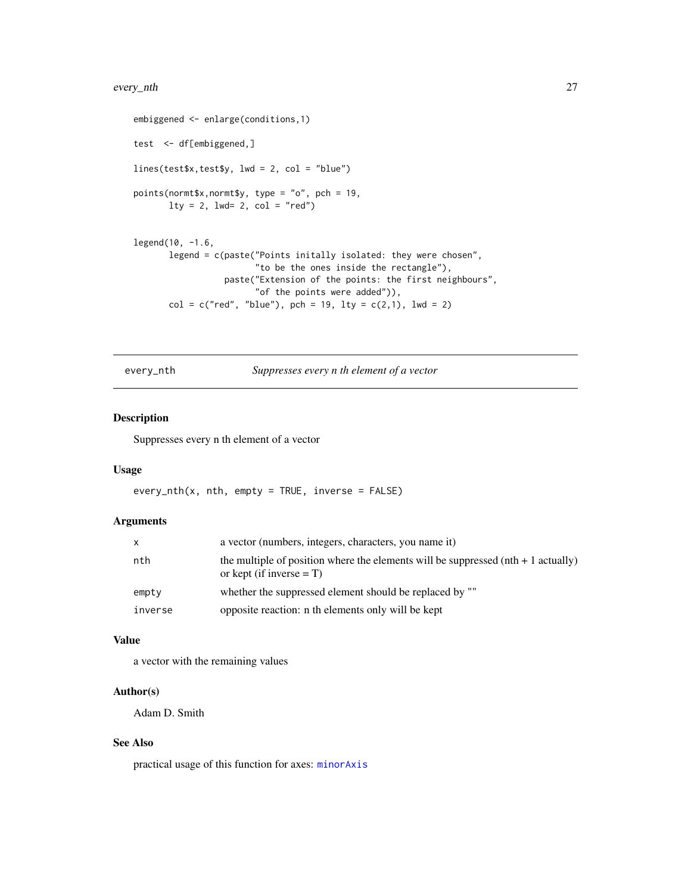#### <span id="page-26-0"></span>every\_nth 27

```
embiggened <- enlarge(conditions,1)
test <- df[embiggened,]
lines(test$x,test$y, lwd = 2, col = "blue")
points(normt$x,normt$y, type = "o", pch = 19,
       lty = 2, lwd = 2, col = "red")legend(10, -1.6,
       legend = c(paste("Points initally isolated: they were chosen",
                        "to be the ones inside the rectangle"),
                  paste("Extension of the points: the first neighbours",
                        "of the points were added")),
       col = c("red", "blue"), pch = 19, lty = c(2,1), lwd = 2)
```
every\_nth *Suppresses every n th element of a vector*

### Description

Suppresses every n th element of a vector

#### Usage

every\_nth(x, nth, empty = TRUE, inverse = FALSE)

### Arguments

| X       | a vector (numbers, integers, characters, you name it)                                                             |
|---------|-------------------------------------------------------------------------------------------------------------------|
| nth     | the multiple of position where the elements will be suppressed $(nt + 1$ actually)<br>or kept (if inverse $= T$ ) |
| empty   | whether the suppressed element should be replaced by ""                                                           |
| inverse | opposite reaction: n th elements only will be kept                                                                |

### Value

a vector with the remaining values

#### Author(s)

Adam D. Smith

### See Also

practical usage of this function for axes: [minorAxis](#page-47-1)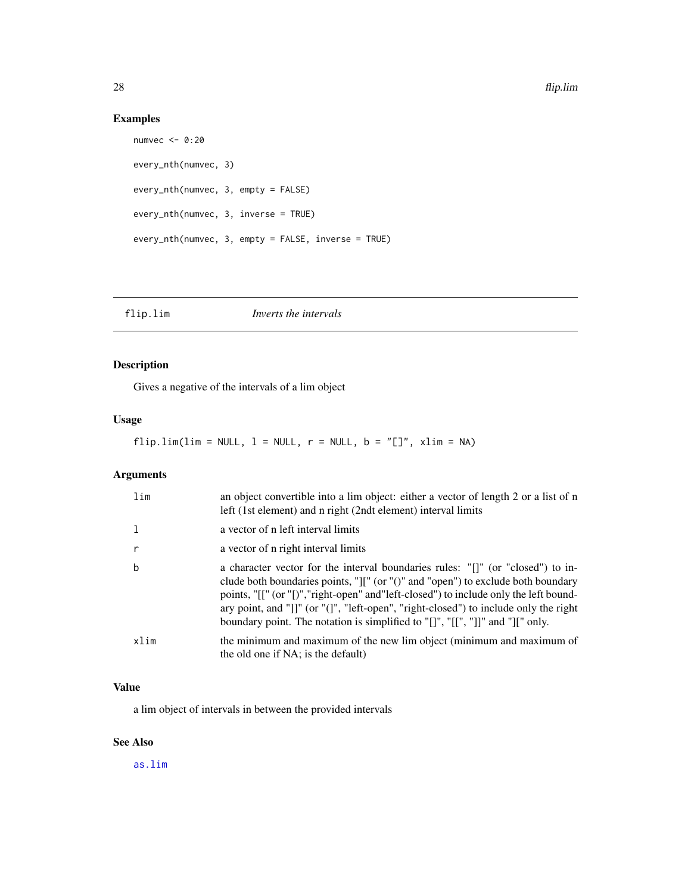### Examples

```
numvec <- 0:20
every_nth(numvec, 3)
every_nth(numvec, 3, empty = FALSE)
every_nth(numvec, 3, inverse = TRUE)
every_nth(numvec, 3, empty = FALSE, inverse = TRUE)
```
<span id="page-27-1"></span>

| flip.lim | Inverts the intervals |  |
|----------|-----------------------|--|
|----------|-----------------------|--|

### Description

Gives a negative of the intervals of a lim object

### Usage

### flip.lim(lim = NULL,  $l$  = NULL,  $r$  = NULL,  $b$  = "[]", xlim = NA)

### Arguments

| lim          | an object convertible into a lim object: either a vector of length 2 or a list of n<br>left (1st element) and n right (2ndt element) interval limits                                                                                                                                                                                                                                                                                                                                                            |
|--------------|-----------------------------------------------------------------------------------------------------------------------------------------------------------------------------------------------------------------------------------------------------------------------------------------------------------------------------------------------------------------------------------------------------------------------------------------------------------------------------------------------------------------|
| -1           | a vector of n left interval limits                                                                                                                                                                                                                                                                                                                                                                                                                                                                              |
| $\mathsf{r}$ | a vector of n right interval limits                                                                                                                                                                                                                                                                                                                                                                                                                                                                             |
| $\mathbf b$  | a character vector for the interval boundaries rules: "[]" (or "closed") to in-<br>clude both boundaries points, " $\vert\vert\vert$ " (or " $\vert\vert$ " and "open") to exclude both boundary<br>points, "[[" (or "[)", "right-open" and "left-closed") to include only the left bound-<br>ary point, and " $\vert \vert \vert$ " (or " $\vert \vert \vert \vert$ ", "left-open", "right-closed") to include only the right<br>boundary point. The notation is simplified to "[]", "[[", "]]" and "][" only. |
| xlim         | the minimum and maximum of the new lim object (minimum and maximum of<br>the old one if NA; is the default)                                                                                                                                                                                                                                                                                                                                                                                                     |

### Value

a lim object of intervals in between the provided intervals

### See Also

[as.lim](#page-2-1)

<span id="page-27-0"></span>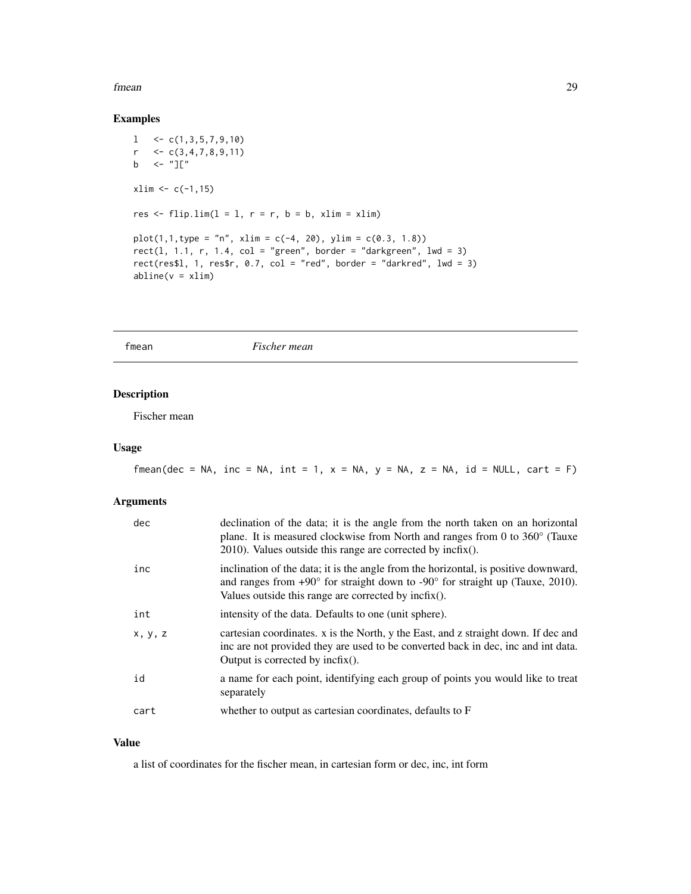#### <span id="page-28-0"></span>fmean 29

### Examples

```
1 \leq C(1,3,5,7,9,10)r \leq -c(3,4,7,8,9,11)b \leftarrow "]["
xlim < -c(-1,15)res \le flip.lim(l = l, r = r, b = b, xlim = xlim)
plot(1,1,type = "n", xlim = c(-4, 20), ylim = c(0.3, 1.8))rect(1, 1.1, r, 1.4, col = "green", border = "darkgreen", lwd = 3)rect(res$l, 1, res$r, 0.7, col = "red", border = "darkred", lwd = 3)
abline(v = xlim)
```
fmean *Fischer mean*

### Description

Fischer mean

### Usage

fmean(dec = NA, inc = NA, int = 1,  $x = NA$ ,  $y = NA$ ,  $z = NA$ , id = NULL, cart = F)

#### Arguments

| dec     | declination of the data; it is the angle from the north taken on an horizontal<br>plane. It is measured clockwise from North and ranges from 0 to 360° (Tauxe<br>$2010$ ). Values outside this range are corrected by incfix().                |
|---------|------------------------------------------------------------------------------------------------------------------------------------------------------------------------------------------------------------------------------------------------|
| inc     | inclination of the data; it is the angle from the horizontal, is positive downward,<br>and ranges from $+90^{\circ}$ for straight down to $-90^{\circ}$ for straight up (Tauxe, 2010).<br>Values outside this range are corrected by incfix(). |
| int     | intensity of the data. Defaults to one (unit sphere).                                                                                                                                                                                          |
| x, y, z | cartesian coordinates. x is the North, y the East, and z straight down. If dec and<br>inc are not provided they are used to be converted back in dec, inc and int data.<br>Output is corrected by $\text{incfix}()$ .                          |
| id      | a name for each point, identifying each group of points you would like to treat<br>separately                                                                                                                                                  |
| cart    | whether to output as cartesian coordinates, defaults to F                                                                                                                                                                                      |

#### Value

a list of coordinates for the fischer mean, in cartesian form or dec, inc, int form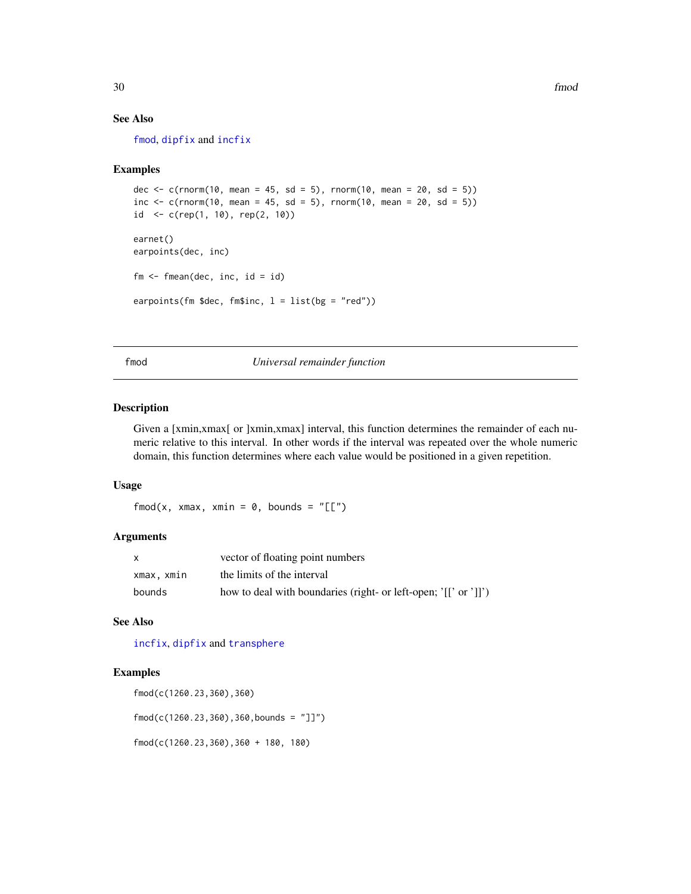### See Also

[fmod](#page-29-1), [dipfix](#page-16-1) and [incfix](#page-39-1)

#### Examples

```
dec <- c(rnorm(10, mean = 45, sd = 5), rnorm(10, mean = 20, sd = 5))
inc <- c(rnorm(10, mean = 45, sd = 5), rnorm(10, mean = 20, sd = 5))
id <- c(rep(1, 10), rep(2, 10))
earnet()
earpoints(dec, inc)
fm \leq -\text{fmean}(dec, inc, id = id)earpoints(fm $dec, fm$inc, l = list(bg = "red"))
```
<span id="page-29-1"></span>fmod *Universal remainder function*

#### Description

Given a [xmin,xmax] or ]xmin,xmax] interval, this function determines the remainder of each numeric relative to this interval. In other words if the interval was repeated over the whole numeric domain, this function determines where each value would be positioned in a given repetition.

#### Usage

fmod(x, xmax, xmin =  $0$ , bounds = " $[[]$ ")

#### Arguments

| x          | vector of floating point numbers                                |
|------------|-----------------------------------------------------------------|
| xmax, xmin | the limits of the interval                                      |
| bounds     | how to deal with boundaries (right- or left-open; '[[' or ']]') |

### See Also

[incfix](#page-39-1), [dipfix](#page-16-1) and [transphere](#page-93-1)

#### Examples

fmod(c(1260.23,360),360)

fmod(c(1260.23,360),360,bounds = "]]")

fmod(c(1260.23,360),360 + 180, 180)

<span id="page-29-0"></span>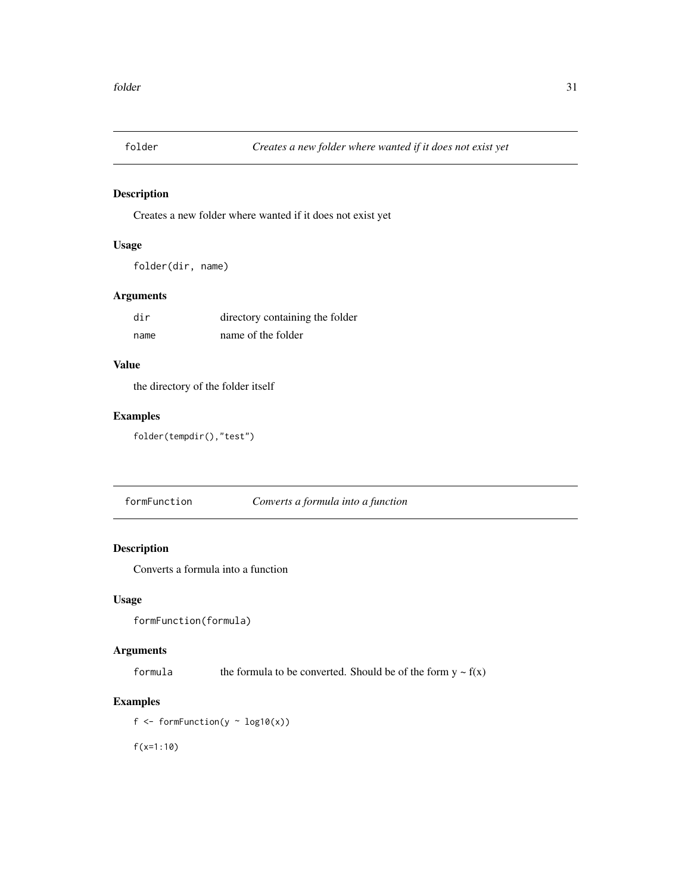<span id="page-30-0"></span>

### Description

Creates a new folder where wanted if it does not exist yet

### Usage

```
folder(dir, name)
```
### Arguments

| dir  | directory containing the folder |
|------|---------------------------------|
| name | name of the folder              |

### Value

the directory of the folder itself

### Examples

folder(tempdir(),"test")

formFunction *Converts a formula into a function*

### Description

Converts a formula into a function

### Usage

formFunction(formula)

### Arguments

formula the formula to be converted. Should be of the form  $y \sim f(x)$ 

## Examples

f  $\le$  formFunction(y  $\sim$  log10(x))

f(x=1:10)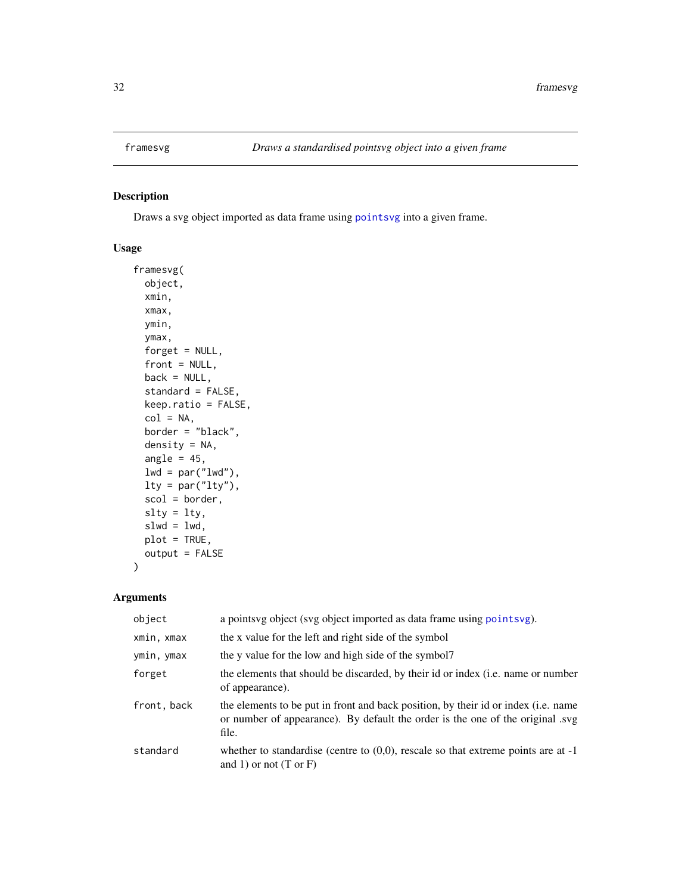### <span id="page-31-1"></span><span id="page-31-0"></span>Description

Draws a svg object imported as data frame using [pointsvg](#page-64-1) into a given frame.

### Usage

```
framesvg(
 object,
  xmin,
  xmax,
 ymin,
 ymax,
  forget = NULL,front = NULL,
 back = NULL,standard = FALSE,
  keep.ratio = FALSE,
  col = NA,
 border = "black",
  density = NA,
  angle = 45,
  lwd = par("lwd"),
  lty = par("lty"),
  scol = border,
  slty = lty,
  slwd = 1wd,plot = TRUE,
 output = FALSE\mathcal{L}
```
### Arguments

| object      | a points vg object (svg object imported as data frame using points vg).                                                                                                       |
|-------------|-------------------------------------------------------------------------------------------------------------------------------------------------------------------------------|
| xmin, xmax  | the x value for the left and right side of the symbol                                                                                                                         |
| ymin, ymax  | the y value for the low and high side of the symbol?                                                                                                                          |
| forget      | the elements that should be discarded, by their id or index (i.e. name or number<br>of appearance).                                                                           |
| front, back | the elements to be put in front and back position, by their id or index (i.e. name<br>or number of appearance). By default the order is the one of the original .svg<br>file. |
| standard    | whether to standardise (centre to $(0,0)$ , rescale so that extreme points are at -1<br>and 1) or not $(T \text{ or } F)$                                                     |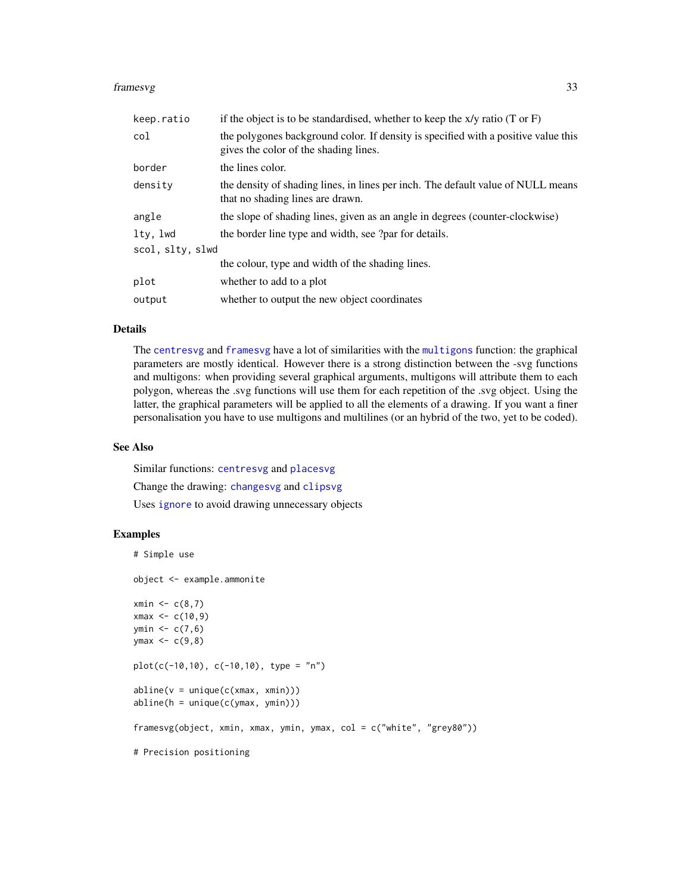#### framesvg 33

| keep.ratio       | if the object is to be standardised, whether to keep the $x/y$ ratio (T or F)                                               |
|------------------|-----------------------------------------------------------------------------------------------------------------------------|
| col              | the polygones background color. If density is specified with a positive value this<br>gives the color of the shading lines. |
| border           | the lines color.                                                                                                            |
| density          | the density of shading lines, in lines per inch. The default value of NULL means<br>that no shading lines are drawn.        |
| angle            | the slope of shading lines, given as an angle in degrees (counter-clockwise)                                                |
| ltv. lwd         | the border line type and width, see ?par for details.                                                                       |
| scol, slty, slwd |                                                                                                                             |
|                  | the colour, type and width of the shading lines.                                                                            |
| plot             | whether to add to a plot                                                                                                    |
| output           | whether to output the new object coordinates                                                                                |

#### Details

The [centresvg](#page-8-1) and [framesvg](#page-31-1) have a lot of similarities with the [multigons](#page-49-1) function: the graphical parameters are mostly identical. However there is a strong distinction between the -svg functions and multigons: when providing several graphical arguments, multigons will attribute them to each polygon, whereas the .svg functions will use them for each repetition of the .svg object. Using the latter, the graphical parameters will be applied to all the elements of a drawing. If you want a finer personalisation you have to use multigons and multilines (or an hybrid of the two, yet to be coded).

#### See Also

Similar functions: [centresvg](#page-8-1) and [placesvg](#page-62-1) Change the drawing: [changesvg](#page-11-1) and [clipsvg](#page-12-1) Uses [ignore](#page-36-1) to avoid drawing unnecessary objects

```
# Simple use
object <- example.ammonite
xmin \leq c(8,7)xmax < -c(10, 9)ymin < -c(7, 6)ymax < -c(9,8)plot(c(-10,10), c(-10,10), type = "n")abline(v = unique(c(xmax, xmin)))abline(h = unique(c(ymax, ymin)))framesvg(object, xmin, xmax, ymin, ymax, col = c("white", "grey80"))
# Precision positioning
```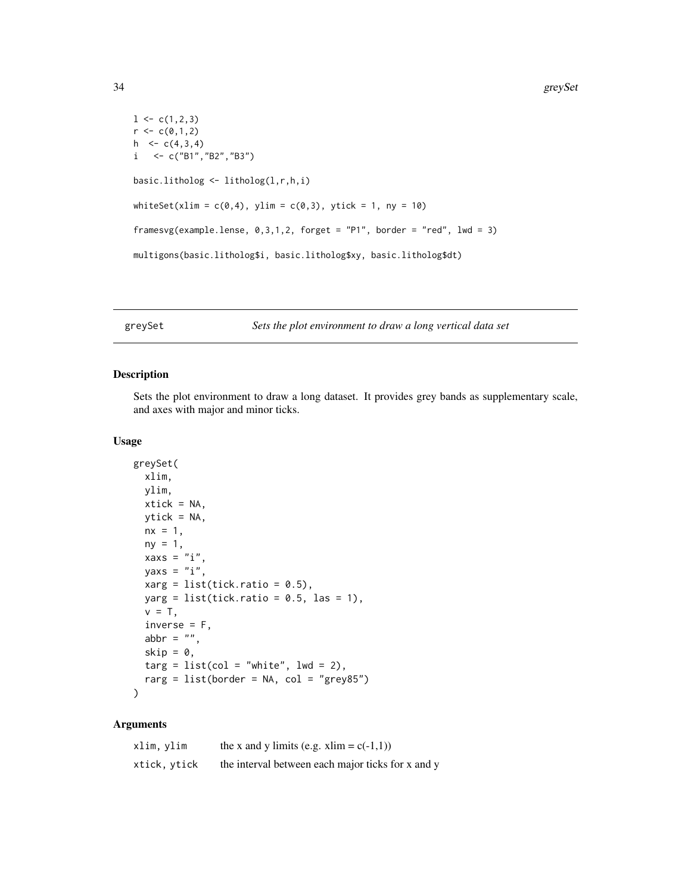```
1 \leftarrow c(1,2,3)r < -c(0,1,2)h \leq c(4,3,4)i \leftarrow c("B1", "B2", "B3")basic.litholog <- litholog(l,r,h,i)
whiteSet(xlim = c(\emptyset, 4), ylim = c(\emptyset, 3), ytick = 1, ny = 10)
framesvg(example.lense, 0,3,1,2, forget = "P1", border = "red", lwd = 3)
multigons(basic.litholog$i, basic.litholog$xy, basic.litholog$dt)
```
<span id="page-33-1"></span>greySet *Sets the plot environment to draw a long vertical data set*

### Description

Sets the plot environment to draw a long dataset. It provides grey bands as supplementary scale, and axes with major and minor ticks.

### Usage

```
greySet(
  xlim,
  ylim,
  xtick = NA,
  ytick = NA,
  nx = 1,
  ny = 1,xaxs = "i",yaxs = "i",xarg = list(tick.ratio = 0.5),
  yarg = list(tick.ratio = 0.5, las = 1),v = T,
  inverse = F,
  abbr = ",
  skip = 0,\text{targ} = \text{list}(\text{col} = \text{"white",} \text{ lwd} = 2),rarg = list(border = NA, col = "grey85"))
```
#### Arguments

| xlim, ylim   | the x and y limits (e.g. xlim = $c(-1,1)$ )       |
|--------------|---------------------------------------------------|
| xtick, ytick | the interval between each major ticks for x and y |

<span id="page-33-0"></span>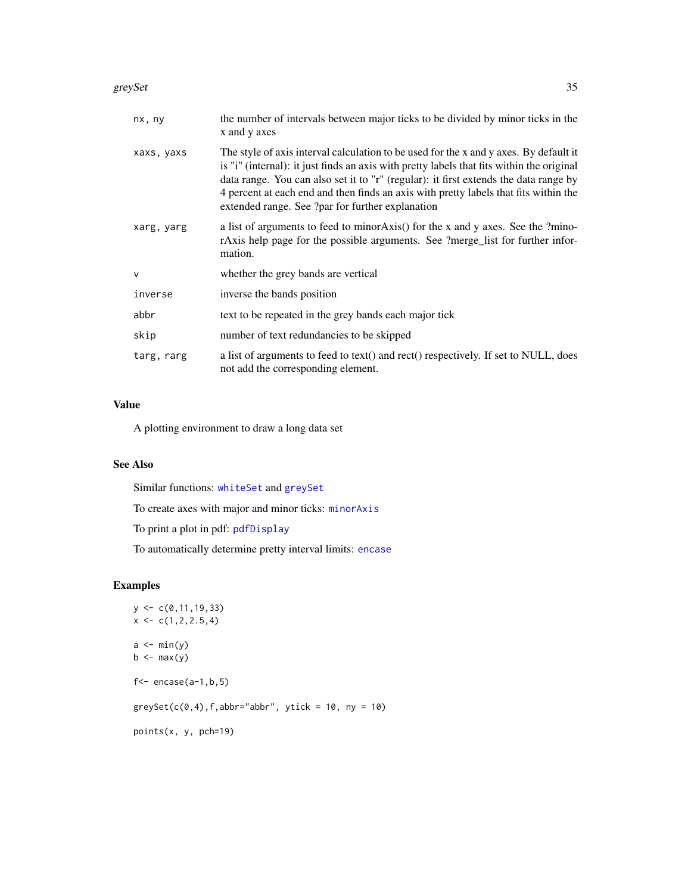#### greySet 35

| nx, ny     | the number of intervals between major ticks to be divided by minor ticks in the<br>x and y axes                                                                                                                                                                                                                                                                                                                        |
|------------|------------------------------------------------------------------------------------------------------------------------------------------------------------------------------------------------------------------------------------------------------------------------------------------------------------------------------------------------------------------------------------------------------------------------|
| xaxs, yaxs | The style of axis interval calculation to be used for the x and y axes. By default it<br>is "i" (internal): it just finds an axis with pretty labels that fits within the original<br>data range. You can also set it to "r" (regular): it first extends the data range by<br>4 percent at each end and then finds an axis with pretty labels that fits within the<br>extended range. See ?par for further explanation |
| xarg, yarg | a list of arguments to feed to minor Axis() for the x and y axes. See the ?mino-<br>rAxis help page for the possible arguments. See ?merge_list for further infor-<br>mation.                                                                                                                                                                                                                                          |
| $\vee$     | whether the grey bands are vertical                                                                                                                                                                                                                                                                                                                                                                                    |
| inverse    | inverse the bands position                                                                                                                                                                                                                                                                                                                                                                                             |
| abbr       | text to be repeated in the grey bands each major tick                                                                                                                                                                                                                                                                                                                                                                  |
| skip       | number of text redundancies to be skipped                                                                                                                                                                                                                                                                                                                                                                              |
| targ, rarg | a list of arguments to feed to text() and rect() respectively. If set to NULL, does<br>not add the corresponding element.                                                                                                                                                                                                                                                                                              |

### Value

A plotting environment to draw a long data set

### See Also

Similar functions: [whiteSet](#page-97-1) and [greySet](#page-33-1)

To create axes with major and minor ticks: [minorAxis](#page-47-1)

To print a plot in pdf: [pdfDisplay](#page-60-1)

To automatically determine pretty interval limits: [encase](#page-23-1)

```
y \leftarrow c(0, 11, 19, 33)x \leftarrow c(1, 2, 2.5, 4)a \leftarrow min(y)b \leftarrow max(y)f <- encase(a-1,b,5)greySet(c(0,4), f, abbr="abbr", ytick = 10, ny = 10)points(x, y, pch=19)
```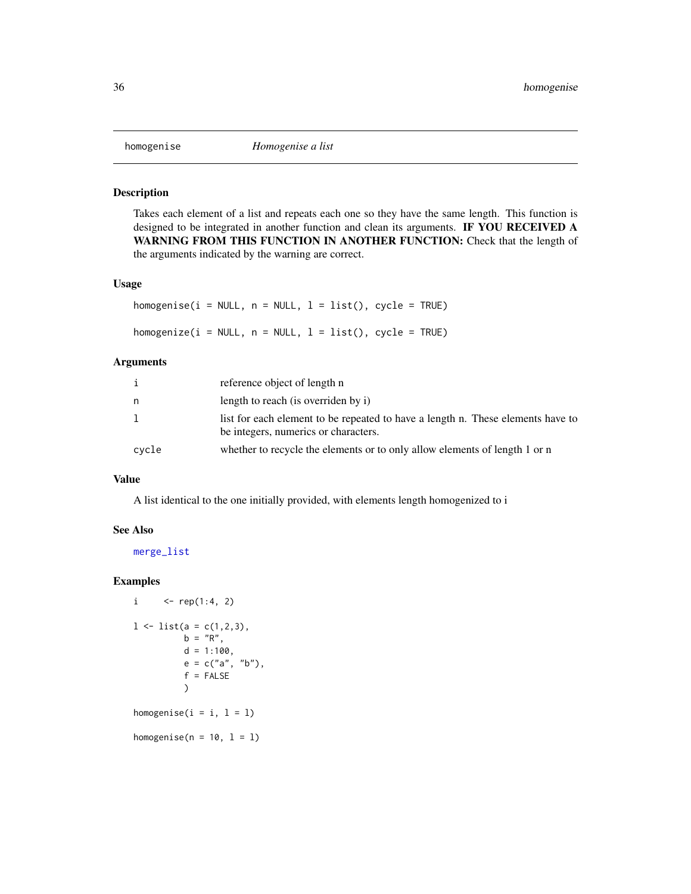<span id="page-35-0"></span>

### Description

Takes each element of a list and repeats each one so they have the same length. This function is designed to be integrated in another function and clean its arguments. IF YOU RECEIVED A WARNING FROM THIS FUNCTION IN ANOTHER FUNCTION: Check that the length of the arguments indicated by the warning are correct.

### Usage

homogenise( $i = NULL$ ,  $n = NULL$ ,  $l = list()$ , cycle = TRUE) homogenize( $i = NULL$ ,  $n = NULL$ ,  $l = list()$ , cycle = TRUE)

### Arguments

|         | reference object of length n                                                                                            |
|---------|-------------------------------------------------------------------------------------------------------------------------|
| n       | length to reach (is overriden by i)                                                                                     |
| $\perp$ | list for each element to be repeated to have a length n. These elements have to<br>be integers, numerics or characters. |
| cycle   | whether to recycle the elements or to only allow elements of length 1 or n                                              |

#### Value

A list identical to the one initially provided, with elements length homogenized to i

#### See Also

[merge\\_list](#page-43-1)

#### Examples

```
i \langle - \text{rep}(1:4, 2) \rangle1 \leftarrow list(a = c(1, 2, 3),b = "R",d = 1:100,e = c("a", "b"),
           f = FALSE)
homogenise(i = i, l = 1)
```
homogenise( $n = 10$ ,  $1 = 1$ )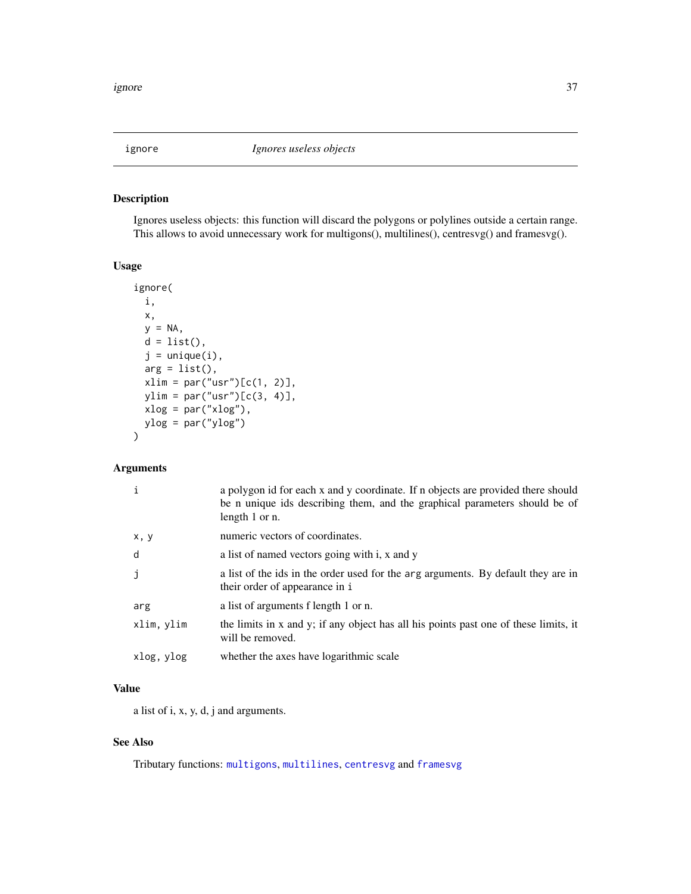<span id="page-36-0"></span>

# Description

Ignores useless objects: this function will discard the polygons or polylines outside a certain range. This allows to avoid unnecessary work for multigons(), multilines(), centresvg() and framesvg().

#### Usage

```
ignore(
 i,
 x,
 y = NA,
 d = list(),
  j = unique(i),
 arg = list(),
 xlim = par("usr")[c(1, 2)],ylim = par("usr")[c(3, 4)],xlog = par("xlog"),
 ylog = par("ylog")
```
#### Arguments

)

| $\mathbf{i}$ | a polygon id for each x and y coordinate. If n objects are provided there should<br>be n unique ids describing them, and the graphical parameters should be of<br>length 1 or n. |
|--------------|----------------------------------------------------------------------------------------------------------------------------------------------------------------------------------|
| x, y         | numeric vectors of coordinates.                                                                                                                                                  |
| d            | a list of named vectors going with i, x and y                                                                                                                                    |
| j            | a list of the ids in the order used for the arg arguments. By default they are in<br>their order of appearance in i                                                              |
| arg          | a list of arguments f length 1 or n.                                                                                                                                             |
| xlim, ylim   | the limits in x and y; if any object has all his points past one of these limits, it<br>will be removed.                                                                         |
| xlog, ylog   | whether the axes have logarithmic scale                                                                                                                                          |

## Value

a list of i, x, y, d, j and arguments.

### See Also

Tributary functions: [multigons](#page-49-0), [multilines](#page-52-0), [centresvg](#page-8-0) and [framesvg](#page-31-0)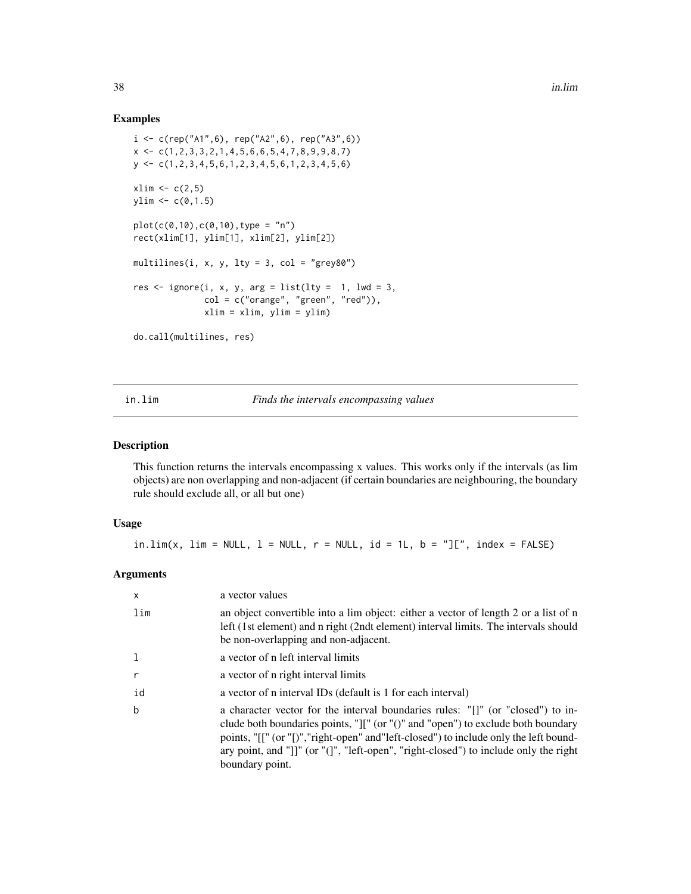#### Examples

```
i \leq c(rep("A1",6), rep("A2",6), rep("A3",6))
x \leftarrow c(1, 2, 3, 3, 2, 1, 4, 5, 6, 6, 5, 4, 7, 8, 9, 9, 8, 7)y <- c(1,2,3,4,5,6,1,2,3,4,5,6,1,2,3,4,5,6)
xlim < -c(2,5)ylim < -c(0,1.5)plot(c(0,10),c(0,10),type = "n")rect(xlim[1], ylim[1], xlim[2], ylim[2])
multilines(i, x, y, lty = 3, col = "grey80")
res \le ignore(i, x, y, arg = list(lty = 1, lwd = 3,
              col = c("orange", "green", "red"),xlim = xlim, ylim = ylim)
do.call(multilines, res)
```
in.lim *Finds the intervals encompassing values*

### Description

This function returns the intervals encompassing x values. This works only if the intervals (as lim objects) are non overlapping and non-adjacent (if certain boundaries are neighbouring, the boundary rule should exclude all, or all but one)

#### Usage

in.lim(x, lim = NULL,  $l$  = NULL,  $r$  = NULL,  $id$  = 1L,  $b$  = "][", index = FALSE)

| $\mathsf{x}$ | a vector values                                                                                                                                                                                                                                                                                                                                                                                       |
|--------------|-------------------------------------------------------------------------------------------------------------------------------------------------------------------------------------------------------------------------------------------------------------------------------------------------------------------------------------------------------------------------------------------------------|
| lim          | an object convertible into a lim object: either a vector of length 2 or a list of n<br>left (1st element) and n right (2ndt element) interval limits. The intervals should<br>be non-overlapping and non-adjacent.                                                                                                                                                                                    |
| 1            | a vector of n left interval limits                                                                                                                                                                                                                                                                                                                                                                    |
| $\mathsf{r}$ | a vector of n right interval limits                                                                                                                                                                                                                                                                                                                                                                   |
| id           | a vector of n interval IDs (default is 1 for each interval)                                                                                                                                                                                                                                                                                                                                           |
| b            | a character vector for the interval boundaries rules: "[]" (or "closed") to in-<br>clude both boundaries points, " $\vert\vert\vert$ " (or " $\vert\vert$ " and "open") to exclude both boundary<br>points, "[[" (or "[)", "right-open" and "left-closed") to include only the left bound-<br>ary point, and "]]" (or "(]", "left-open", "right-closed") to include only the right<br>boundary point. |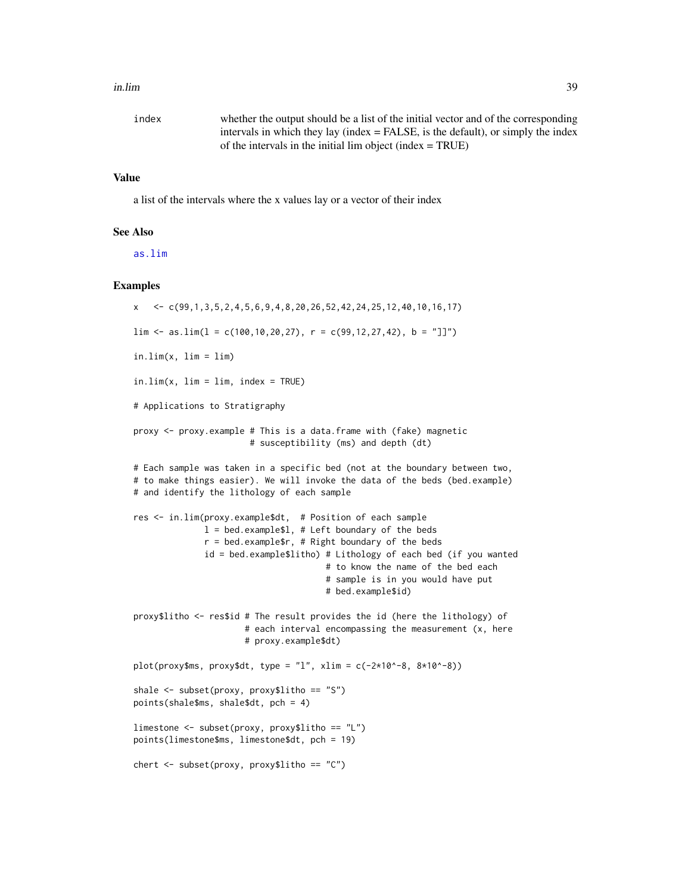#### in.lim 39

| index | whether the output should be a list of the initial vector and of the corresponding |
|-------|------------------------------------------------------------------------------------|
|       | intervals in which they lay (index $=$ FALSE, is the default), or simply the index |
|       | of the intervals in the initial $\lim_{x \to a}$ object (index = TRUE)             |

## Value

a list of the intervals where the x values lay or a vector of their index

#### See Also

[as.lim](#page-2-0)

```
x \leq C(99, 1, 3, 5, 2, 4, 5, 6, 9, 4, 8, 20, 26, 52, 42, 24, 25, 12, 40, 10, 16, 17)\lim <- as.\lim(1 = c(100, 10, 20, 27), r = c(99, 12, 27, 42), b = "]]")in.lim(x, lin = lim)in.lim(x, lin = lim, index = TRUE)# Applications to Stratigraphy
proxy <- proxy.example # This is a data.frame with (fake) magnetic
                       # susceptibility (ms) and depth (dt)
# Each sample was taken in a specific bed (not at the boundary between two,
# to make things easier). We will invoke the data of the beds (bed.example)
# and identify the lithology of each sample
res <- in.lim(proxy.example$dt, # Position of each sample
              l = bed.example$l, # Left boundary of the bedsr = bed.example; # Right boundary of the beds
              id = bed.example$litho) # Lithology of each bed (if you wanted
                                      # to know the name of the bed each
                                      # sample is in you would have put
                                      # bed.example$id)
proxy$litho <- res$id # The result provides the id (here the lithology) of
                      # each interval encompassing the measurement (x, here
                      # proxy.example$dt)
plot(prowsms, proxy$dt, type = "l", xlim = c(-2*10*-8, 8*10*-8))shale <- subset(proxy, proxy$litho == "S")
points(shale$ms, shale$dt, pch = 4)
limestone <- subset(proxy, proxy$litho == "L")
points(limestone$ms, limestone$dt, pch = 19)
chert <- subset(proxy, proxy$litho == "C")
```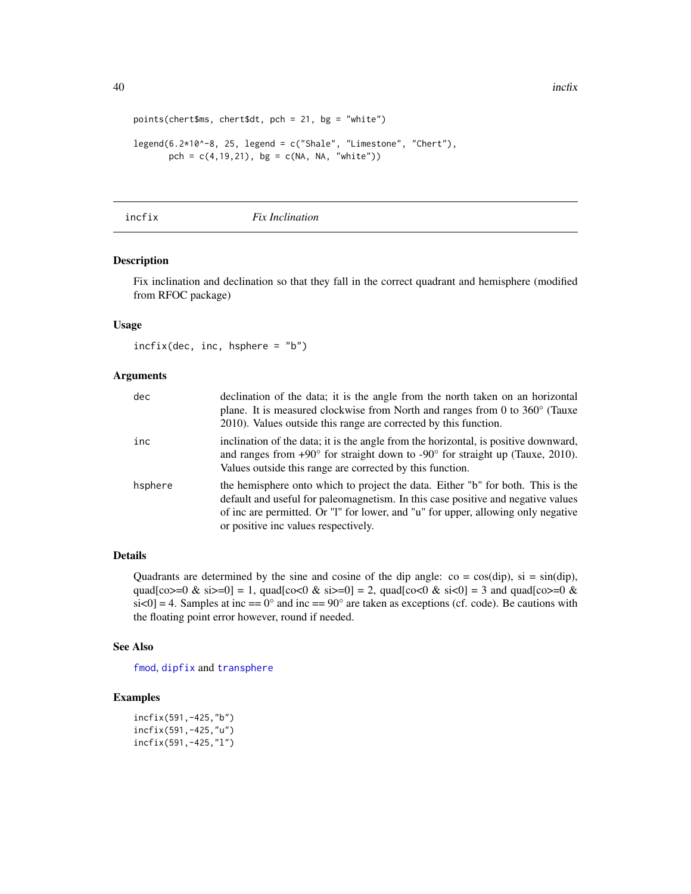40 inch x and the state of the state of the state of the state of the state of the state of the state of the state of the state of the state of the state of the state of the state of the state of the state of the state of

```
points(chert$ms, chert$dt, pch = 21, bg = "white")
legend(6.2*10^-8, 25, legend = c("Shale", "Limestone", "Chert"),
       pch = c(4, 19, 21), bg = c(NA, NA, "white")
```
#### <span id="page-39-0"></span>incfix *Fix Inclination*

## Description

Fix inclination and declination so that they fall in the correct quadrant and hemisphere (modified from RFOC package)

#### Usage

incfix(dec, inc, hsphere = "b")

#### Arguments

| dec     | declination of the data; it is the angle from the north taken on an horizontal<br>plane. It is measured clockwise from North and ranges from 0 to $360^{\circ}$ (Tauxe<br>2010). Values outside this range are corrected by this function.                                                       |
|---------|--------------------------------------------------------------------------------------------------------------------------------------------------------------------------------------------------------------------------------------------------------------------------------------------------|
| inc     | inclination of the data; it is the angle from the horizontal, is positive downward,<br>and ranges from $+90^{\circ}$ for straight down to $-90^{\circ}$ for straight up (Tauxe, 2010).<br>Values outside this range are corrected by this function.                                              |
| hsphere | the hemisphere onto which to project the data. Either "b" for both. This is the<br>default and useful for paleomagnetism. In this case positive and negative values<br>of inc are permitted. Or "I" for lower, and "u" for upper, allowing only negative<br>or positive inc values respectively. |

## Details

Quadrants are determined by the sine and cosine of the dip angle:  $\cos = \cos(\text{dip})$ ,  $\sin = \sin(\text{dip})$ , quad[co>=0 & si>=0] = 1, quad[co<0 & si>=0] = 2, quad[co<0 & si<0] = 3 and quad[co>=0 &  $s$ i<0] = 4. Samples at inc == 0° and inc == 90° are taken as exceptions (cf. code). Be cautions with the floating point error however, round if needed.

#### See Also

[fmod](#page-29-0), [dipfix](#page-16-0) and [transphere](#page-93-0)

```
incfix(591,-425,"b")
incfix(591,-425,"u")
incfix(591,-425,"l")
```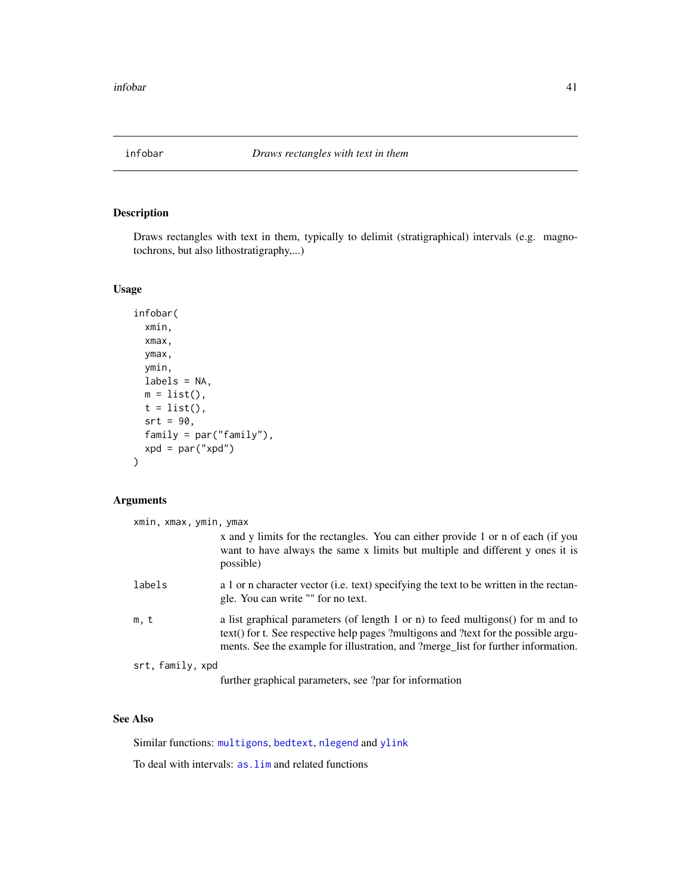<span id="page-40-0"></span>

## Description

Draws rectangles with text in them, typically to delimit (stratigraphical) intervals (e.g. magnotochrons, but also lithostratigraphy,...)

#### Usage

```
infobar(
  xmin,
 xmax,
 ymax,
 ymin,
 labels = NA,
 m = list(),
 t = list(),srt = 90,
 family = par("family"),
 xpd = par("xpd"))
```
### Arguments

| xmin, xmax, ymin, ymax |                                                                                                                                                                                                                                                             |
|------------------------|-------------------------------------------------------------------------------------------------------------------------------------------------------------------------------------------------------------------------------------------------------------|
|                        | x and y limits for the rectangles. You can either provide 1 or n of each (if you<br>want to have always the same x limits but multiple and different y ones it is<br>possible)                                                                              |
| labels                 | a 1 or n character vector (i.e. text) specifying the text to be written in the rectan-<br>gle. You can write "" for no text.                                                                                                                                |
| m, t                   | a list graphical parameters (of length 1 or n) to feed multigons() for m and to<br>text() for t. See respective help pages ?multigons and ?text for the possible argu-<br>ments. See the example for illustration, and ?merge_list for further information. |
| srt, family, xpd       |                                                                                                                                                                                                                                                             |

further graphical parameters, see ?par for information

## See Also

Similar functions: [multigons](#page-49-0), [bedtext](#page-5-0), [nlegend](#page-58-0) and [ylink](#page-98-0)

To deal with intervals: [as.lim](#page-2-0) and related functions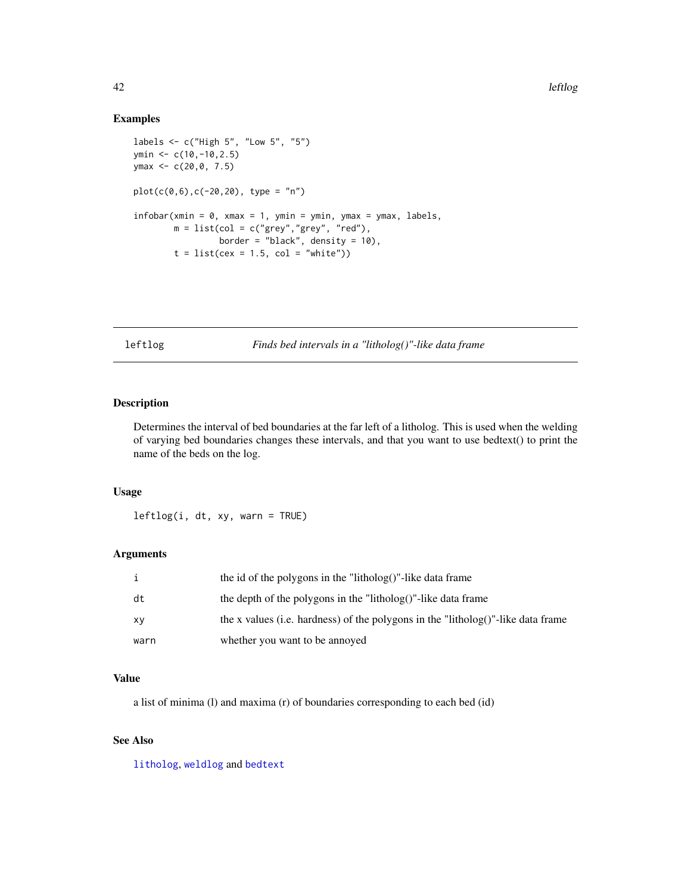#### Examples

```
labels <- c("High 5", "Low 5", "5")
ymin <- c(10,-10,2.5)
ymax <- c(20,0, 7.5)
plot(c(0,6),c(-20,20), type = "n")
infobar(xmin = 0, xmax = 1, ymin = ymin, ymax = ymax, labels,m = list(col = c("grey", "grey", "red"),border = "black", density = 10),
        t = list(cex = 1.5, col = "white")
```
leftlog *Finds bed intervals in a "litholog()"-like data frame*

## Description

Determines the interval of bed boundaries at the far left of a litholog. This is used when the welding of varying bed boundaries changes these intervals, and that you want to use bedtext() to print the name of the beds on the log.

#### Usage

 $leftlog(i, dt, xy, warn = TRUE)$ 

#### Arguments

|      | the id of the polygons in the "litholog()"-like data frame                       |
|------|----------------------------------------------------------------------------------|
| dt   | the depth of the polygons in the "litholog()"-like data frame                    |
| XV   | the x values (i.e. hardness) of the polygons in the "litholog()"-like data frame |
| warn | whether you want to be annoyed                                                   |

### Value

a list of minima (l) and maxima (r) of boundaries corresponding to each bed (id)

## See Also

[litholog](#page-42-0), [weldlog](#page-95-0) and [bedtext](#page-5-0)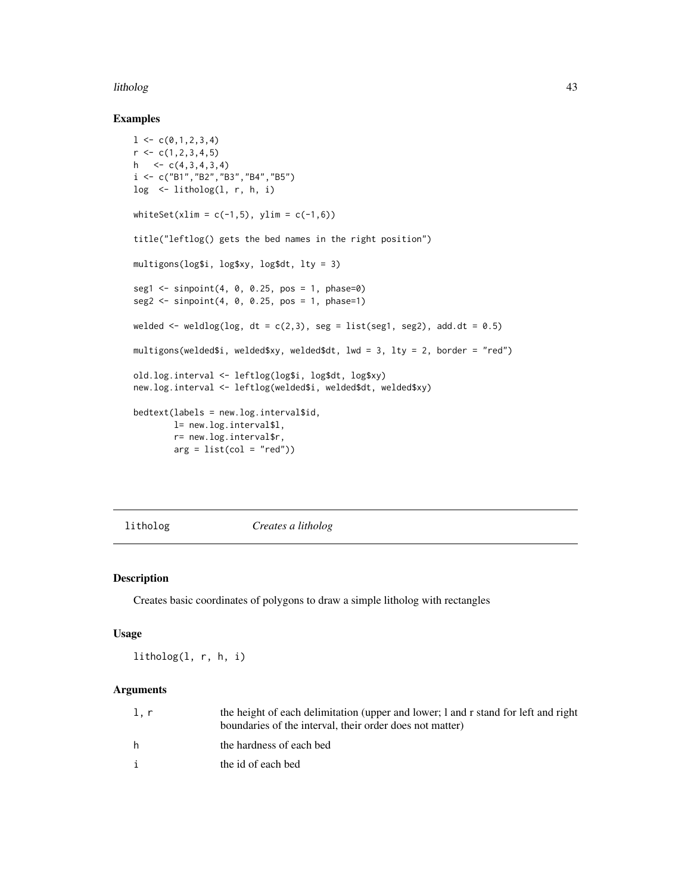#### litholog and the state of the state of the state of the state of the state of the state of the state of the state of the state of the state of the state of the state of the state of the state of the state of the state of t

#### Examples

```
1 \leftarrow c(0,1,2,3,4)r \leftarrow c(1, 2, 3, 4, 5)h \leftarrow c(4,3,4,3,4)
i <- c("B1","B2","B3","B4","B5")
log < -1itholog(1, r, h, i)whiteSet(xlim = c(-1,5), ylim = c(-1,6))
title("leftlog() gets the bed names in the right position")
multigons(log$i, log$xy, log$dt, lty = 3)
seg1 \leq s inpoint(4, 0, 0.25, pos = 1, phase=0)
seg2 \leq s inpoint(4, 0, 0.25, pos = 1, phase=1)
welded \le weldlog(log, dt = c(2,3), seg = list(seg1, seg2), add.dt = 0.5)
multigons(welded$i, welded$xy, welded$dt, lwd = 3, lty = 2, border = "red")
old.log.interval <- leftlog(log$i, log$dt, log$xy)
new.log.interval <- leftlog(welded$i, welded$dt, welded$xy)
bedtext(labels = new.log.interval$id,
        l= new.log.interval$l,
        r= new.log.interval$r,
        arg = list(col = "red")
```
<span id="page-42-0"></span>

litholog *Creates a litholog*

## Description

Creates basic coordinates of polygons to draw a simple litholog with rectangles

#### Usage

litholog(l, r, h, i)

| l.r | the height of each delimitation (upper and lower; 1 and r stand for left and right<br>boundaries of the interval, their order does not matter) |
|-----|------------------------------------------------------------------------------------------------------------------------------------------------|
| h   | the hardness of each bed                                                                                                                       |
|     | the id of each bed                                                                                                                             |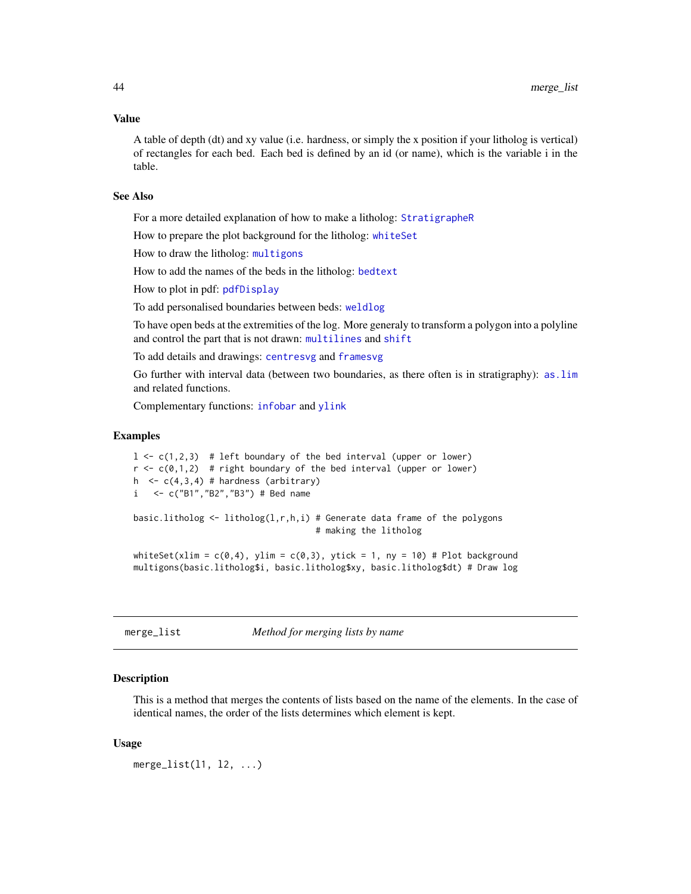#### Value

A table of depth (dt) and xy value (i.e. hardness, or simply the x position if your litholog is vertical) of rectangles for each bed. Each bed is defined by an id (or name), which is the variable i in the table.

#### See Also

For a more detailed explanation of how to make a litholog: [StratigrapheR](#page-80-0)

How to prepare the plot background for the litholog: [whiteSet](#page-97-0)

How to draw the litholog: [multigons](#page-49-0)

How to add the names of the beds in the litholog: [bedtext](#page-5-0)

How to plot in pdf: [pdfDisplay](#page-60-0)

To add personalised boundaries between beds: [weldlog](#page-95-0)

To have open beds at the extremities of the log. More generaly to transform a polygon into a polyline and control the part that is not drawn: [multilines](#page-52-0) and [shift](#page-74-0)

To add details and drawings: [centresvg](#page-8-0) and [framesvg](#page-31-0)

Go further with interval data (between two boundaries, as there often is in stratigraphy): [as.lim](#page-2-0) and related functions.

Complementary functions: [infobar](#page-40-0) and [ylink](#page-98-0)

# Examples

```
1 \leq c(1,2,3) # left boundary of the bed interval (upper or lower)
r \leq c(\emptyset,1,2) # right boundary of the bed interval (upper or lower)
h \leq c(4,3,4) # hardness (arbitrary)
i <- c("B1","B2","B3") # Bed name
basic.litholog \leq litholog(1,r,h,i) # Generate data frame of the polygons
                                     # making the litholog
whiteSet(xlim = c(0,4), ylim = c(0,3), ytick = 1, ny = 10) # Plot background
multigons(basic.litholog$i, basic.litholog$xy, basic.litholog$dt) # Draw log
```
merge\_list *Method for merging lists by name*

#### **Description**

This is a method that merges the contents of lists based on the name of the elements. In the case of identical names, the order of the lists determines which element is kept.

#### Usage

merge\_list(l1, l2, ...)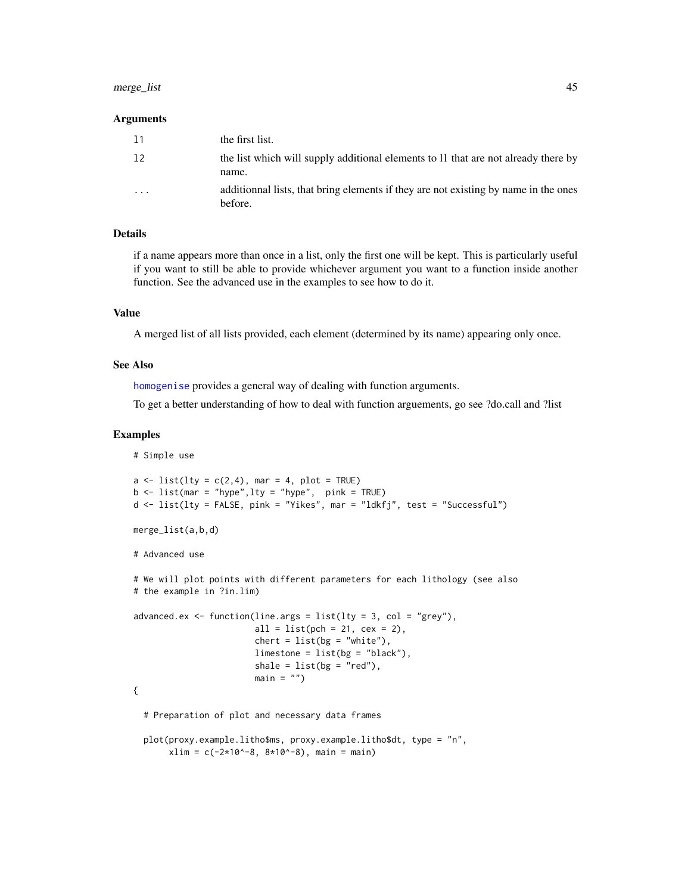## merge\_list 45

#### Arguments

| <b>11</b> | the first list.                                                                                |
|-----------|------------------------------------------------------------------------------------------------|
| 12        | the list which will supply additional elements to 11 that are not already there by<br>name.    |
| $\cdot$   | additionnal lists, that bring elements if they are not existing by name in the ones<br>before. |

#### Details

if a name appears more than once in a list, only the first one will be kept. This is particularly useful if you want to still be able to provide whichever argument you want to a function inside another function. See the advanced use in the examples to see how to do it.

#### Value

A merged list of all lists provided, each element (determined by its name) appearing only once.

#### See Also

[homogenise](#page-35-0) provides a general way of dealing with function arguments.

To get a better understanding of how to deal with function arguements, go see ?do.call and ?list

```
# Simple use
a \leftarrow list(lty = c(2,4), mar = 4, plot = TRUE)
b \leq 1ist(mar = "hype", lty = "hyper", pink = TRUE)
d <- list(lty = FALSE, pink = "Yikes", mar = "ldkfj", test = "Successful")
merge_list(a,b,d)
# Advanced use
# We will plot points with different parameters for each lithology (see also
# the example in ?in.lim)
advanced.ex \leq function(line.args = list(lty = 3, col = "grey"),
                         all = list(pch = 21, cex = 2),
                         chert = list(bg = "white"),
                         limestone = list(bg = "black"),
                         shale = list(bg = "red"),
                         main = ""){
 # Preparation of plot and necessary data frames
 plot(proxy.example.litho$ms, proxy.example.litho$dt, type = "n",
       xlim = c(-2*10^{\circ}-8, 8*10^{\circ}-8), main = main)
```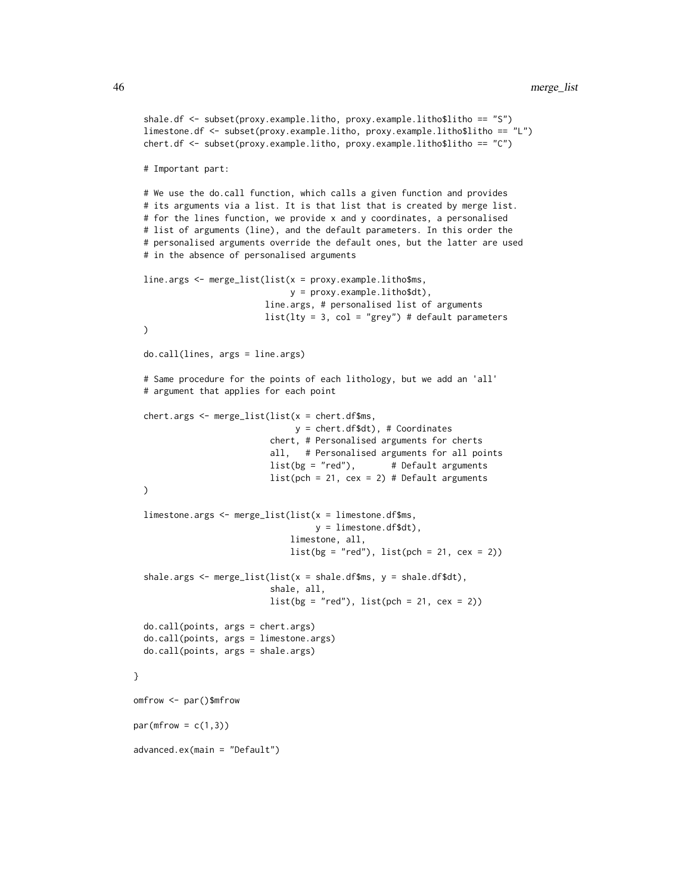```
shale.df <- subset(proxy.example.litho, proxy.example.litho$litho == "S")
 limestone.df <- subset(proxy.example.litho, proxy.example.litho$litho == "L")
 chert.df <- subset(proxy.example.litho, proxy.example.litho$litho == "C")
 # Important part:
 # We use the do.call function, which calls a given function and provides
 # its arguments via a list. It is that list that is created by merge list.
 # for the lines function, we provide x and y coordinates, a personalised
 # list of arguments (line), and the default parameters. In this order the
 # personalised arguments override the default ones, but the latter are used
 # in the absence of personalised arguments
 line.args <- merge_list(list(x = proxy.example.litho$ms,
                               y = proxy.example.litho$dt),
                          line.args, # personalised list of arguments
                          list(lty = 3, col = "grey") # default parameters
 )
 do.call(lines, args = line.args)
 # Same procedure for the points of each lithology, but we add an 'all'
 # argument that applies for each point
 chert.args <- merge_list(list(x = chert.df$ms,
                               y = chert.df$dt), # Coordinates
                           chert, # Personalised arguments for cherts
                           all, # Personalised arguments for all points
                           list(bg = "red"), # Default arguments
                          list(pch = 21, cex = 2) # Default arguments
 )
 limestone.args <- merge_list(list(x = limestone.df$ms,
                                   y = limestone.df$dt),
                               limestone, all,
                               list(bg = "red"), list(pch = 21, cex = 2))shale.args \leq merge_list(list(x = shale.df$ms, y = shale.df$dt),
                           shale, all,
                           list(bg = "red"), list(pch = 21, cex = 2))do.call(points, args = chert.args)
 do.call(points, args = limestone.args)
 do.call(points, args = shale.args)
omfrow <- par()$mfrow
par(mfrow = c(1,3))advanced.ex(main = "Default")
```
}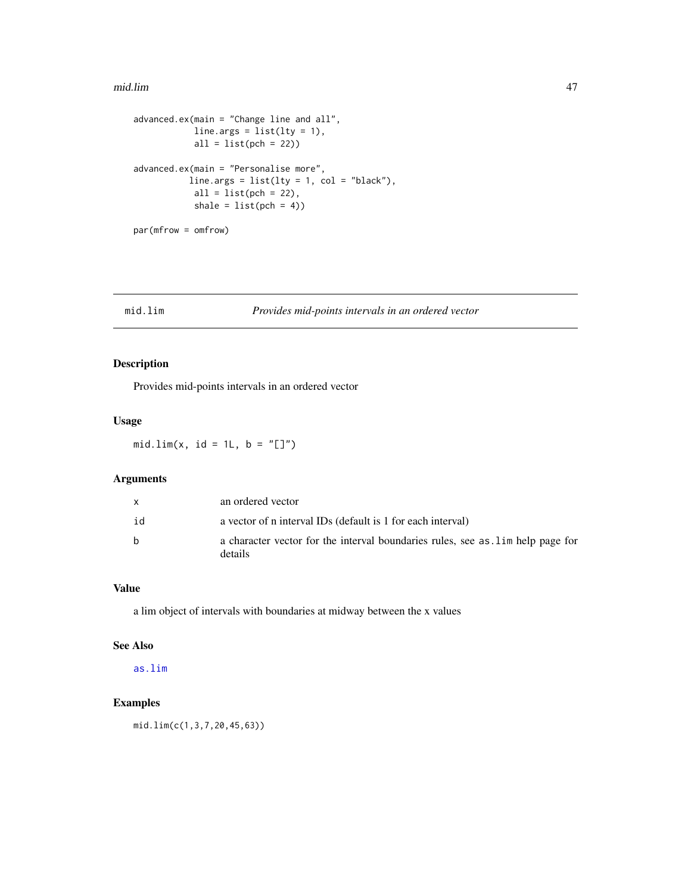#### mid.lim 47

```
advanced.ex(main = "Change line and all",
           line.args = list(lty = 1),
           all = list(pch = 22)advanced.ex(main = "Personalise more",
          line.args = list(lty = 1, col = "black"),all = list(pch = 22),
           shale = list(pch = 4)par(mfrow = omfrow)
```
## mid.lim *Provides mid-points intervals in an ordered vector*

## Description

Provides mid-points intervals in an ordered vector

## Usage

mid.lim(x, id = 1L,  $b = "[]")$ 

## Arguments

|    | an ordered vector                                                                         |
|----|-------------------------------------------------------------------------------------------|
| id | a vector of n interval IDs (default is 1 for each interval)                               |
| h. | a character vector for the interval boundaries rules, see as lim help page for<br>details |

### Value

a lim object of intervals with boundaries at midway between the x values

## See Also

[as.lim](#page-2-0)

## Examples

mid.lim(c(1,3,7,20,45,63))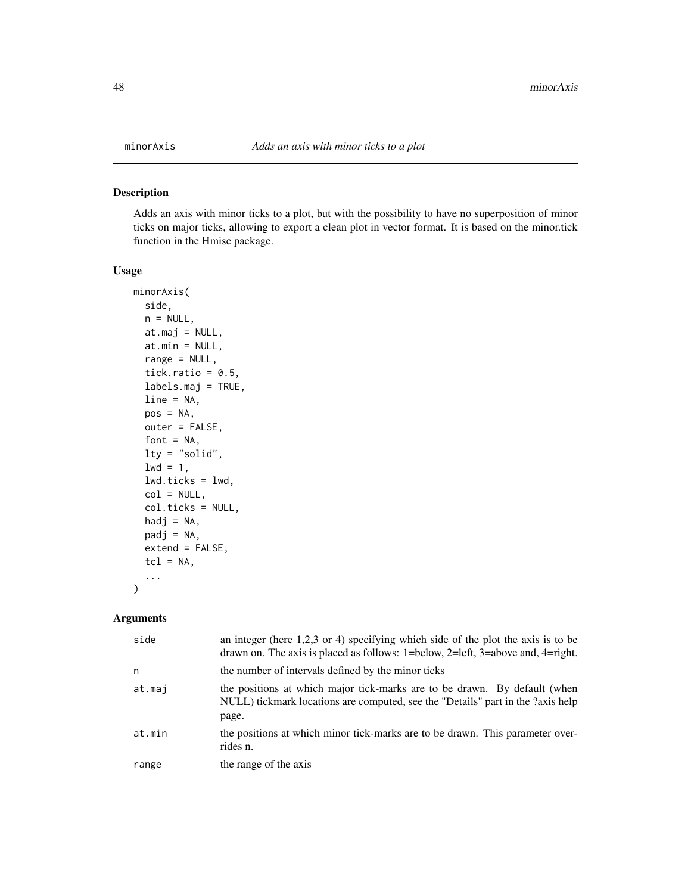<span id="page-47-0"></span>

### Description

Adds an axis with minor ticks to a plot, but with the possibility to have no superposition of minor ticks on major ticks, allowing to export a clean plot in vector format. It is based on the minor.tick function in the Hmisc package.

#### Usage

```
minorAxis(
  side,
  n = NULL,at.maj = NULL,at.min = NULL,
  range = NULL,
  tick.ratio = 0.5,
  labels.maj = TRUE,
  line = NA,
  pos = NA,
  outer = FALSE,
  font = NA,
  lty = "solid",
  1wd = 1,
  lwd.ticks = lwd,col = NULL,col.ticks = NULL,
  hadj = NA,
  padj = NA,
  extend = FALSE,tcl = NA,
  ...
)
```

| side   | an integer (here $1,2,3$ or 4) specifying which side of the plot the axis is to be<br>drawn on. The axis is placed as follows: $1 =$ below, $2 =$ left, $3 =$ above and, $4 =$ right. |
|--------|---------------------------------------------------------------------------------------------------------------------------------------------------------------------------------------|
| n      | the number of intervals defined by the minor ticks                                                                                                                                    |
| at.mai | the positions at which major tick-marks are to be drawn. By default (when<br>NULL) tickmark locations are computed, see the "Details" part in the ?axis help<br>page.                 |
| at.min | the positions at which minor tick-marks are to be drawn. This parameter over-<br>rides n.                                                                                             |
| range  | the range of the axis                                                                                                                                                                 |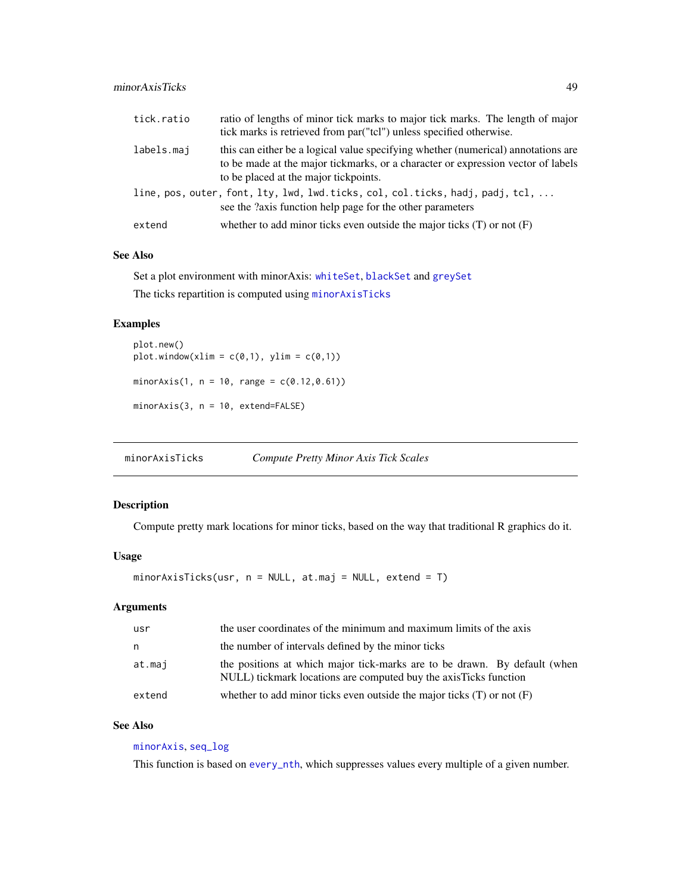### minorAxisTicks 49

| tick.ratio | ratio of lengths of minor tick marks to major tick marks. The length of major<br>tick marks is retrieved from par ("tcl") unless specified otherwise.                                                          |
|------------|----------------------------------------------------------------------------------------------------------------------------------------------------------------------------------------------------------------|
| labels.maj | this can either be a logical value specifying whether (numerical) annotations are<br>to be made at the major tickmarks, or a character or expression vector of labels<br>to be placed at the major tickpoints. |
|            | line, pos, outer, font, lty, lwd, lwd.ticks, col, col.ticks, hadj, padj, tcl,<br>see the ?axis function help page for the other parameters                                                                     |
| extend     | whether to add minor ticks even outside the major ticks $(T)$ or not $(F)$                                                                                                                                     |

### See Also

Set a plot environment with minorAxis: [whiteSet](#page-97-0), [blackSet](#page-6-0) and [greySet](#page-33-0)

The ticks repartition is computed using [minorAxisTicks](#page-48-0)

## Examples

```
plot.new()
plot.window(xlim = c(0,1), ylim = c(0,1))
minorAxis(1, n = 10, range = c(0.12, 0.61))
minorAxis(3, n = 10, extend=FALSE)
```
<span id="page-48-0"></span>minorAxisTicks *Compute Pretty Minor Axis Tick Scales*

### Description

Compute pretty mark locations for minor ticks, based on the way that traditional R graphics do it.

## Usage

minorAxisTicks(usr, n = NULL, at.maj = NULL, extend = T)

### Arguments

| usr    | the user coordinates of the minimum and maximum limits of the axis                                                                             |
|--------|------------------------------------------------------------------------------------------------------------------------------------------------|
| n.     | the number of intervals defined by the minor ticks                                                                                             |
| at.maj | the positions at which major tick-marks are to be drawn. By default (when<br>NULL) tickmark locations are computed buy the axis Ticks function |
| extend | whether to add minor ticks even outside the major ticks $(T)$ or not $(F)$                                                                     |

## See Also

# [minorAxis](#page-47-0), [seq\\_log](#page-73-0)

This function is based on [every\\_nth](#page-26-0), which suppresses values every multiple of a given number.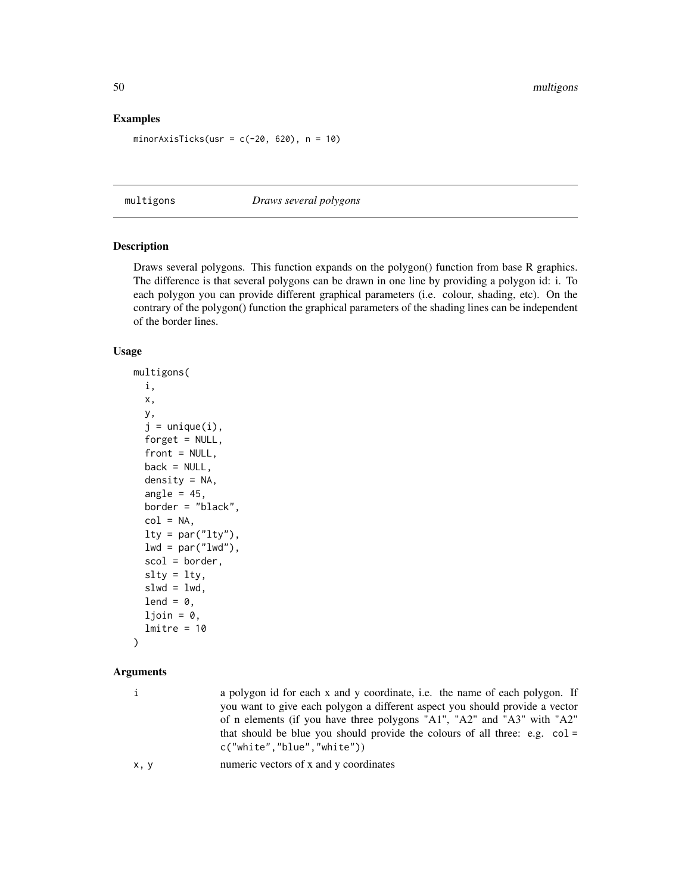## Examples

```
minorAxisTicks(usr = c(-20, 620), n = 10)
```
<span id="page-49-0"></span>multigons *Draws several polygons*

## Description

Draws several polygons. This function expands on the polygon() function from base R graphics. The difference is that several polygons can be drawn in one line by providing a polygon id: i. To each polygon you can provide different graphical parameters (i.e. colour, shading, etc). On the contrary of the polygon() function the graphical parameters of the shading lines can be independent of the border lines.

#### Usage

```
multigons(
  i,
 x,
 y,
  j = unique(i),
 forget = NULL,front = NULL,back = NULL,density = NA,angle = 45,
 border = "black",
  col = NA,
  lty = par("lty"),
  lwd = par("lwd"),
  scol = border,
  slty = lty,
  slwd = lwd,
 lend = 0,
  ljoin = 0,
  lmitre = 10)
```

| i    | a polygon id for each x and y coordinate, i.e. the name of each polygon. If<br>you want to give each polygon a different aspect you should provide a vector<br>of n elements (if you have three polygons "A1", "A2" and "A3" with "A2"<br>that should be blue you should provide the colours of all three: e.g. $col =$<br>c("white", "blue", "white") |
|------|--------------------------------------------------------------------------------------------------------------------------------------------------------------------------------------------------------------------------------------------------------------------------------------------------------------------------------------------------------|
| x, y | numeric vectors of x and y coordinates                                                                                                                                                                                                                                                                                                                 |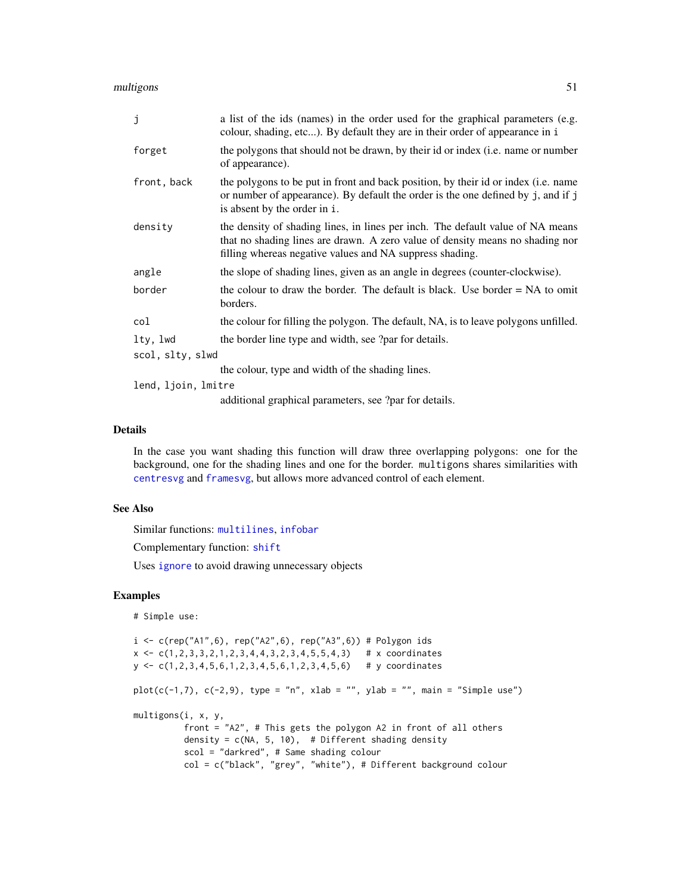multigons 51

| j                   | a list of the ids (names) in the order used for the graphical parameters (e.g.<br>colour, shading, etc). By default they are in their order of appearance in i                                                              |  |
|---------------------|-----------------------------------------------------------------------------------------------------------------------------------------------------------------------------------------------------------------------------|--|
| forget              | the polygons that should not be drawn, by their id or index ( <i>i.e.</i> name or number<br>of appearance).                                                                                                                 |  |
| front, back         | the polygons to be put in front and back position, by their id or index (i.e. name<br>or number of appearance). By default the order is the one defined by j, and if j<br>is absent by the order in i.                      |  |
| density             | the density of shading lines, in lines per inch. The default value of NA means<br>that no shading lines are drawn. A zero value of density means no shading nor<br>filling whereas negative values and NA suppress shading. |  |
| angle               | the slope of shading lines, given as an angle in degrees (counter-clockwise).                                                                                                                                               |  |
| border              | the colour to draw the border. The default is black. Use border $= NA$ to omit<br>borders.                                                                                                                                  |  |
| col                 | the colour for filling the polygon. The default, NA, is to leave polygons unfilled.                                                                                                                                         |  |
| lty, lwd            | the border line type and width, see ?par for details.                                                                                                                                                                       |  |
| scol, slty, slwd    |                                                                                                                                                                                                                             |  |
|                     | the colour, type and width of the shading lines.                                                                                                                                                                            |  |
| lend, ljoin, lmitre |                                                                                                                                                                                                                             |  |
|                     | additional graphical parameters, see ?par for details.                                                                                                                                                                      |  |

### Details

In the case you want shading this function will draw three overlapping polygons: one for the background, one for the shading lines and one for the border. multigons shares similarities with [centresvg](#page-8-0) and [framesvg](#page-31-0), but allows more advanced control of each element.

### See Also

Similar functions: [multilines](#page-52-0), [infobar](#page-40-0)

Complementary function: [shift](#page-74-0)

Uses [ignore](#page-36-0) to avoid drawing unnecessary objects

```
# Simple use:
i \leq c(rep("A1",6), rep("A2",6), rep("A3",6)) # Polygon ids
x \leftarrow c(1, 2, 3, 3, 2, 1, 2, 3, 4, 4, 3, 2, 3, 4, 5, 5, 4, 3) # x coordinates
y <- c(1,2,3,4,5,6,1,2,3,4,5,6,1,2,3,4,5,6) # y coordinates
plot(c(-1,7), c(-2,9), type = "n", xlab = "", ylab = "", main = "Simple use")
multigons(i, x, y,
          front = "A2", # This gets the polygon A2 in front of all others
          density = c(NA, 5, 10), # Different shading density
          scol = "darkred", # Same shading colour
          col = c("black", "grey", "white"), # Different background colour
```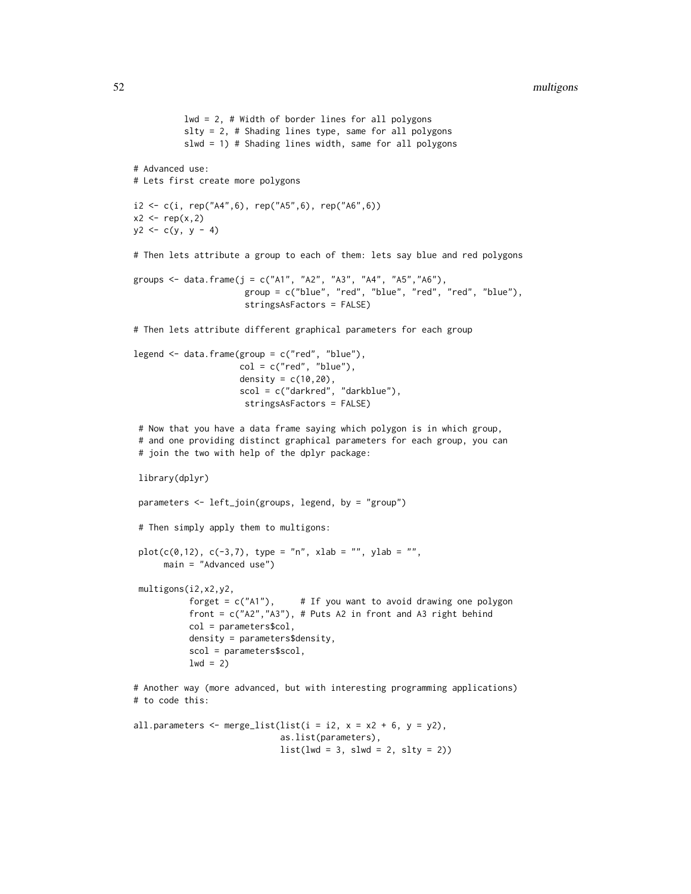```
lwd = 2, # Width of border lines for all polygons
          slty = 2, # Shading lines type, same for all polygons
          slwd = 1) # Shading lines width, same for all polygons
# Advanced use:
# Lets first create more polygons
i2 <- c(i, rep("A4",6), rep("A5",6), rep("A6",6))
x2 \leftarrow rep(x,2)y2 \leq -c(y, y - 4)# Then lets attribute a group to each of them: lets say blue and red polygons
groups <- data.frame(j = c("A1", "A2", "A3", "A4", "A5", "A6"),group = c("blue", "red", "blue", "red", "red", "blue"),
                      stringsAsFactors = FALSE)
# Then lets attribute different graphical parameters for each group
legend \leq data.frame(group = c("red", "blue"),
                     col = c("red", "blue"),density = c(10, 20),
                     scol = c("darkred", "darkblue"),
                      stringsAsFactors = FALSE)
 # Now that you have a data frame saying which polygon is in which group,
 # and one providing distinct graphical parameters for each group, you can
 # join the two with help of the dplyr package:
 library(dplyr)
 parameters <- left_join(groups, legend, by = "group")
 # Then simply apply them to multigons:
 plot(c(0, 12), c(-3, 7), type = "n", xlab = "", ylab = "",main = "Advanced use")
 multigons(i2,x2,y2,
           forget = c("A1"), # If you want to avoid drawing one polygon
           front = c("A2","A3"), # Puts A2 in front and A3 right behind
           col = parameters$col,
           density = parameters$density,
           scol = parameters$scol,
           1wd = 2)# Another way (more advanced, but with interesting programming applications)
# to code this:
all.parameters \leq merge_list(list(i = i2, x = x2 + 6, y = y2),
                             as.list(parameters),
```
 $list(lwd = 3, slwd = 2, slty = 2))$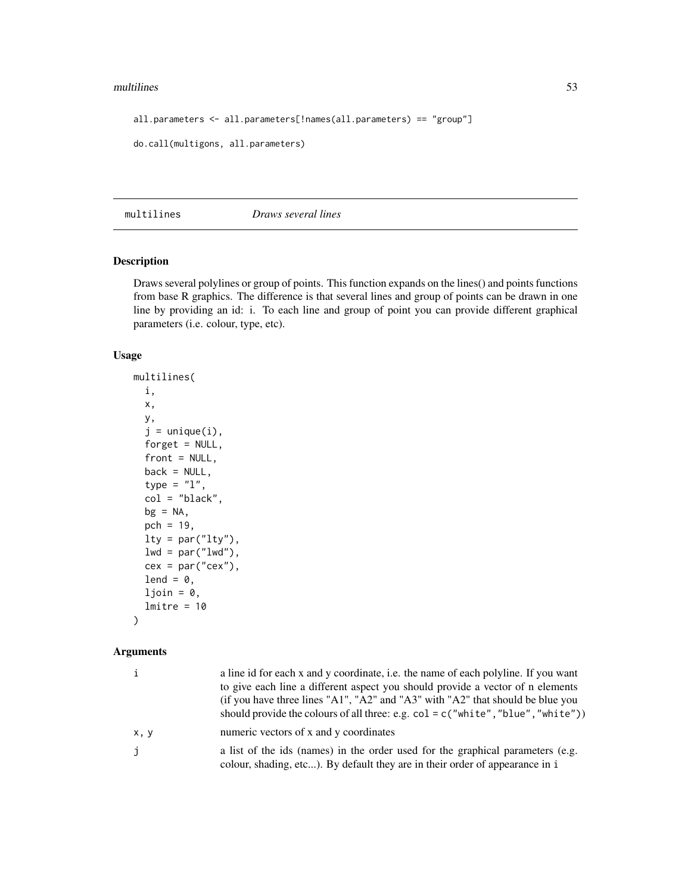#### multilines 53

```
all.parameters <- all.parameters[!names(all.parameters) == "group"]
do.call(multigons, all.parameters)
```
<span id="page-52-0"></span>multilines *Draws several lines*

## Description

Draws several polylines or group of points. This function expands on the lines() and points functions from base R graphics. The difference is that several lines and group of points can be drawn in one line by providing an id: i. To each line and group of point you can provide different graphical parameters (i.e. colour, type, etc).

## Usage

```
multilines(
  i,
  x,
 y,
  j = unique(i),
  forget = NULL,
  front = NULL,back = NULL,type = "1",col = "black",
  bg = NA,
  pch = 19,
  lty = par("lty"),
  lwd = par("lwd"),
  cex = par("cex"),lend = 0,
  ljoin = 0,lmitre = 10
```
# )

| i            | a line id for each x and y coordinate, i.e. the name of each polyline. If you want<br>to give each line a different aspect you should provide a vector of n elements<br>(if you have three lines "A1", "A2" and "A3" with "A2" that should be blue you<br>should provide the colours of all three: e.g. $col = c("white", "blue", "white")$ |
|--------------|---------------------------------------------------------------------------------------------------------------------------------------------------------------------------------------------------------------------------------------------------------------------------------------------------------------------------------------------|
| x, y         | numeric vectors of x and y coordinates                                                                                                                                                                                                                                                                                                      |
| $\mathbf{j}$ | a list of the ids (names) in the order used for the graphical parameters (e.g.<br>colour, shading, etc). By default they are in their order of appearance in i                                                                                                                                                                              |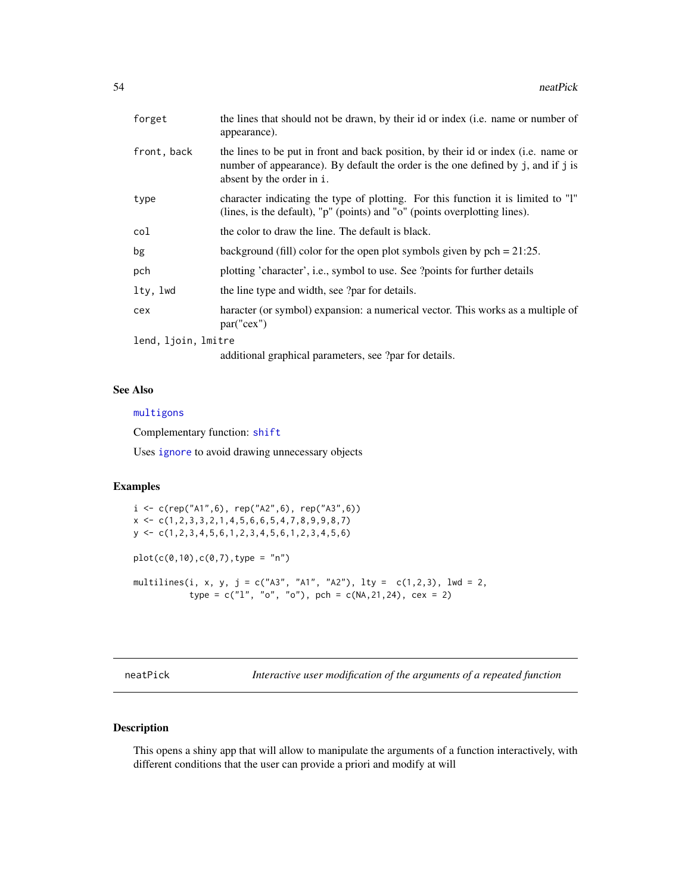| forget              | the lines that should not be drawn, by their id or index (i.e. name or number of<br>appearance).                                                                                                    |  |
|---------------------|-----------------------------------------------------------------------------------------------------------------------------------------------------------------------------------------------------|--|
| front, back         | the lines to be put in front and back position, by their id or index (i.e. name or<br>number of appearance). By default the order is the one defined by j, and if j is<br>absent by the order in i. |  |
| type                | character indicating the type of plotting. For this function it is limited to "l"<br>(lines, is the default), "p" (points) and "o" (points overplotting lines).                                     |  |
| col                 | the color to draw the line. The default is black.                                                                                                                                                   |  |
| bg                  | background (fill) color for the open plot symbols given by $pch = 21:25$ .                                                                                                                          |  |
| pch                 | plotting 'character', i.e., symbol to use. See ?points for further details                                                                                                                          |  |
| lty, lwd            | the line type and width, see ?par for details.                                                                                                                                                      |  |
| cex                 | haracter (or symbol) expansion: a numerical vector. This works as a multiple of<br>par("cex")                                                                                                       |  |
| lend, ljoin, lmitre |                                                                                                                                                                                                     |  |
|                     | additional graphical parameters, see ?par for details.                                                                                                                                              |  |

## See Also

#### [multigons](#page-49-0)

Complementary function: [shift](#page-74-0)

Uses [ignore](#page-36-0) to avoid drawing unnecessary objects

### Examples

i <- c(rep("A1",6), rep("A2",6), rep("A3",6))  $x \leftarrow c(1, 2, 3, 3, 2, 1, 4, 5, 6, 6, 5, 4, 7, 8, 9, 9, 8, 7)$ y <- c(1,2,3,4,5,6,1,2,3,4,5,6,1,2,3,4,5,6) plot(c(0,10),c(0,7),type = "n") multilines(i, x, y, j = c("A3", "A1", "A2"), lty = c(1,2,3), lwd = 2, type =  $c("1", "o", "o")$ , pch =  $c(NA, 21, 24)$ , cex = 2)

neatPick *Interactive user modification of the arguments of a repeated function*

## Description

This opens a shiny app that will allow to manipulate the arguments of a function interactively, with different conditions that the user can provide a priori and modify at will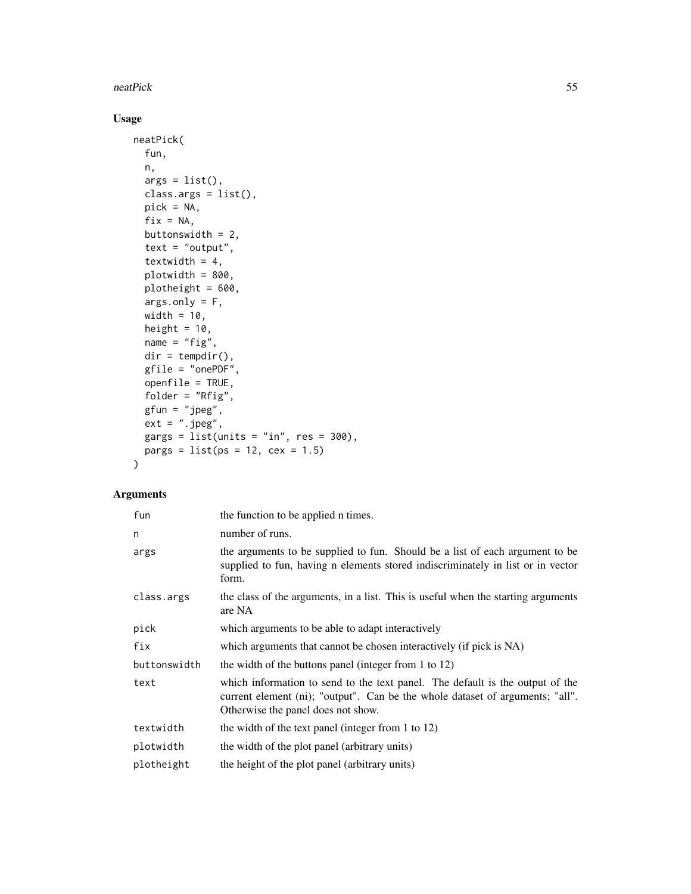#### neatPick 55

# Usage

```
neatPick(
 fun,
 n,
  args = list(),
 class.args = list(),
 pick = NA,
 fix = NA,
 buttonswidth = 2,
  text = "output",textwidth = 4,
 plotwidth = 800,
 plotheight = 600,
 args.only = F,
 width = 10,
 height = 10,
 name = "fig",dir = tempdir(),gfile = "onePDF",openfile = TRUE,
  folder = "Rfig",
  gfun = "jpeg",
  ext = ".jpg",gargs = list(units = "in", res = 300),pargs = list(ps = 12, cex = 1.5)\mathcal{L}
```

| fun          | the function to be applied n times.                                                                                                                                                                  |
|--------------|------------------------------------------------------------------------------------------------------------------------------------------------------------------------------------------------------|
| n            | number of runs.                                                                                                                                                                                      |
| args         | the arguments to be supplied to fun. Should be a list of each argument to be<br>supplied to fun, having n elements stored indiscriminately in list or in vector<br>form.                             |
| class.args   | the class of the arguments, in a list. This is useful when the starting arguments<br>are NA                                                                                                          |
| pick         | which arguments to be able to adapt interactively                                                                                                                                                    |
| fix          | which arguments that cannot be chosen interactively (if pick is NA)                                                                                                                                  |
| buttonswidth | the width of the buttons panel (integer from 1 to 12)                                                                                                                                                |
| text         | which information to send to the text panel. The default is the output of the<br>current element (ni); "output". Can be the whole dataset of arguments; "all".<br>Otherwise the panel does not show. |
| textwidth    | the width of the text panel (integer from 1 to 12)                                                                                                                                                   |
| plotwidth    | the width of the plot panel (arbitrary units)                                                                                                                                                        |
| plotheight   | the height of the plot panel (arbitrary units)                                                                                                                                                       |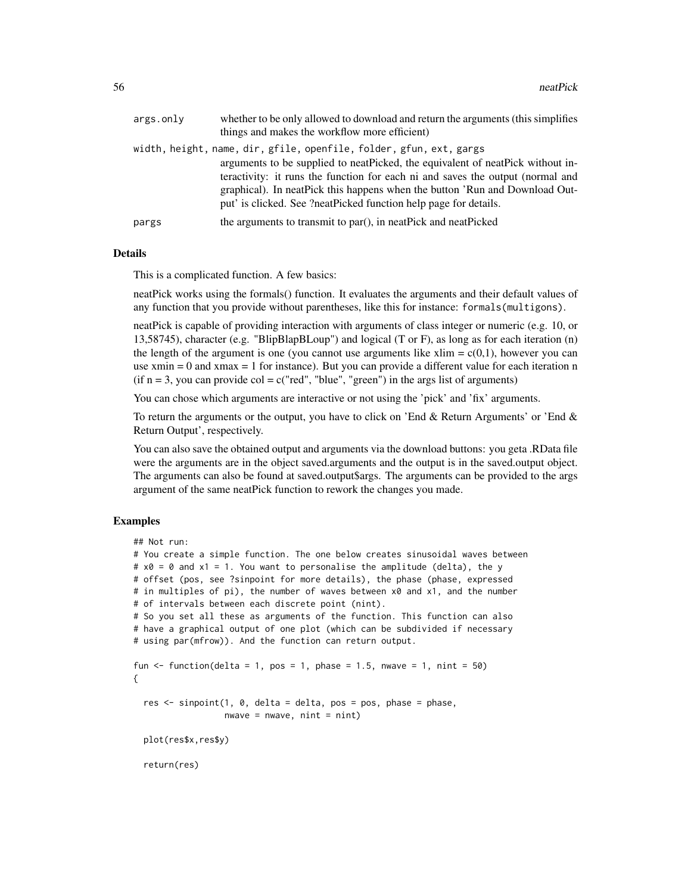| args.onlv | whether to be only allowed to download and return the arguments (this simplifies<br>things and makes the workflow more efficient)                                                                                                                                                                                      |
|-----------|------------------------------------------------------------------------------------------------------------------------------------------------------------------------------------------------------------------------------------------------------------------------------------------------------------------------|
|           | width, height, name, dir, gfile, openfile, folder, gfun, ext, gargs                                                                                                                                                                                                                                                    |
|           | arguments to be supplied to neat Picked, the equivalent of neat Pick without in-<br>teractivity: it runs the function for each ni and saves the output (normal and<br>graphical). In neat Pick this happens when the button 'Run and Download Out-<br>put' is clicked. See ?neatPicked function help page for details. |
| pargs     | the arguments to transmit to par(), in neatPick and neatPicked                                                                                                                                                                                                                                                         |

## Details

This is a complicated function. A few basics:

neatPick works using the formals() function. It evaluates the arguments and their default values of any function that you provide without parentheses, like this for instance: formals(multigons).

neatPick is capable of providing interaction with arguments of class integer or numeric (e.g. 10, or 13,58745), character (e.g. "BlipBlapBLoup") and logical (T or F), as long as for each iteration (n) the length of the argument is one (you cannot use arguments like  $xlim = c(0,1)$ , however you can use  $xmin = 0$  and  $xmax = 1$  for instance). But you can provide a different value for each iteration n  $(i$ f n = 3, you can provide col = c("red", "blue", "green") in the args list of arguments)

You can chose which arguments are interactive or not using the 'pick' and 'fix' arguments.

To return the arguments or the output, you have to click on 'End & Return Arguments' or 'End & Return Output', respectively.

You can also save the obtained output and arguments via the download buttons: you geta .RData file were the arguments are in the object saved.arguments and the output is in the saved.output object. The arguments can also be found at saved.output\$args. The arguments can be provided to the args argument of the same neatPick function to rework the changes you made.

```
## Not run:
# You create a simple function. The one below creates sinusoidal waves between
# x0 = 0 and x1 = 1. You want to personalise the amplitude (delta), the y
# offset (pos, see ?sinpoint for more details), the phase (phase, expressed
# in multiples of pi), the number of waves between x0 and x1, and the number
# of intervals between each discrete point (nint).
# So you set all these as arguments of the function. This function can also
# have a graphical output of one plot (which can be subdivided if necessary
# using par(mfrow)). And the function can return output.
fun \le function(delta = 1, pos = 1, phase = 1.5, nwave = 1, nint = 50)
{
 res <- sinpoint(1, 0, delta = delta, pos = pos, phase = phase,
                 nwave = nwave, nint = nint)plot(res$x,res$y)
 return(res)
```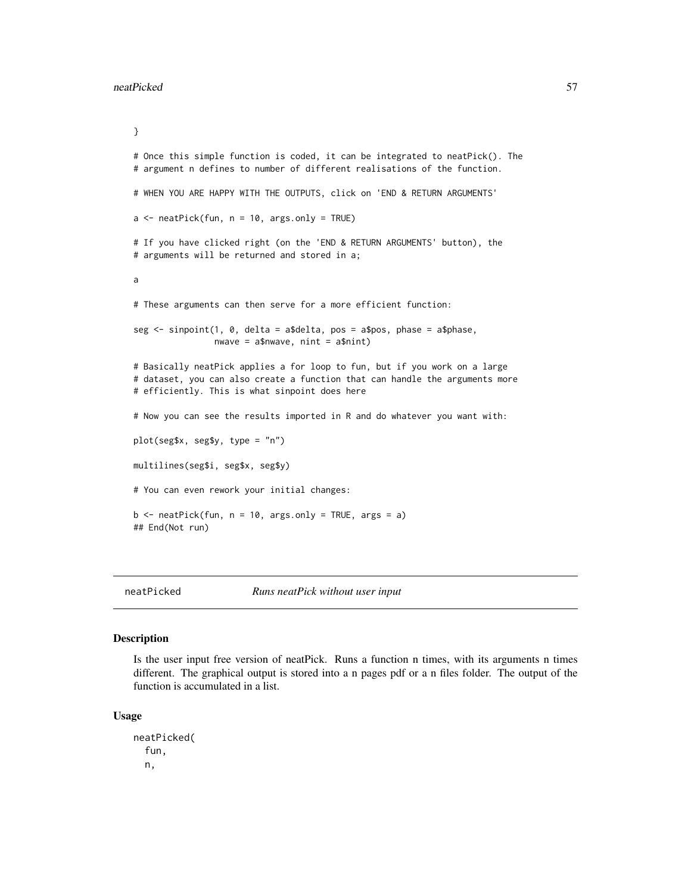```
}
# Once this simple function is coded, it can be integrated to neatPick(). The
# argument n defines to number of different realisations of the function.
# WHEN YOU ARE HAPPY WITH THE OUTPUTS, click on 'END & RETURN ARGUMENTS'
a \leq -\text{ neatPick}(\text{fun}, n = 10, \text{ args}.\text{only} = \text{TRUE})# If you have clicked right (on the 'END & RETURN ARGUMENTS' button), the
# arguments will be returned and stored in a;
a
# These arguments can then serve for a more efficient function:
seg <- sinpoint(1, 0, delta = a$delta, pos = a$pos, phase = a$phase,
                nwave = a$nwave, nint = a$nint)
# Basically neatPick applies a for loop to fun, but if you work on a large
# dataset, you can also create a function that can handle the arguments more
# efficiently. This is what sinpoint does here
# Now you can see the results imported in R and do whatever you want with:
plot(seg$x, seg$y, type = "n")
multilines(seg$i, seg$x, seg$y)
# You can even rework your initial changes:
b \le - neatPick(fun, n = 10, args.only = TRUE, args = a)
## End(Not run)
```
neatPicked *Runs neatPick without user input*

#### **Description**

Is the user input free version of neatPick. Runs a function n times, with its arguments n times different. The graphical output is stored into a n pages pdf or a n files folder. The output of the function is accumulated in a list.

#### Usage

neatPicked( fun, n,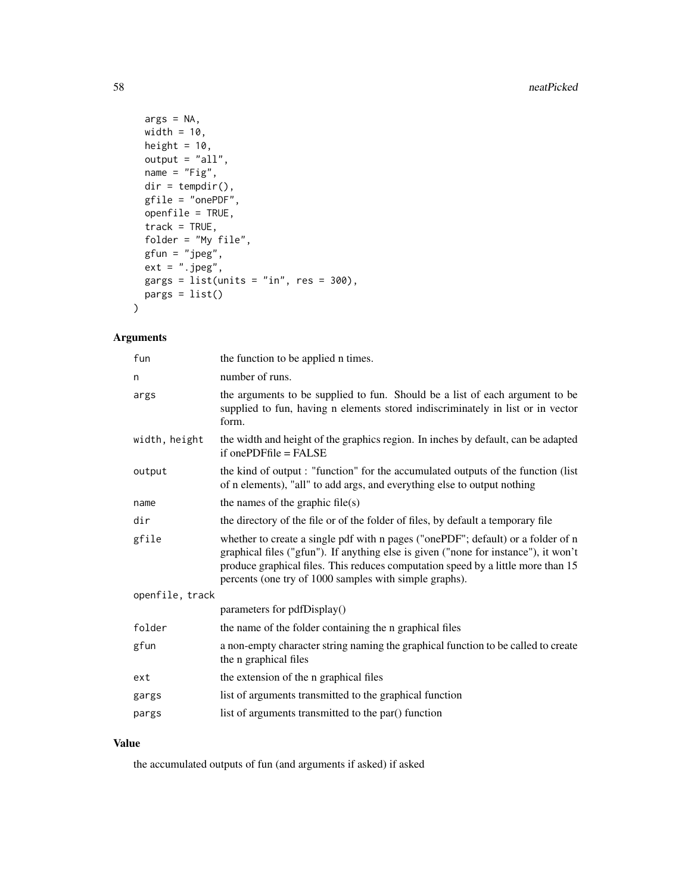```
args = NA,
 width = 10,
 height = 10,
 output = "all",name = "Fig",dir = tempdir(),
  gfile = "onePDF",
 openfile = TRUE,
  track = TRUE,folder = "My file",
  gfun = "jpeg",
  ext = ".jpg",gargs = list(units = "in", res = 300),pargs = list()
\mathcal{L}
```
## Arguments

| fun             | the function to be applied n times.                                                                                                                                                                                                                                                                                   |
|-----------------|-----------------------------------------------------------------------------------------------------------------------------------------------------------------------------------------------------------------------------------------------------------------------------------------------------------------------|
| n               | number of runs.                                                                                                                                                                                                                                                                                                       |
| args            | the arguments to be supplied to fun. Should be a list of each argument to be<br>supplied to fun, having n elements stored indiscriminately in list or in vector<br>form.                                                                                                                                              |
| width, height   | the width and height of the graphics region. In inches by default, can be adapted<br>if one PDFfile $=$ FALSE                                                                                                                                                                                                         |
| output          | the kind of output: "function" for the accumulated outputs of the function (list<br>of n elements), "all" to add args, and everything else to output nothing                                                                                                                                                          |
| name            | the names of the graphic file $(s)$                                                                                                                                                                                                                                                                                   |
| dir             | the directory of the file or of the folder of files, by default a temporary file                                                                                                                                                                                                                                      |
| gfile           | whether to create a single pdf with n pages ("onePDF"; default) or a folder of n<br>graphical files ("gfun"). If anything else is given ("none for instance"), it won't<br>produce graphical files. This reduces computation speed by a little more than 15<br>percents (one try of 1000 samples with simple graphs). |
| openfile, track |                                                                                                                                                                                                                                                                                                                       |
|                 | parameters for pdfDisplay()                                                                                                                                                                                                                                                                                           |
| folder          | the name of the folder containing the n graphical files                                                                                                                                                                                                                                                               |
| gfun            | a non-empty character string naming the graphical function to be called to create<br>the <i>n</i> graphical files                                                                                                                                                                                                     |
| ext             | the extension of the n graphical files                                                                                                                                                                                                                                                                                |
| gargs           | list of arguments transmitted to the graphical function                                                                                                                                                                                                                                                               |
| pargs           | list of arguments transmitted to the par() function                                                                                                                                                                                                                                                                   |
|                 |                                                                                                                                                                                                                                                                                                                       |

## Value

the accumulated outputs of fun (and arguments if asked) if asked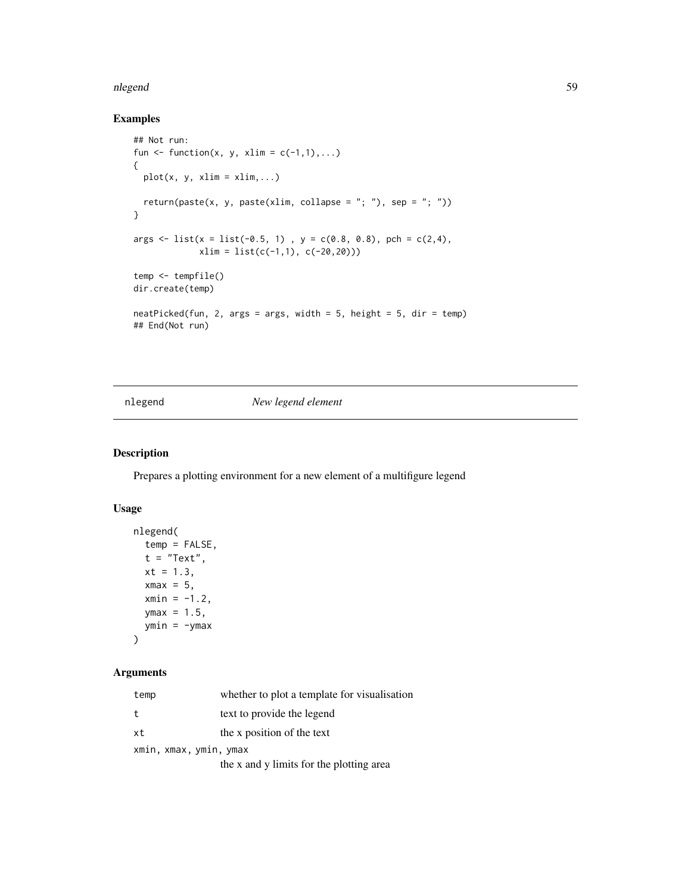#### nlegend 59 °C. Some states that the state of the state of the state of the state of the state of the state of the state of the state of the state of the state of the state of the state of the state of the state of the stat

## Examples

```
## Not run:
fun \le function(x, y, xlim = c(-1,1),...)
{
  plot(x, y, xlim = xlim, ...)return(paste(x, y, paste(xlim, collapse = "; "), sep = "; "))
}
args \le list(x = list(-0.5, 1), y = c(0.8, 0.8), pch = c(2,4),
             xlim = list(c(-1,1), c(-20,20)))temp <- tempfile()
dir.create(temp)
neatPicked(fun, 2, args = args, width = 5, height = 5, dir = temp)
## End(Not run)
```
#### <span id="page-58-0"></span>nlegend *New legend element*

### Description

Prepares a plotting environment for a new element of a multifigure legend

### Usage

```
nlegend(
  temp = FALSE,
  t = "Text",xt = 1.3,
  xmax = 5,
  xmin = -1.2,
  ymax = 1.5,
  ymin = -ymax\mathcal{E}
```

| temp                   | whether to plot a template for visualization |
|------------------------|----------------------------------------------|
| t                      | text to provide the legend                   |
| xt                     | the x position of the text                   |
| xmin, xmax, ymin, ymax |                                              |
|                        | the x and y limits for the plotting area     |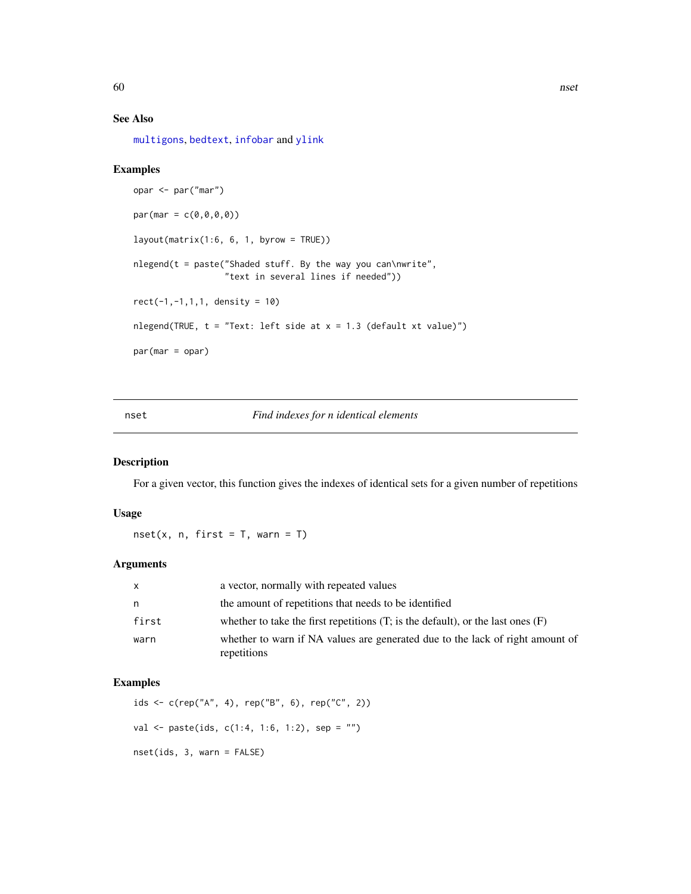### See Also

[multigons](#page-49-0), [bedtext](#page-5-0), [infobar](#page-40-0) and [ylink](#page-98-0)

#### Examples

```
opar <- par("mar")
par(max = c(0, 0, 0, 0))layout(matrix(1:6, 6, 1, byrow = TRUE))
nlegend(t = paste("Shaded stuff. By the way you can\nwrite",
                  "text in several lines if needed"))
rect(-1,-1,1,1, density = 10)
nlegend(TRUE, t = "Text: left side at x = 1.3 (default xt value)")par(mar = opar)
```
## nset *Find indexes for n identical elements*

#### Description

For a given vector, this function gives the indexes of identical sets for a given number of repetitions

#### Usage

 $nset(x, n, first = T, warn = T)$ 

## Arguments

| $\mathsf{x}$ | a vector, normally with repeated values                                                      |
|--------------|----------------------------------------------------------------------------------------------|
| n            | the amount of repetitions that needs to be identified                                        |
| first        | whether to take the first repetitions $(T;$ is the default), or the last ones $(F)$          |
| warn         | whether to warn if NA values are generated due to the lack of right amount of<br>repetitions |

```
ids <- c(rep("A", 4), rep("B", 6), rep("C", 2))
val <- paste(ids, c(1:4, 1:6, 1:2), sep = "")
nset(ids, 3, warn = FALSE)
```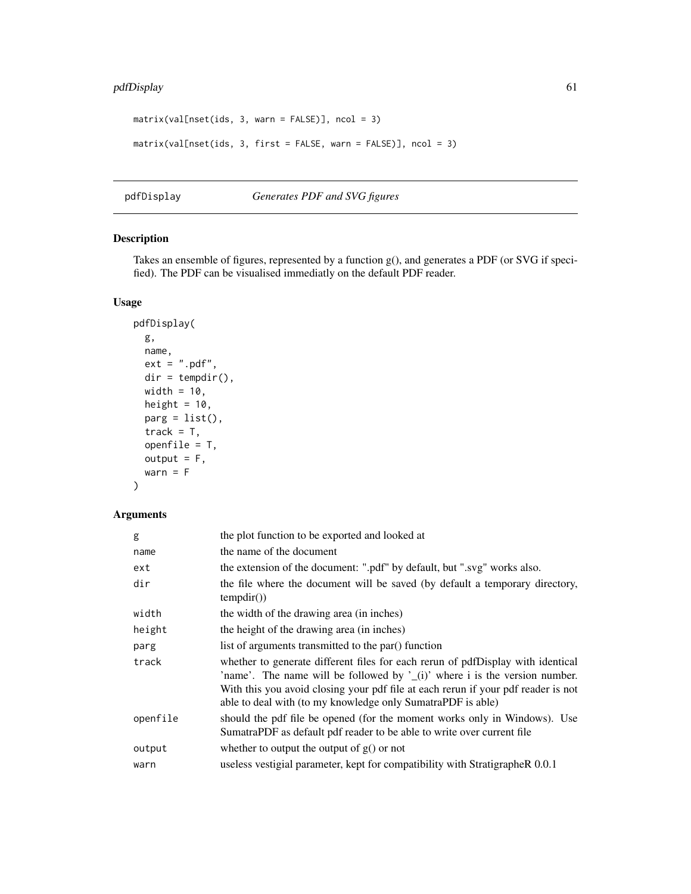## pdfDisplay 61

```
matrix(value, 3, warn = FALSE)], ncol = 3)matrix(val[nset(ids, 3, first = FALSE, warn = FALSE)], ncol = 3)
```
#### <span id="page-60-0"></span>pdfDisplay *Generates PDF and SVG figures*

## Description

Takes an ensemble of figures, represented by a function g(), and generates a PDF (or SVG if specified). The PDF can be visualised immediatly on the default PDF reader.

### Usage

```
pdfDisplay(
 g,
 name,
 ext = ".pdf",
 dir = tempdir(),width = 10,
 height = 10,
 parg = list(),
 track = T,
 openfile = T,
 output = F,warn = F
)
```

| g        | the plot function to be exported and looked at                                                                                                                                                                                                                                                                    |
|----------|-------------------------------------------------------------------------------------------------------------------------------------------------------------------------------------------------------------------------------------------------------------------------------------------------------------------|
| name     | the name of the document                                                                                                                                                                                                                                                                                          |
| ext      | the extension of the document: ".pdf" by default, but ".svg" works also.                                                                                                                                                                                                                                          |
| dir      | the file where the document will be saved (by default a temporary directory,<br>tempdir()                                                                                                                                                                                                                         |
| width    | the width of the drawing area (in inches)                                                                                                                                                                                                                                                                         |
| height   | the height of the drawing area (in inches)                                                                                                                                                                                                                                                                        |
| parg     | list of arguments transmitted to the par() function                                                                                                                                                                                                                                                               |
| track    | whether to generate different files for each rerun of pdfDisplay with identical<br>'name'. The name will be followed by $'(i)$ where i is the version number.<br>With this you avoid closing your pdf file at each rerun if your pdf reader is not<br>able to deal with (to my knowledge only SumatraPDF is able) |
| openfile | should the pdf file be opened (for the moment works only in Windows). Use<br>SumatraPDF as default pdf reader to be able to write over current file                                                                                                                                                               |
| output   | whether to output the output of $g()$ or not                                                                                                                                                                                                                                                                      |
| warn     | useless vestigial parameter, kept for compatibility with StratigrapheR 0.0.1                                                                                                                                                                                                                                      |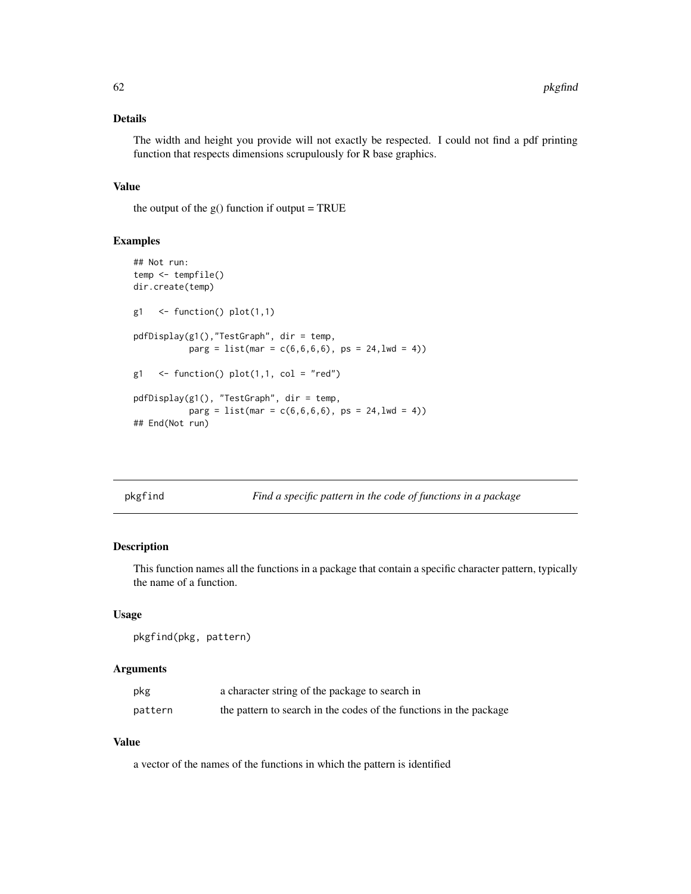### Details

The width and height you provide will not exactly be respected. I could not find a pdf printing function that respects dimensions scrupulously for R base graphics.

### Value

the output of the  $g()$  function if output = TRUE

### Examples

```
## Not run:
temp <- tempfile()
dir.create(temp)
g1 \leftarrow function() plot(1,1)pdfDisplay(g1(),"TestGraph", dir = temp,
           parg = list(max = c(6, 6, 6, 6), ps = 24, lwd = 4))
g1 \leq function() plot(1,1, col = "red")pdfDisplay(g1(), "TestGraph", dir = temp,
           parg = list(max = c(6, 6, 6, 6), ps = 24, lwd = 4)## End(Not run)
```
pkgfind *Find a specific pattern in the code of functions in a package*

## Description

This function names all the functions in a package that contain a specific character pattern, typically the name of a function.

### Usage

pkgfind(pkg, pattern)

### Arguments

| pkg     | a character string of the package to search in                     |
|---------|--------------------------------------------------------------------|
| pattern | the pattern to search in the codes of the functions in the package |

#### Value

a vector of the names of the functions in which the pattern is identified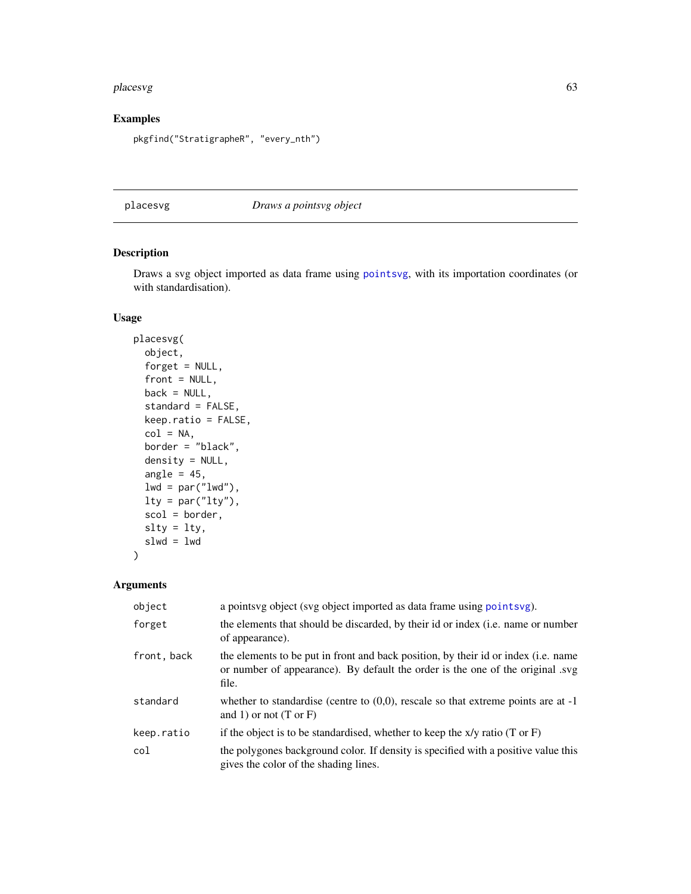#### placesvg 63

## Examples

```
pkgfind("StratigrapheR", "every_nth")
```
<span id="page-62-0"></span>placesvg *Draws a pointsvg object*

## Description

Draws a svg object imported as data frame using [pointsvg](#page-64-0), with its importation coordinates (or with standardisation).

## Usage

```
placesvg(
 object,
  forget = NULL,
  front = NULL,
 back = NULL,standard = FALSE,
  keep.ratio = FALSE,
  col = NA,
 border = "black",
  density = NULL,
  angle = 45,
  lwd = par("lwd"),
  lty = par("lty"),
  scol = border,
 slty = lty,
  slwd = lwd)
```

| object      | a points vg object (svg object imported as data frame using points vg).                                                                                                       |
|-------------|-------------------------------------------------------------------------------------------------------------------------------------------------------------------------------|
| forget      | the elements that should be discarded, by their id or index (i.e. name or number<br>of appearance).                                                                           |
| front, back | the elements to be put in front and back position, by their id or index (i.e. name<br>or number of appearance). By default the order is the one of the original .svg<br>file. |
| standard    | whether to standardise (centre to $(0,0)$ , rescale so that extreme points are at -1<br>and 1) or not $(T \text{ or } F)$                                                     |
| keep.ratio  | if the object is to be standardised, whether to keep the $x/y$ ratio (T or F)                                                                                                 |
| col         | the polygones background color. If density is specified with a positive value this<br>gives the color of the shading lines.                                                   |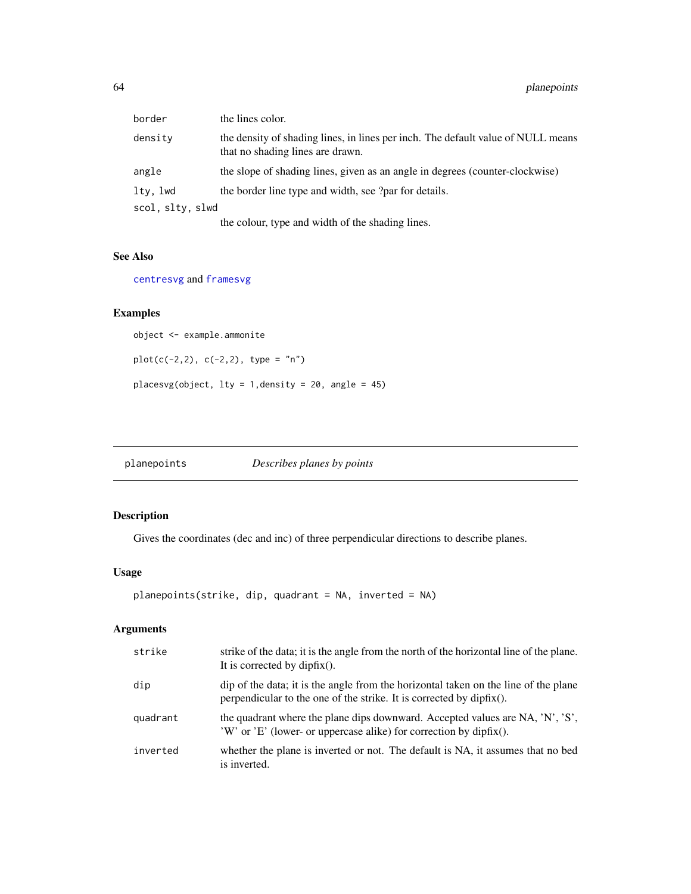| border           | the lines color.                                                                                                     |
|------------------|----------------------------------------------------------------------------------------------------------------------|
| densitv          | the density of shading lines, in lines per inch. The default value of NULL means<br>that no shading lines are drawn. |
| angle            | the slope of shading lines, given as an angle in degrees (counter-clockwise)                                         |
| lty, lwd         | the border line type and width, see ?par for details.                                                                |
| scol, sltv, slwd |                                                                                                                      |
|                  | the colour, type and width of the shading lines.                                                                     |

#### See Also

[centresvg](#page-8-0) and [framesvg](#page-31-0)

## Examples

object <- example.ammonite

plot(c(-2,2), c(-2,2), type = "n")

placesvg(object, lty = 1,density = 20, angle = 45)

planepoints *Describes planes by points*

# Description

Gives the coordinates (dec and inc) of three perpendicular directions to describe planes.

## Usage

```
planepoints(strike, dip, quadrant = NA, inverted = NA)
```

| strike   | strike of the data; it is the angle from the north of the horizontal line of the plane.<br>It is corrected by dipfix().                                        |
|----------|----------------------------------------------------------------------------------------------------------------------------------------------------------------|
| dip      | dip of the data; it is the angle from the horizontal taken on the line of the plane<br>perpendicular to the one of the strike. It is corrected by $dipfix()$ . |
| quadrant | the quadrant where the plane dips downward. Accepted values are NA, 'N', 'S',<br>$W'$ or $E'$ (lower- or uppercase alike) for correction by dipfix().          |
| inverted | whether the plane is inverted or not. The default is NA, it assumes that no bed<br>is inverted.                                                                |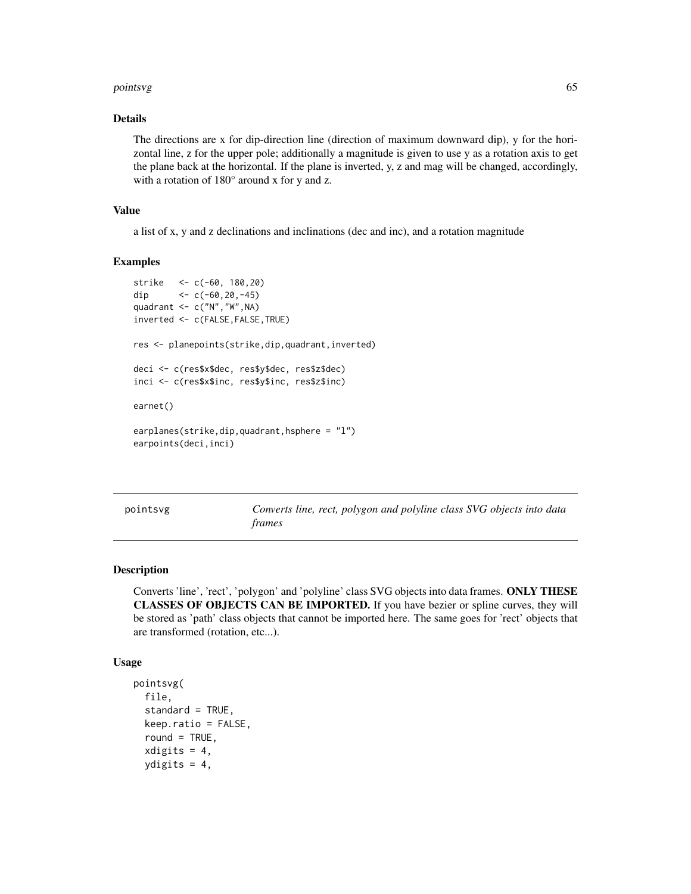#### pointsvg 65

#### Details

The directions are x for dip-direction line (direction of maximum downward dip), y for the horizontal line, z for the upper pole; additionally a magnitude is given to use y as a rotation axis to get the plane back at the horizontal. If the plane is inverted, y, z and mag will be changed, accordingly, with a rotation of 180° around x for y and z.

### Value

a list of x, y and z declinations and inclinations (dec and inc), and a rotation magnitude

#### Examples

```
strike <- c(-60, 180,20)
dip <-c(-60, 20, -45)quadrant <- c("N","W",NA)
inverted <- c(FALSE,FALSE,TRUE)
res <- planepoints(strike,dip,quadrant,inverted)
deci <- c(res$x$dec, res$y$dec, res$z$dec)
inci <- c(res$x$inc, res$y$inc, res$z$inc)
earnet()
```

```
earplanes(strike,dip,quadrant,hsphere = "l")
earpoints(deci,inci)
```
<span id="page-64-0"></span>pointsvg *Converts line, rect, polygon and polyline class SVG objects into data frames*

#### Description

Converts 'line', 'rect', 'polygon' and 'polyline' class SVG objects into data frames. ONLY THESE CLASSES OF OBJECTS CAN BE IMPORTED. If you have bezier or spline curves, they will be stored as 'path' class objects that cannot be imported here. The same goes for 'rect' objects that are transformed (rotation, etc...).

#### Usage

```
pointsvg(
  file,
  standard = TRUE,
  keep.ratio = FALSE,
  round = TRUE,
  x\text{digits} = 4,
  ydigits = 4,
```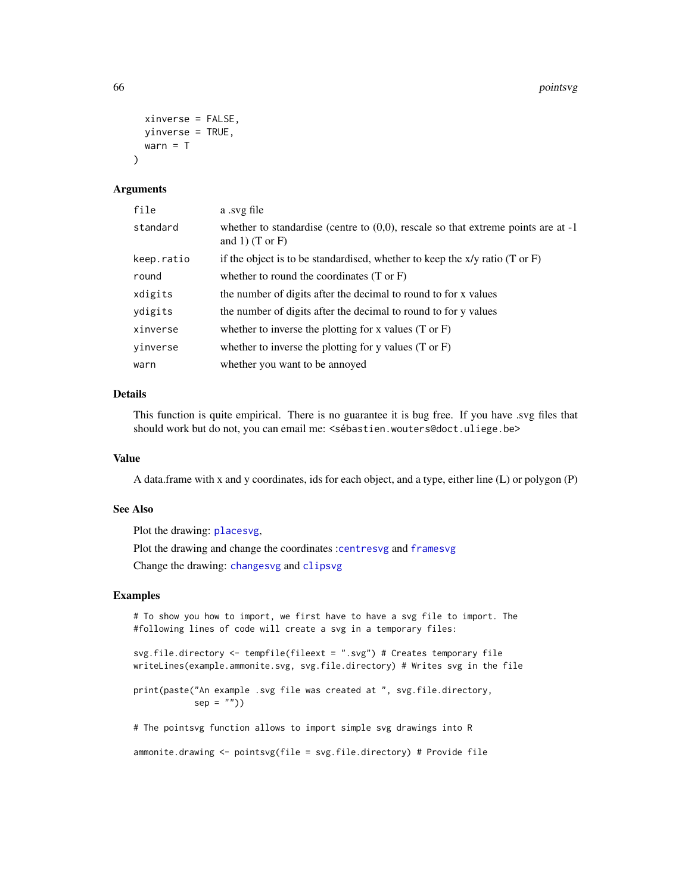```
xinverse = FALSE,
 yinverse = TRUE,
 warn = T
\lambda
```
#### Arguments

| file       | a svg file                                                                                                         |
|------------|--------------------------------------------------------------------------------------------------------------------|
| standard   | whether to standardise (centre to $(0,0)$ , rescale so that extreme points are at -1<br>and 1) $(T \text{ or } F)$ |
| keep.ratio | if the object is to be standardised, whether to keep the $x/y$ ratio (T or F)                                      |
| round      | whether to round the coordinates $(T \text{ or } F)$                                                               |
| xdigits    | the number of digits after the decimal to round to for x values                                                    |
| ydigits    | the number of digits after the decimal to round to for y values                                                    |
| xinverse   | whether to inverse the plotting for x values $(T \text{ or } F)$                                                   |
| yinverse   | whether to inverse the plotting for y values $(T \text{ or } F)$                                                   |
| warn       | whether you want to be annoyed                                                                                     |

## Details

This function is quite empirical. There is no guarantee it is bug free. If you have .svg files that should work but do not, you can email me: <sébastien.wouters@doct.uliege.be>

#### Value

A data.frame with x and y coordinates, ids for each object, and a type, either line (L) or polygon (P)

### See Also

Plot the drawing: [placesvg](#page-62-0),

Plot the drawing and change the coordinates :[centresvg](#page-8-0) and [framesvg](#page-31-0)

Change the drawing: [changesvg](#page-11-0) and [clipsvg](#page-12-0)

```
# To show you how to import, we first have to have a svg file to import. The
#following lines of code will create a svg in a temporary files:
svg.file.directory <- tempfile(fileext = ".svg") # Creates temporary file
writeLines(example.ammonite.svg, svg.file.directory) # Writes svg in the file
print(paste("An example .svg file was created at ", svg.file.directory,
           sep = "")# The pointsvg function allows to import simple svg drawings into R
ammonite.drawing <- pointsvg(file = svg.file.directory) # Provide file
```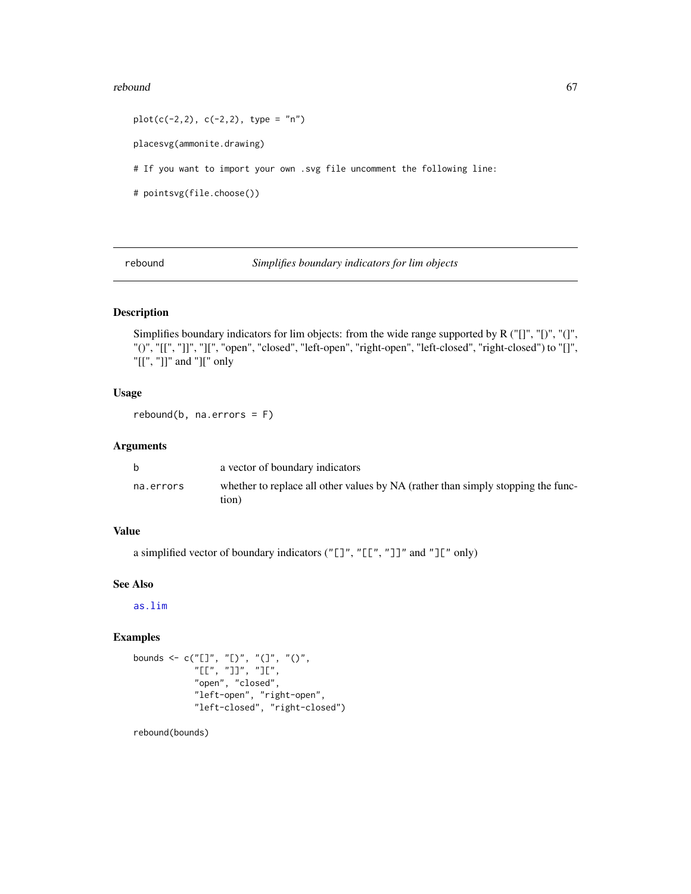#### $rebound$  67

 $plot(c(-2, 2), c(-2, 2), type = "n")$ placesvg(ammonite.drawing) # If you want to import your own .svg file uncomment the following line: # pointsvg(file.choose())

rebound *Simplifies boundary indicators for lim objects*

### Description

Simplifies boundary indicators for lim objects: from the wide range supported by R ("[]", "[)", "(]", "()", "[[", "]]", "][", "open", "closed", "left-open", "right-open", "left-closed", "right-closed") to "[]", "[[", "]]" and "][" only

### Usage

rebound(b, na.errors = F)

### Arguments

|           | a vector of boundary indicators                                                           |
|-----------|-------------------------------------------------------------------------------------------|
| na.errors | whether to replace all other values by NA (rather than simply stopping the func-<br>tion) |

### Value

a simplified vector of boundary indicators ("[]", "[[", "]]" and "][" only)

## See Also

[as.lim](#page-2-0)

### Examples

```
bounds <- c("[]", "[)", "(]", "()",
            "[[", "]]", "][",
           "open", "closed",
           "left-open", "right-open",
           "left-closed", "right-closed")
```
rebound(bounds)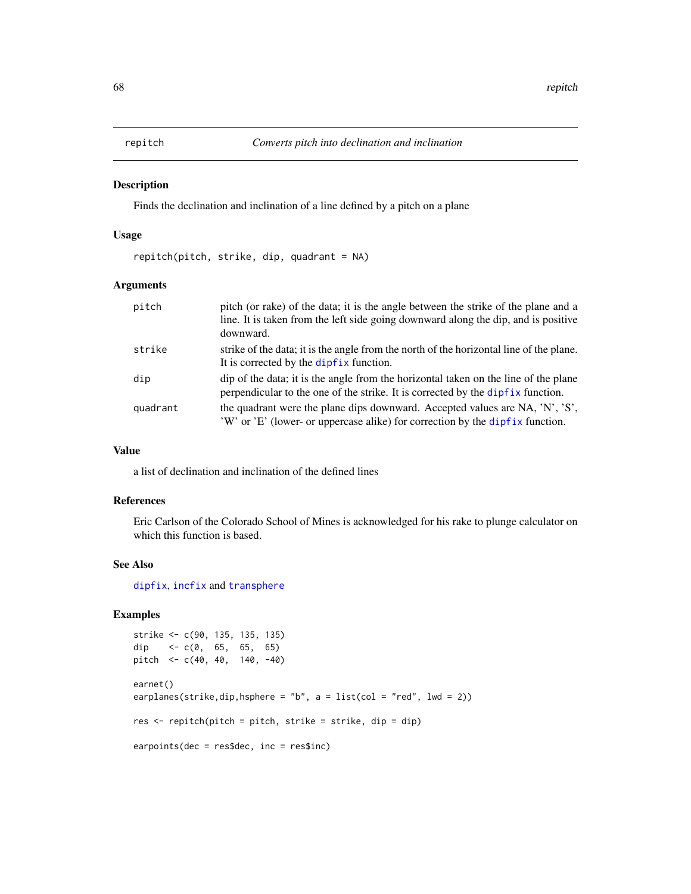#### Description

Finds the declination and inclination of a line defined by a pitch on a plane

#### Usage

repitch(pitch, strike, dip, quadrant = NA)

## Arguments

| pitch    | pitch (or rake) of the data; it is the angle between the strike of the plane and a<br>line. It is taken from the left side going downward along the dip, and is positive<br>downward. |
|----------|---------------------------------------------------------------------------------------------------------------------------------------------------------------------------------------|
| strike   | strike of the data; it is the angle from the north of the horizontal line of the plane.<br>It is corrected by the dipfix function.                                                    |
| dip      | dip of the data; it is the angle from the horizontal taken on the line of the plane<br>perpendicular to the one of the strike. It is corrected by the dipfix function.                |
| quadrant | the quadrant were the plane dips downward. Accepted values are NA, 'N', 'S',<br>'W' or 'E' (lower- or uppercase alike) for correction by the dipfix function.                         |

## Value

a list of declination and inclination of the defined lines

#### References

Eric Carlson of the Colorado School of Mines is acknowledged for his rake to plunge calculator on which this function is based.

## See Also

[dipfix](#page-16-0), [incfix](#page-39-0) and [transphere](#page-93-0)

```
strike <- c(90, 135, 135, 135)
dip <-c(0, 65, 65, 65)pitch <- c(40, 40, 140, -40)
earnet()
earplanes(strike,dip,hsphere = "b", a = list(col = "red", lwd = 2))
res <- repitch(pitch = pitch, strike = strike, dip = dip)
earpoints(dec = res$dec, inc = res$inc)
```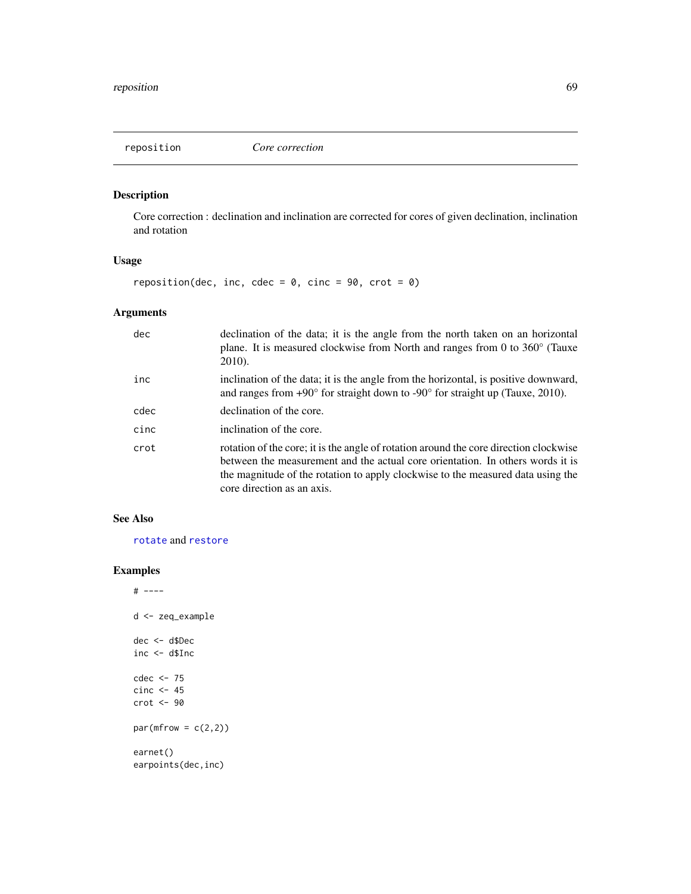<span id="page-68-0"></span>

## Description

Core correction : declination and inclination are corrected for cores of given declination, inclination and rotation

# Usage

reposition(dec, inc, cdec =  $0$ , cinc =  $90$ , crot =  $0$ )

## Arguments

| dec  | declination of the data; it is the angle from the north taken on an horizontal<br>plane. It is measured clockwise from North and ranges from 0 to $360^{\circ}$ (Tauxe<br>2010).                                                                                                         |
|------|------------------------------------------------------------------------------------------------------------------------------------------------------------------------------------------------------------------------------------------------------------------------------------------|
| inc  | inclination of the data; it is the angle from the horizontal, is positive downward,<br>and ranges from $+90^{\circ}$ for straight down to $-90^{\circ}$ for straight up (Tauxe, 2010).                                                                                                   |
| cdec | declination of the core.                                                                                                                                                                                                                                                                 |
| cinc | inclination of the core.                                                                                                                                                                                                                                                                 |
| crot | rotation of the core; it is the angle of rotation around the core direction clockwise<br>between the measurement and the actual core orientation. In others words it is<br>the magnitude of the rotation to apply clockwise to the measured data using the<br>core direction as an axis. |

## See Also

[rotate](#page-72-0) and [restore](#page-69-0)

```
# ----
d <- zeq_example
dec <- d$Dec
inc <- d$Inc
cdec <- 75
cinc \leftarrow 45crot <- 90
par(mfrow = c(2,2))earnet()
earpoints(dec,inc)
```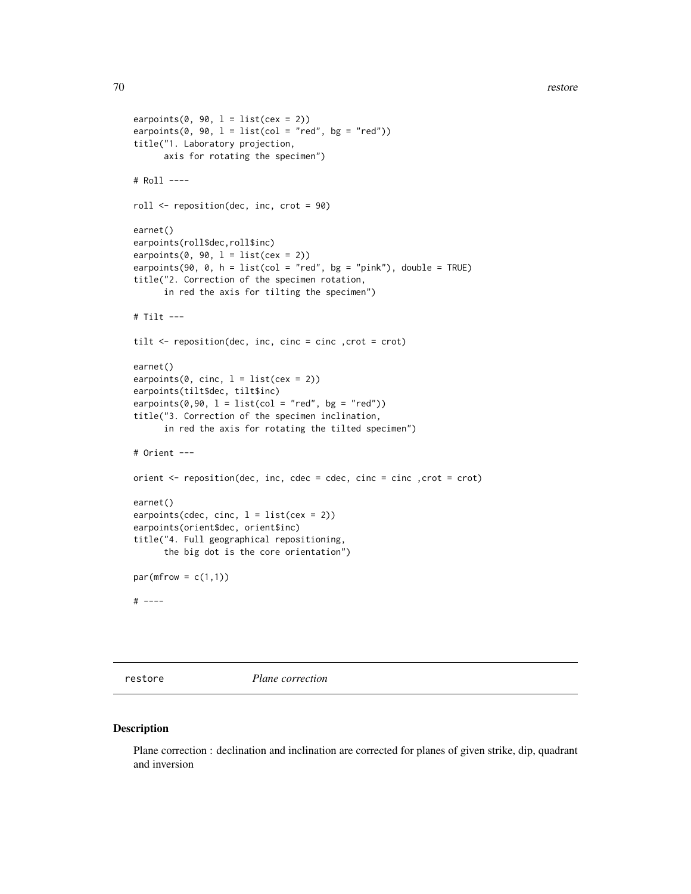70 restore

```
earpoints(0, 90, 1 = list(cex = 2))
earpoints(0, 90, l = list(col = "red", bg = "red"))title("1. Laboratory projection,
      axis for rotating the specimen")
# Roll ----
roll <- reposition(dec, inc, crot = 90)
earnet()
earpoints(roll$dec,roll$inc)
earpoints(0, 90, 1 = list(cex = 2))
earpoints(90, 0, h = list(col = "red", bg = "pink"), double = TRUE)
title("2. Correction of the specimen rotation,
      in red the axis for tilting the specimen")
# Tilt ---
tilt <- reposition(dec, inc, cinc = cinc , crot = crot)
earnet()
earpoints(0, cinc, 1 = list(cex = 2))
earpoints(tilt$dec, tilt$inc)
earpoints(0,90, 1 = list(col = "red", bg = "red"))title("3. Correction of the specimen inclination,
      in red the axis for rotating the tilted specimen")
# Orient ---
orient <- reposition(dec, inc, cdec = cdec, cinc = cinc ,crot = crot)
earnet()
earpoints(cdec, cinc, l = list(cex = 2))
earpoints(orient$dec, orient$inc)
title("4. Full geographical repositioning,
      the big dot is the core orientation")
par(mfrow = c(1,1))# ----
```
<span id="page-69-0"></span>restore *Plane correction*

#### Description

Plane correction : declination and inclination are corrected for planes of given strike, dip, quadrant and inversion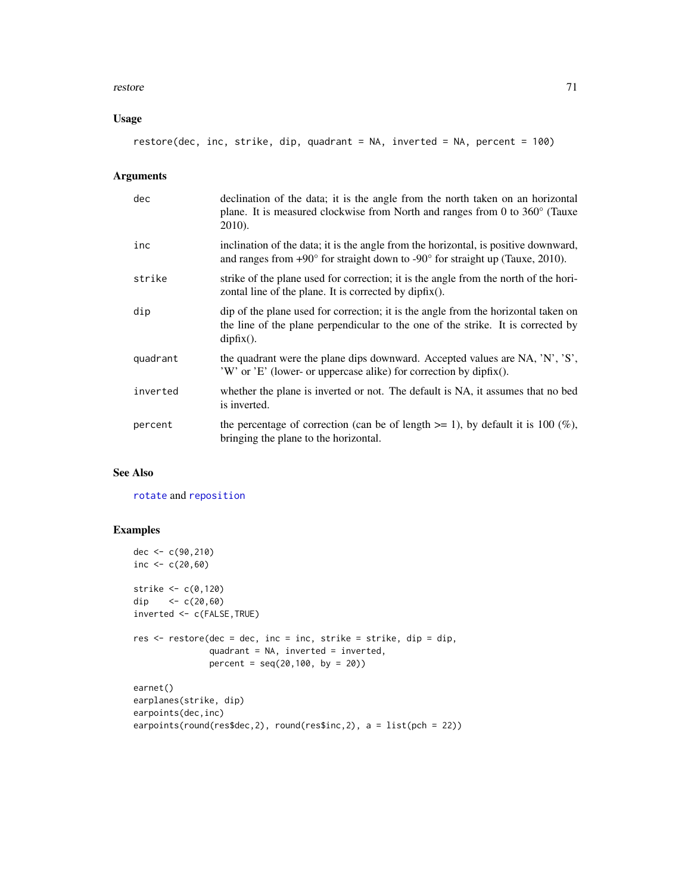#### restore and the state of the state of the state of the state of the state of the state of the state of the state of the state of the state of the state of the state of the state of the state of the state of the state of th

## Usage

restore(dec, inc, strike, dip, quadrant = NA, inverted = NA, percent = 100)

## Arguments

| dec      | declination of the data; it is the angle from the north taken on an horizontal<br>plane. It is measured clockwise from North and ranges from 0 to $360^{\circ}$ (Tauxe<br>2010).       |
|----------|----------------------------------------------------------------------------------------------------------------------------------------------------------------------------------------|
| inc      | inclination of the data; it is the angle from the horizontal, is positive downward,<br>and ranges from $+90^{\circ}$ for straight down to $-90^{\circ}$ for straight up (Tauxe, 2010). |
| strike   | strike of the plane used for correction; it is the angle from the north of the hori-<br>zontal line of the plane. It is corrected by $dipfix()$ .                                      |
| dip      | dip of the plane used for correction; it is the angle from the horizontal taken on<br>the line of the plane perpendicular to the one of the strike. It is corrected by<br>$dipfix()$ . |
| quadrant | the quadrant were the plane dips downward. Accepted values are NA, 'N', 'S',<br>'W' or 'E' (lower- or uppercase alike) for correction by dipfix().                                     |
| inverted | whether the plane is inverted or not. The default is NA, it assumes that no bed<br>is inverted.                                                                                        |
| percent  | the percentage of correction (can be of length $>= 1$ ), by default it is 100 (%),<br>bringing the plane to the horizontal.                                                            |

# See Also

[rotate](#page-72-0) and [reposition](#page-68-0)

```
dec <- c(90,210)
inc <-c(20,60)strike <- c(0,120)
dip <- c(20,60)
inverted <- c(FALSE,TRUE)
res <- restore(dec = dec, inc = inc, strike = strike, dip = dip,
              quadrant = NA, inverted = inverted,
              percent = seq(20,100, by = 20))
earnet()
earplanes(strike, dip)
earpoints(dec,inc)
earpoints(round(res$dec,2), round(res$inc,2), a = list(pch = 22))
```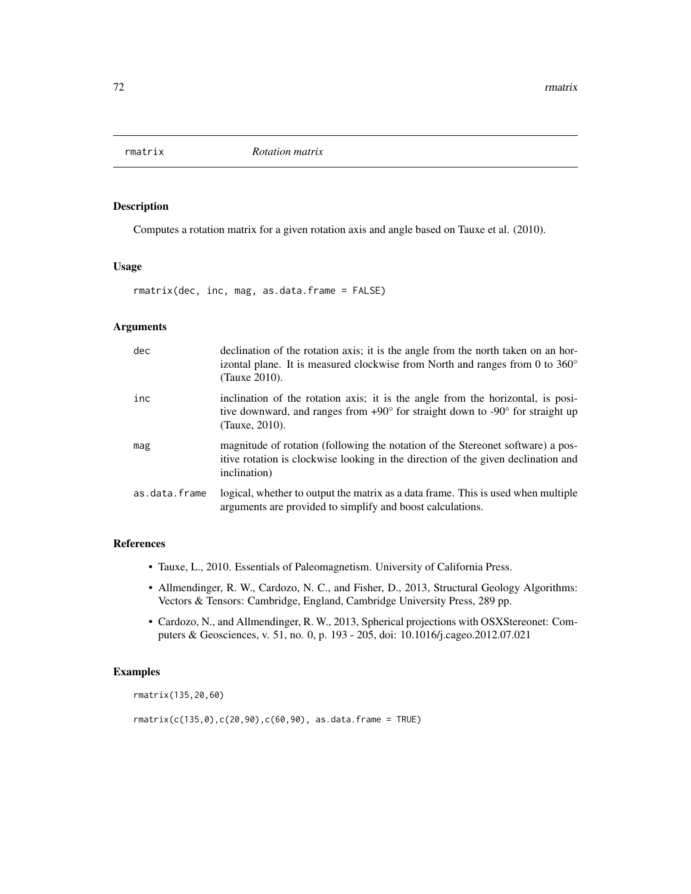### Description

Computes a rotation matrix for a given rotation axis and angle based on Tauxe et al. (2010).

## Usage

rmatrix(dec, inc, mag, as.data.frame = FALSE)

#### Arguments

| dec           | declination of the rotation axis; it is the angle from the north taken on an hor-<br>izontal plane. It is measured clockwise from North and ranges from 0 to $360^{\circ}$<br>(Tauxe 2010).          |
|---------------|------------------------------------------------------------------------------------------------------------------------------------------------------------------------------------------------------|
| inc           | inclination of the rotation axis; it is the angle from the horizontal, is posi-<br>tive downward, and ranges from $+90^{\circ}$ for straight down to $-90^{\circ}$ for straight up<br>(Tauxe, 2010). |
| mag           | magnitude of rotation (following the notation of the Stereonet software) a pos-<br>itive rotation is clockwise looking in the direction of the given declination and<br>inclination)                 |
| as.data.frame | logical, whether to output the matrix as a data frame. This is used when multiple<br>arguments are provided to simplify and boost calculations.                                                      |

### References

- Tauxe, L., 2010. Essentials of Paleomagnetism. University of California Press.
- Allmendinger, R. W., Cardozo, N. C., and Fisher, D., 2013, Structural Geology Algorithms: Vectors & Tensors: Cambridge, England, Cambridge University Press, 289 pp.
- Cardozo, N., and Allmendinger, R. W., 2013, Spherical projections with OSXStereonet: Computers & Geosciences, v. 51, no. 0, p. 193 - 205, doi: 10.1016/j.cageo.2012.07.021

## Examples

rmatrix(135,20,60)

rmatrix(c(135,0),c(20,90),c(60,90), as.data.frame = TRUE)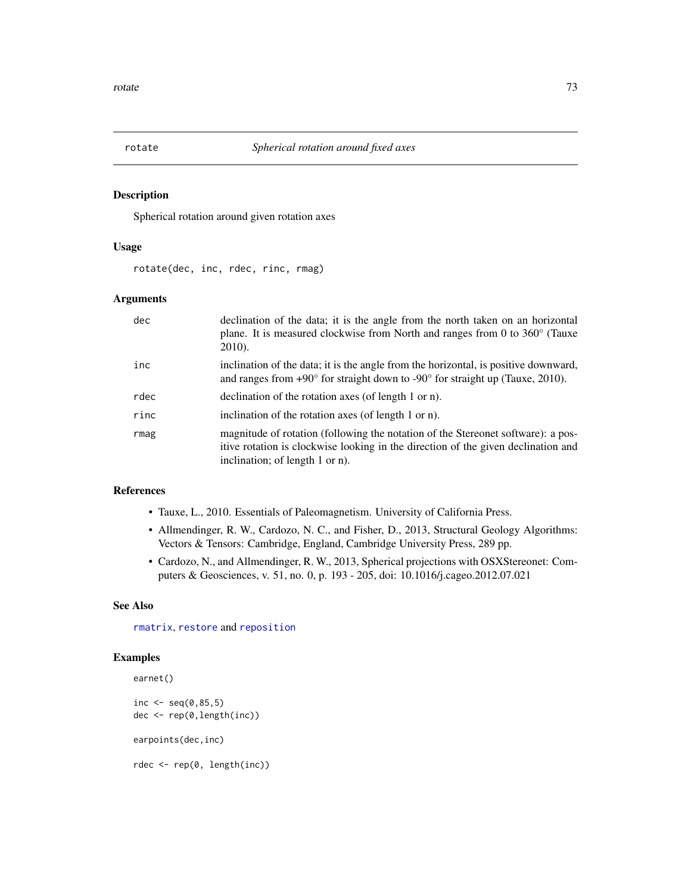<span id="page-72-0"></span>

Spherical rotation around given rotation axes

#### Usage

rotate(dec, inc, rdec, rinc, rmag)

#### Arguments

| dec  | declination of the data; it is the angle from the north taken on an horizontal<br>plane. It is measured clockwise from North and ranges from 0 to $360^{\circ}$ (Tauxe<br>2010).                         |
|------|----------------------------------------------------------------------------------------------------------------------------------------------------------------------------------------------------------|
| inc  | inclination of the data; it is the angle from the horizontal, is positive downward,<br>and ranges from $+90^{\circ}$ for straight down to $-90^{\circ}$ for straight up (Tauxe, 2010).                   |
| rdec | declination of the rotation axes (of length 1 or n).                                                                                                                                                     |
| rinc | inclination of the rotation axes (of length 1 or n).                                                                                                                                                     |
| rmag | magnitude of rotation (following the notation of the Stereonet software): a pos-<br>itive rotation is clockwise looking in the direction of the given declination and<br>inclination; of length 1 or n). |

# References

- Tauxe, L., 2010. Essentials of Paleomagnetism. University of California Press.
- Allmendinger, R. W., Cardozo, N. C., and Fisher, D., 2013, Structural Geology Algorithms: Vectors & Tensors: Cambridge, England, Cambridge University Press, 289 pp.
- Cardozo, N., and Allmendinger, R. W., 2013, Spherical projections with OSXStereonet: Computers & Geosciences, v. 51, no. 0, p. 193 - 205, doi: 10.1016/j.cageo.2012.07.021

#### See Also

[rmatrix](#page-71-0), [restore](#page-69-0) and [reposition](#page-68-0)

```
earnet()
inc \leq seq(0,85,5)
dec <- rep(0,length(inc))
earpoints(dec,inc)
rdec <- rep(0, length(inc))
```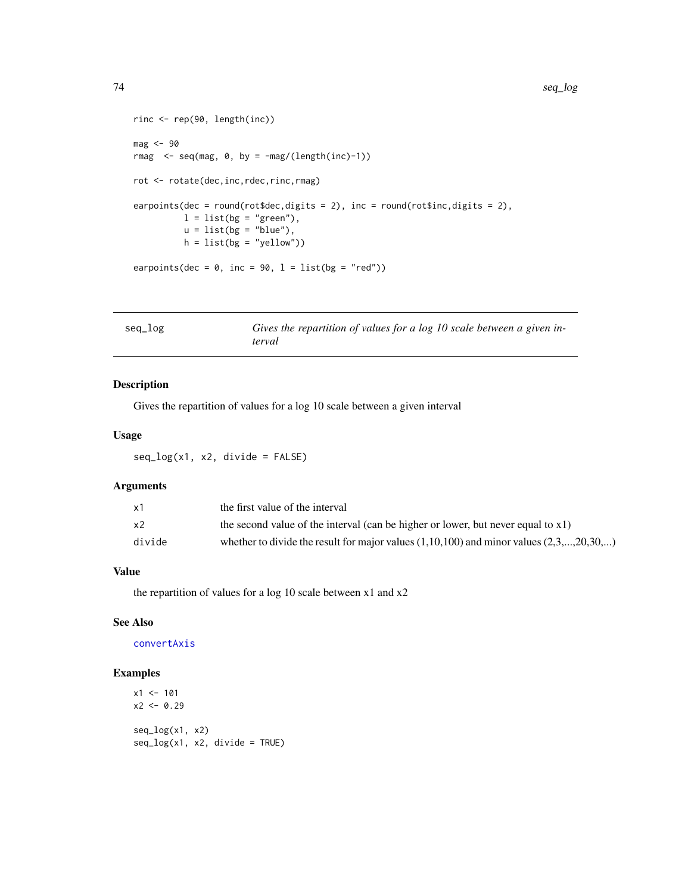```
rinc <- rep(90, length(inc))
mag <- 90
rmag \leq seq(mag, 0, by = -mag/(length(inc)-1))rot <- rotate(dec,inc,rdec,rinc,rmag)
earpoints(dec = round(rot$dec,digits = 2), inc = round(rot$inc,digits = 2),
         l = list(bg = "green"),u = list(bg = "blue"),h = list(bg = "yellow")earpoints(dec = 0, inc = 90, l = list(bg = "red"))
```

| seq_log | Gives the repartition of values for a log 10 scale between a given in- |
|---------|------------------------------------------------------------------------|
|         | terval                                                                 |

Gives the repartition of values for a log 10 scale between a given interval

# Usage

seq\_log(x1, x2, divide = FALSE)

### Arguments

| x1     | the first value of the interval                                                             |
|--------|---------------------------------------------------------------------------------------------|
| x2     | the second value of the interval (can be higher or lower, but never equal to $x1$ )         |
| divide | whether to divide the result for major values $(1,10,100)$ and minor values $(2,3,,20,30,)$ |

# Value

the repartition of values for a log 10 scale between  $x1$  and  $x2$ 

# See Also

[convertAxis](#page-14-0)

```
x1 < -101x2 < -0.29seq_log(x1, x2)
seq_log(x1, x2, divide = TRUE)
```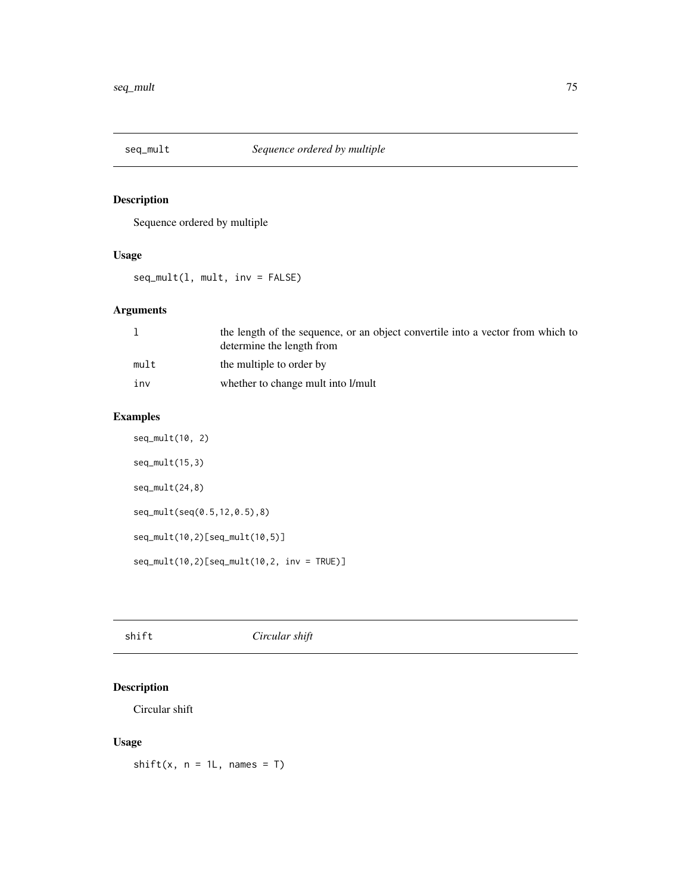<span id="page-74-0"></span>

Sequence ordered by multiple

# Usage

seq\_mult(l, mult, inv = FALSE)

# Arguments

|      | the length of the sequence, or an object convertile into a vector from which to<br>determine the length from |
|------|--------------------------------------------------------------------------------------------------------------|
| mult | the multiple to order by                                                                                     |
| inv  | whether to change mult into l/mult                                                                           |

# Examples

```
seq_mult(10, 2)
seq_mult(15,3)
seq_mult(24,8)
seq_mult(seq(0.5,12,0.5),8)
seq_mult(10,2)[seq_mult(10,5)]
seq\_mult(10, 2)[seq_mult(10,2, inv = TRUE)]
```

|--|

# Description

Circular shift

# Usage

 $shift(x, n = 1L, names = T)$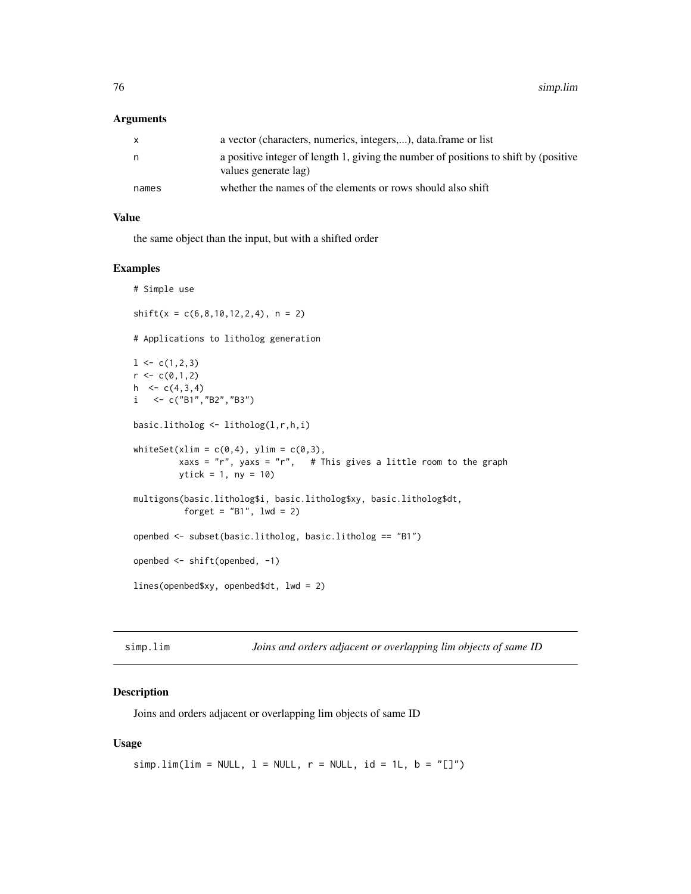#### <span id="page-75-0"></span>Arguments

| X     | a vector (characters, numerics, integers,), data frame or list                                               |
|-------|--------------------------------------------------------------------------------------------------------------|
| n     | a positive integer of length 1, giving the number of positions to shift by (positive<br>values generate lag) |
| names | whether the names of the elements or rows should also shift                                                  |

### Value

the same object than the input, but with a shifted order

#### Examples

```
# Simple use
shift(x = c(6, 8, 10, 12, 2, 4), n = 2)# Applications to litholog generation
1 \leftarrow c(1, 2, 3)r < -c(0,1,2)h \leq c(4,3,4)i \leq c("B1", "B2", "B3")basic.litholog <- litholog(l,r,h,i)
whiteSet(xlim = c(\emptyset, 4), ylim = c(\emptyset, 3),
         xaxs = "r", yaxs = "r", \# This gives a little room to the graph
         ytick = 1, ny = 10)
multigons(basic.litholog$i, basic.litholog$xy, basic.litholog$dt,
          forget = "B1", \text{ lwd} = 2)openbed <- subset(basic.litholog, basic.litholog == "B1")
openbed <- shift(openbed, -1)
lines(openbed$xy, openbed$dt, lwd = 2)
```
simp.lim *Joins and orders adjacent or overlapping lim objects of same ID*

#### Description

Joins and orders adjacent or overlapping lim objects of same ID

#### Usage

```
simp.lim(lim = NULL, 1 = NULL, r = NULL, id = 1L, b = "[]")
```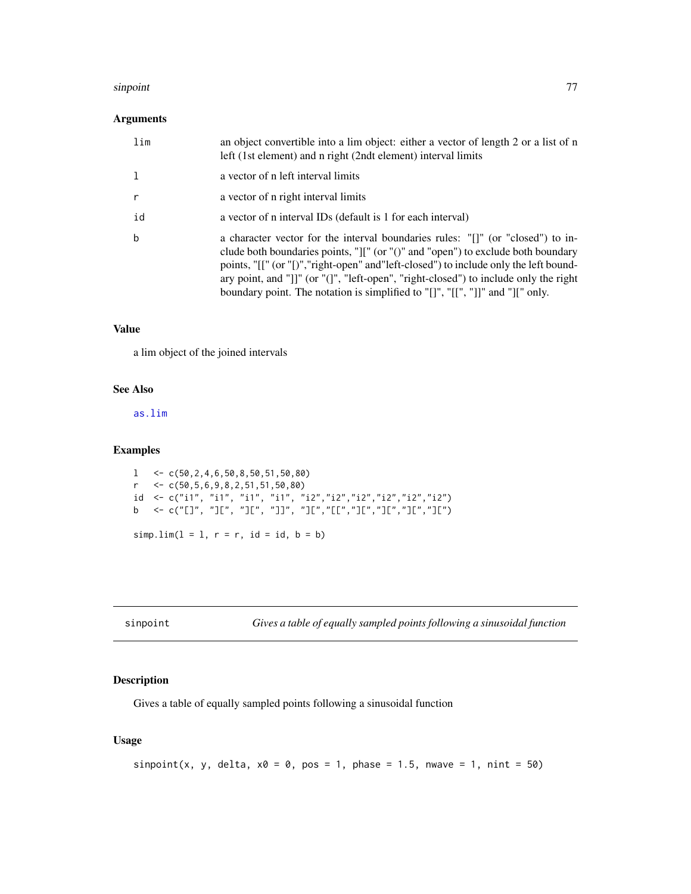#### <span id="page-76-1"></span>sinpoint that the contract of the contract of the contract of the contract of the contract of the contract of the contract of the contract of the contract of the contract of the contract of the contract of the contract of

# Arguments

| lim          | an object convertible into a lim object: either a vector of length 2 or a list of n<br>left (1st element) and n right (2ndt element) interval limits                                                                                                                                                                                                                                                                                                                |
|--------------|---------------------------------------------------------------------------------------------------------------------------------------------------------------------------------------------------------------------------------------------------------------------------------------------------------------------------------------------------------------------------------------------------------------------------------------------------------------------|
| $\mathbf{1}$ | a vector of n left interval limits                                                                                                                                                                                                                                                                                                                                                                                                                                  |
| $\mathsf{r}$ | a vector of n right interval limits                                                                                                                                                                                                                                                                                                                                                                                                                                 |
| id           | a vector of n interval IDs (default is 1 for each interval)                                                                                                                                                                                                                                                                                                                                                                                                         |
| $\mathbf b$  | a character vector for the interval boundaries rules: "[]" (or "closed") to in-<br>clude both boundaries points, " $\vert\vert\vert$ " (or " $\vert\vert$ " and "open") to exclude both boundary<br>points, "[[" (or "[)", "right-open" and "left-closed") to include only the left bound-<br>ary point, and "]]" (or "(]", "left-open", "right-closed") to include only the right<br>boundary point. The notation is simplified to "[]", "[[", "]]" and "][" only. |

# Value

a lim object of the joined intervals

#### See Also

[as.lim](#page-2-0)

#### Examples

```
1 < c(50, 2, 4, 6, 50, 8, 50, 51, 50, 80)r \leq C(50, 5, 6, 9, 8, 2, 51, 51, 50, 80)id <- c("i1", "i1", "i1", "i1", "i2","i2","i2","i2","i2","i2")
b <- c("[]", "][", "][", "]]", "][","[[","][","][","][","][")
simp.lim(1 = 1, r = r, id = id, b = b)
```
<span id="page-76-0"></span>sinpoint *Gives a table of equally sampled points following a sinusoidal function*

# Description

Gives a table of equally sampled points following a sinusoidal function

# Usage

```
sinpoint(x, y, delta, x0 = 0, pos = 1, phase = 1.5, nwave = 1, nint = 50)
```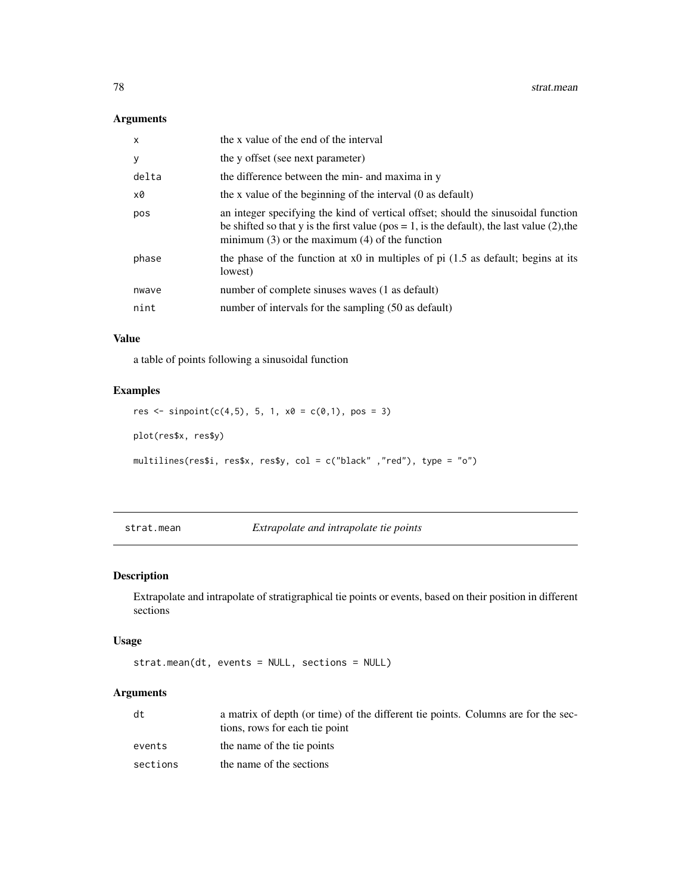#### <span id="page-77-1"></span>Arguments

| $\mathsf{x}$ | the x value of the end of the interval                                                                                                                                                                                                    |
|--------------|-------------------------------------------------------------------------------------------------------------------------------------------------------------------------------------------------------------------------------------------|
| y            | the y offset (see next parameter)                                                                                                                                                                                                         |
| delta        | the difference between the min- and maxima in y                                                                                                                                                                                           |
| x0           | the x value of the beginning of the interval (0 as default)                                                                                                                                                                               |
| pos          | an integer specifying the kind of vertical offset; should the sinusoidal function<br>be shifted so that y is the first value ( $pos = 1$ , is the default), the last value (2), the<br>minimum $(3)$ or the maximum $(4)$ of the function |
| phase        | the phase of the function at x0 in multiples of pi $(1.5$ as default; begins at its<br>lowest)                                                                                                                                            |
| nwave        | number of complete sinuses waves (1 as default)                                                                                                                                                                                           |
| nint         | number of intervals for the sampling (50 as default)                                                                                                                                                                                      |
|              |                                                                                                                                                                                                                                           |

#### Value

a table of points following a sinusoidal function

# Examples

```
res <- sinpoint(c(4,5), 5, 1, x0 = c(0,1), pos = 3)
plot(res$x, res$y)
multilines(res$i, res$x, res$y, col = c("black" ,"red"), type = "o")
```
<span id="page-77-0"></span>strat.mean *Extrapolate and intrapolate tie points*

# Description

Extrapolate and intrapolate of stratigraphical tie points or events, based on their position in different sections

#### Usage

```
strat.mean(dt, events = NULL, sections = NULL)
```
# Arguments

| dt       | a matrix of depth (or time) of the different tie points. Columns are for the sec-<br>tions, rows for each tie point |
|----------|---------------------------------------------------------------------------------------------------------------------|
| events   | the name of the tie points                                                                                          |
| sections | the name of the sections                                                                                            |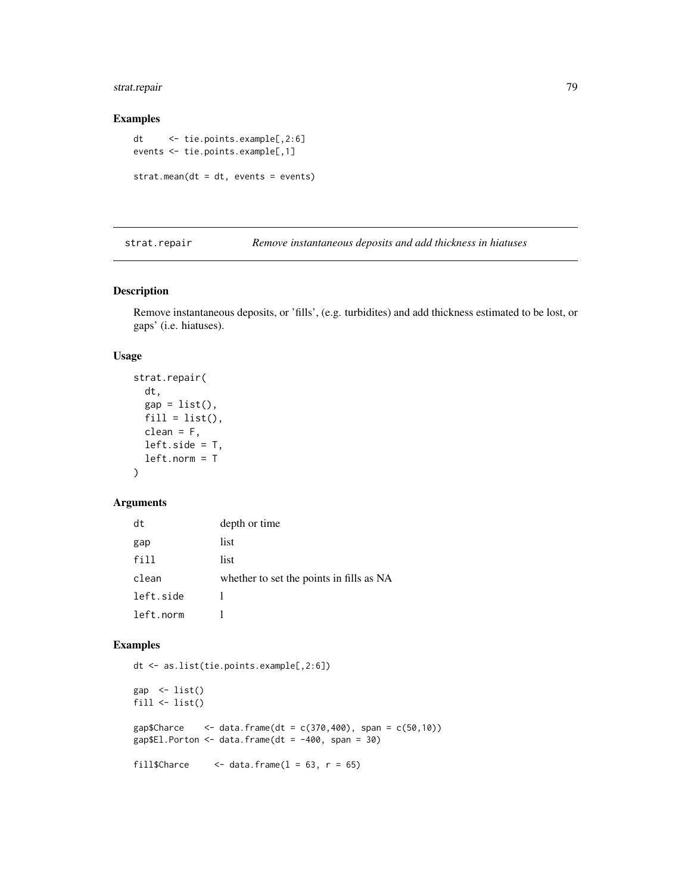# <span id="page-78-0"></span>strat.repair 79

#### Examples

```
dt <- tie.points.example[,2:6]
events <- tie.points.example[,1]
strat.mean(dt = dt, events = events)
```
strat.repair *Remove instantaneous deposits and add thickness in hiatuses*

# Description

Remove instantaneous deposits, or 'fills', (e.g. turbidites) and add thickness estimated to be lost, or gaps' (i.e. hiatuses).

# Usage

```
strat.repair(
 dt,
  gap = list(),
 fill = list(),clean = F,left.size = T,
 left.norm = T
)
```
# Arguments

| dt        | depth or time                            |
|-----------|------------------------------------------|
| gap       | list                                     |
| fill      | list                                     |
| clean     | whether to set the points in fills as NA |
| left.side |                                          |
| left.norm |                                          |

```
dt <- as.list(tie.points.example[,2:6])
gap \leftarrow list()
fill \leftarrow list()
gap$Charce <- data.frame(dt = c(370, 400), span = c(50, 10))
gap$El.Porton \leq data.frame(dt = -400, span = 30)
fill$Charce \le - data.frame(1 = 63, r = 65)
```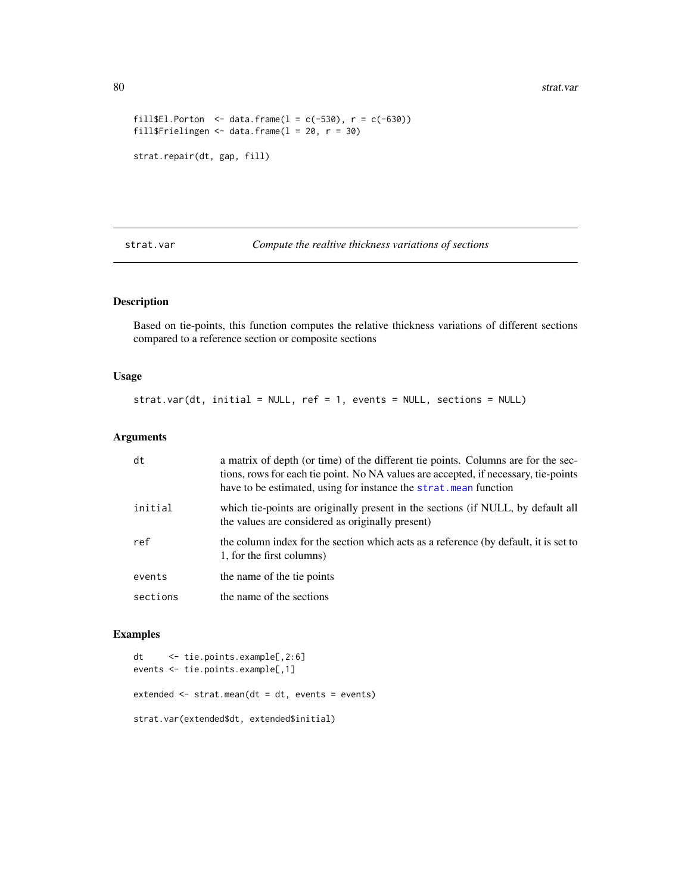```
fill$El.Porton <- data.frame(l = c(-530), r = c(-630))
fill$Frielingen <- data.frame(1 = 20, r = 30)strat.repair(dt, gap, fill)
```
strat.var *Compute the realtive thickness variations of sections*

# Description

Based on tie-points, this function computes the relative thickness variations of different sections compared to a reference section or composite sections

#### Usage

strat.var(dt, initial = NULL, ref = 1, events = NULL, sections = NULL)

#### Arguments

| dt       | a matrix of depth (or time) of the different tie points. Columns are for the sec-<br>tions, rows for each tie point. No NA values are accepted, if necessary, tie-points<br>have to be estimated, using for instance the strat. mean function |
|----------|-----------------------------------------------------------------------------------------------------------------------------------------------------------------------------------------------------------------------------------------------|
| initial  | which tie-points are originally present in the sections (if NULL, by default all<br>the values are considered as originally present)                                                                                                          |
| ref      | the column index for the section which acts as a reference (by default, it is set to<br>1, for the first columns)                                                                                                                             |
| events   | the name of the tie points                                                                                                                                                                                                                    |
| sections | the name of the sections                                                                                                                                                                                                                      |

```
dt <- tie.points.example[,2:6]
events <- tie.points.example[,1]
extended <- strat.mean(dt = dt, events = events)
strat.var(extended$dt, extended$initial)
```
<span id="page-79-0"></span>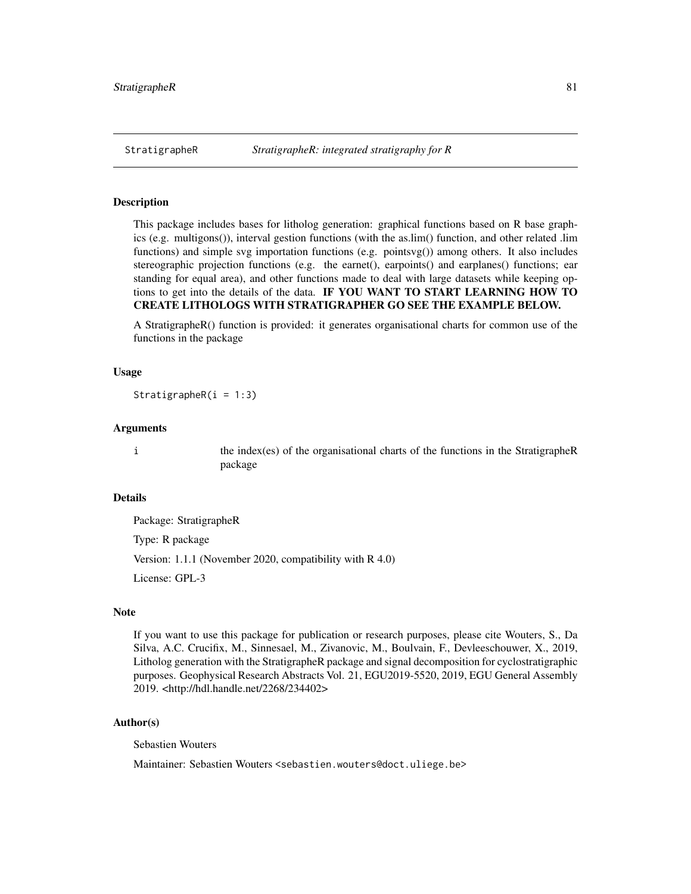<span id="page-80-0"></span>This package includes bases for litholog generation: graphical functions based on R base graphics (e.g. multigons()), interval gestion functions (with the as.lim() function, and other related .lim functions) and simple svg importation functions (e.g. pointsvg()) among others. It also includes stereographic projection functions (e.g. the earnet(), earpoints() and earplanes() functions; ear standing for equal area), and other functions made to deal with large datasets while keeping options to get into the details of the data. IF YOU WANT TO START LEARNING HOW TO CREATE LITHOLOGS WITH STRATIGRAPHER GO SEE THE EXAMPLE BELOW.

A StratigrapheR() function is provided: it generates organisational charts for common use of the functions in the package

#### Usage

StratigrapheR $(i = 1:3)$ 

#### Arguments

i the index(es) of the organisational charts of the functions in the StratigrapheR package

#### Details

Package: StratigrapheR Type: R package Version: 1.1.1 (November 2020, compatibility with R 4.0) License: GPL-3

# Note

If you want to use this package for publication or research purposes, please cite Wouters, S., Da Silva, A.C. Crucifix, M., Sinnesael, M., Zivanovic, M., Boulvain, F., Devleeschouwer, X., 2019, Litholog generation with the StratigrapheR package and signal decomposition for cyclostratigraphic purposes. Geophysical Research Abstracts Vol. 21, EGU2019-5520, 2019, EGU General Assembly 2019. <http://hdl.handle.net/2268/234402>

#### Author(s)

Sebastien Wouters

Maintainer: Sebastien Wouters <sebastien.wouters@doct.uliege.be>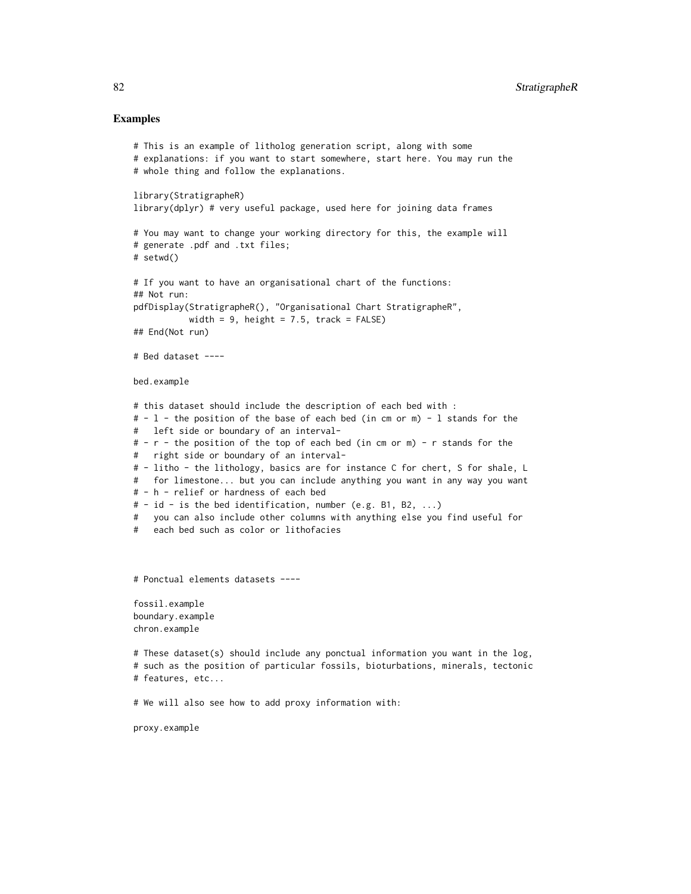```
# This is an example of litholog generation script, along with some
# explanations: if you want to start somewhere, start here. You may run the
# whole thing and follow the explanations.
library(StratigrapheR)
library(dplyr) # very useful package, used here for joining data frames
# You may want to change your working directory for this, the example will
# generate .pdf and .txt files;
# setwd()
# If you want to have an organisational chart of the functions:
## Not run:
pdfDisplay(StratigrapheR(), "Organisational Chart StratigrapheR",
          width = 9, height = 7.5, track = FALSE)
## End(Not run)
# Bed dataset ----
bed.example
# this dataset should include the description of each bed with :
# - l - the position of the base of each bed (in cm or m) - l stands for the
# left side or boundary of an interval-
# - r - the position of the top of each bed (in cm or m) - r stands for the
# right side or boundary of an interval-
# - litho - the lithology, basics are for instance C for chert, S for shale, L
# for limestone... but you can include anything you want in any way you want
# - h - relief or hardness of each bed
# - id - is the bed identification, number (e.g. B1, B2, ...)
# you can also include other columns with anything else you find useful for
# each bed such as color or lithofacies
# Ponctual elements datasets ----
fossil.example
boundary.example
chron.example
# These dataset(s) should include any ponctual information you want in the log,
# such as the position of particular fossils, bioturbations, minerals, tectonic
# features, etc...
# We will also see how to add proxy information with:
proxy.example
```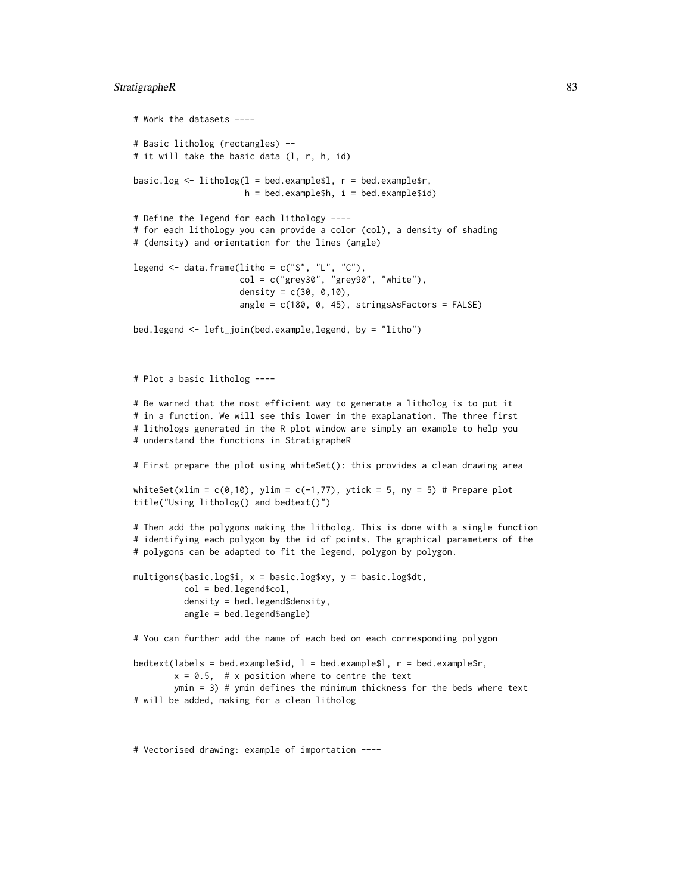#### StratigrapheR 83

```
# Work the datasets ----
# Basic litholog (rectangles) --
# it will take the basic data (1, r, h, id)
basic.log \leq litholog(1 = bed.example$1, r = bed.example$r,
                      h = bed.example$h, i = bed.example$id)# Define the legend for each lithology ----
# for each lithology you can provide a color (col), a density of shading
# (density) and orientation for the lines (angle)
legend \leq data.frame(litho = c("S", "L", "C"),
                     col = c("grey30", "grey90", "white"),density = c(30, 0, 10),
                     angle = c(180, 0, 45), stringsAsFactors = FALSE)
bed.legend <- left_join(bed.example,legend, by = "litho")
# Plot a basic litholog ----
# Be warned that the most efficient way to generate a litholog is to put it
# in a function. We will see this lower in the exaplanation. The three first
# lithologs generated in the R plot window are simply an example to help you
# understand the functions in StratigrapheR
# First prepare the plot using whiteSet(): this provides a clean drawing area
whiteSet(xlim = c(0,10), ylim = c(-1,77), ytick = 5, ny = 5) # Prepare plot
title("Using litholog() and bedtext()")
# Then add the polygons making the litholog. This is done with a single function
# identifying each polygon by the id of points. The graphical parameters of the
# polygons can be adapted to fit the legend, polygon by polygon.
multigons(basic.log$i, x = basic.log$xy, y = basic.log$dt,
          col = bed.legend$col,
          density = bed.legend$density,
          angle = bed.legend$angle)
# You can further add the name of each bed on each corresponding polygon
bedtext(labels = bed.example$id, l = bed.example$1, r = bed.example$r,
        x = 0.5, # x position where to centre the text
       ymin = 3) # ymin defines the minimum thickness for the beds where text
```
# will be added, making for a clean litholog

# Vectorised drawing: example of importation ----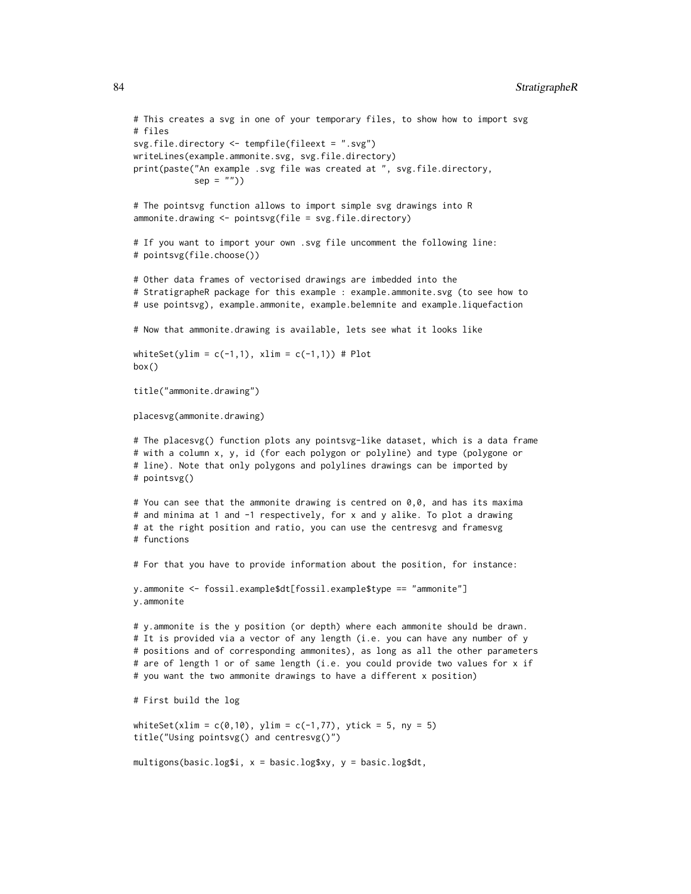```
# This creates a svg in one of your temporary files, to show how to import svg
# files
svg.file.directory <- tempfile(fileext = ".svg")
writeLines(example.ammonite.svg, svg.file.directory)
print(paste("An example .svg file was created at ", svg.file.directory,
            sep = "")# The pointsvg function allows to import simple svg drawings into R
ammonite.drawing <- pointsvg(file = svg.file.directory)
# If you want to import your own .svg file uncomment the following line:
# pointsvg(file.choose())
# Other data frames of vectorised drawings are imbedded into the
# StratigrapheR package for this example : example.ammonite.svg (to see how to
# use pointsvg), example.ammonite, example.belemnite and example.liquefaction
# Now that ammonite.drawing is available, lets see what it looks like
whiteSet(ylim = c(-1,1), xlim = c(-1,1)) # Plot
box()
title("ammonite.drawing")
placesvg(ammonite.drawing)
# The placesvg() function plots any pointsvg-like dataset, which is a data frame
# with a column x, y, id (for each polygon or polyline) and type (polygone or
# line). Note that only polygons and polylines drawings can be imported by
# pointsvg()
# You can see that the ammonite drawing is centred on 0,0, and has its maxima
# and minima at 1 and -1 respectively, for x and y alike. To plot a drawing
# at the right position and ratio, you can use the centresvg and framesvg
# functions
# For that you have to provide information about the position, for instance:
y.ammonite <- fossil.example$dt[fossil.example$type == "ammonite"]
y.ammonite
# y.ammonite is the y position (or depth) where each ammonite should be drawn.
# It is provided via a vector of any length (i.e. you can have any number of y
# positions and of corresponding ammonites), as long as all the other parameters
# are of length 1 or of same length (i.e. you could provide two values for x if
# you want the two ammonite drawings to have a different x position)
# First build the log
whiteSet(xlim = c(0,10), ylim = c(-1,77), ytick = 5, ny = 5)
title("Using pointsvg() and centresvg()")
multigons(basic.log$i, x = basic.log$xy, y = basic.log$dt,
```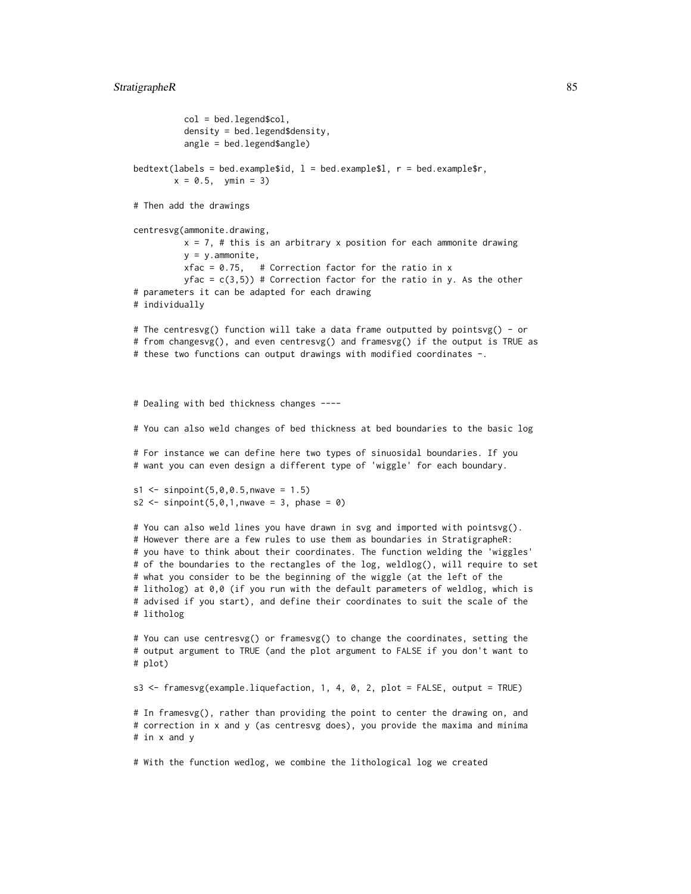```
col = bed.legend$col,
          density = bed.legend$density,
          angle = bed.legend$angle)
bedtext(labels = bed.example$id, l = bed.example$1, r = bed.example$r,
       x = 0.5, ymin = 3)
# Then add the drawings
centresvg(ammonite.drawing,
          x = 7, # this is an arbitrary x position for each ammonite drawing
          y = y. ammonite,
          xfac = 0.75, # Correction factor for the ratio in x
          yfac = c(3,5)) # Correction factor for the ratio in y. As the other
# parameters it can be adapted for each drawing
# individually
# The centresvg() function will take a data frame outputted by pointsvg() - or
# from changesvg(), and even centresvg() and framesvg() if the output is TRUE as
# these two functions can output drawings with modified coordinates -.
# Dealing with bed thickness changes ----
# You can also weld changes of bed thickness at bed boundaries to the basic log
# For instance we can define here two types of sinuosidal boundaries. If you
# want you can even design a different type of 'wiggle' for each boundary.
s1 \leq - sinpoint(5,0,0.5, nwave = 1.5)
s2 <- sinpoint(5, 0, 1, nwave = 3, phase = 0)
# You can also weld lines you have drawn in svg and imported with pointsvg().
# However there are a few rules to use them as boundaries in StratigrapheR:
# you have to think about their coordinates. The function welding the 'wiggles'
# of the boundaries to the rectangles of the log, weldlog(), will require to set
# what you consider to be the beginning of the wiggle (at the left of the
# litholog) at 0,0 (if you run with the default parameters of weldlog, which is
# advised if you start), and define their coordinates to suit the scale of the
# litholog
# You can use centresvg() or framesvg() to change the coordinates, setting the
# output argument to TRUE (and the plot argument to FALSE if you don't want to
# plot)
s3 <- framesvg(example.liquefaction, 1, 4, 0, 2, plot = FALSE, output = TRUE)
# In framesvg(), rather than providing the point to center the drawing on, and
# correction in x and y (as centresvg does), you provide the maxima and minima
# in x and y
```
# With the function wedlog, we combine the lithological log we created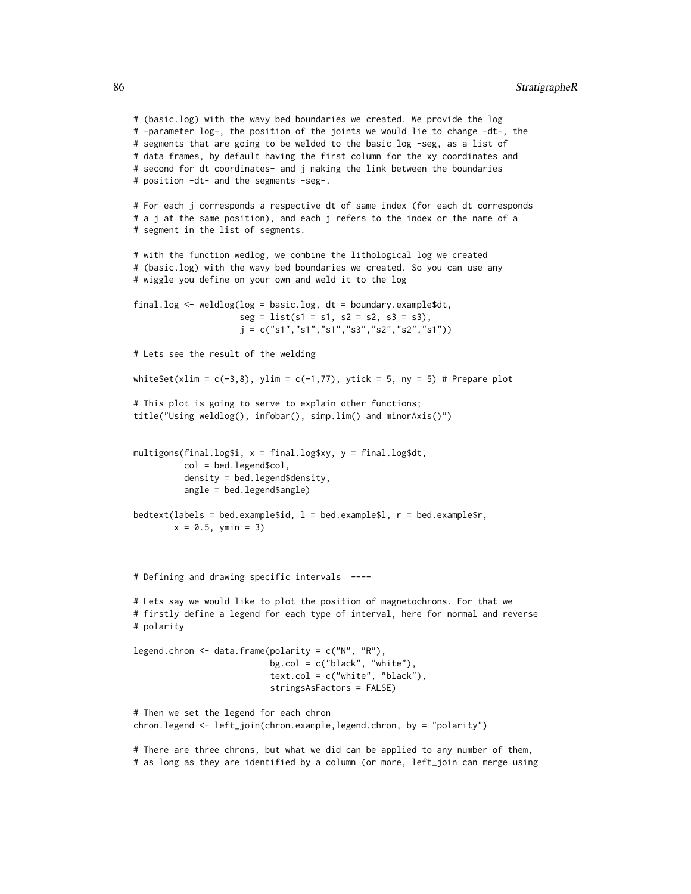# (basic.log) with the wavy bed boundaries we created. We provide the log # -parameter log-, the position of the joints we would lie to change -dt-, the # segments that are going to be welded to the basic log -seg, as a list of # data frames, by default having the first column for the xy coordinates and # second for dt coordinates- and j making the link between the boundaries # position -dt- and the segments -seg-.

# For each j corresponds a respective dt of same index (for each dt corresponds # a j at the same position), and each j refers to the index or the name of a # segment in the list of segments.

# with the function wedlog, we combine the lithological log we created # (basic.log) with the wavy bed boundaries we created. So you can use any # wiggle you define on your own and weld it to the log

```
final.log <- weldlog(log = basic.log, dt = boundary.example$dt,
                     seg = list(s1 = s1, s2 = s2, s3 = s3),j = c("s1", "s1", "s1", "s3", "s2", "s2", "s1"))
```
# Lets see the result of the welding

whiteSet(xlim =  $c(-3,8)$ , ylim =  $c(-1,77)$ , ytick = 5, ny = 5) # Prepare plot

```
# This plot is going to serve to explain other functions;
title("Using weldlog(), infobar(), simp.lim() and minorAxis()")
```

```
multigons(final.log$i, x = final.log$xy, y = final.log$dt,
          col = bed.legend$col,
          density = bed.legend$density,
          angle = bed.legend$angle)
```

```
bedtext(labels = bed.example$id, l = bed.example$1, r = bed.example$r,
       x = 0.5, ymin = 3)
```
# Defining and drawing specific intervals ----

# Lets say we would like to plot the position of magnetochrons. For that we # firstly define a legend for each type of interval, here for normal and reverse # polarity

legend.chron  $\leq$  data.frame(polarity = c("N", "R"), bg.col = c("black", "white"), text.col = c("white", "black"), stringsAsFactors = FALSE)

# Then we set the legend for each chron chron.legend <- left\_join(chron.example,legend.chron, by = "polarity")

# There are three chrons, but what we did can be applied to any number of them, # as long as they are identified by a column (or more, left\_join can merge using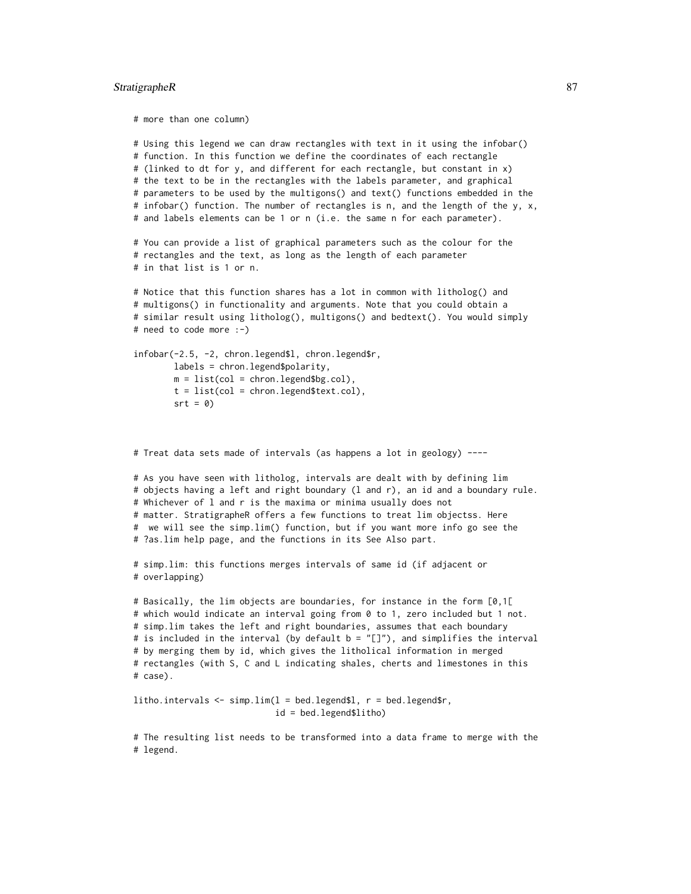#### StratigrapheR 87

```
# more than one column)
# Using this legend we can draw rectangles with text in it using the infobar()
# function. In this function we define the coordinates of each rectangle
# (linked to dt for y, and different for each rectangle, but constant in x)
# the text to be in the rectangles with the labels parameter, and graphical
# parameters to be used by the multigons() and text() functions embedded in the
# infobar() function. The number of rectangles is n, and the length of the y, x,
# and labels elements can be 1 or n (i.e. the same n for each parameter).
# You can provide a list of graphical parameters such as the colour for the
# rectangles and the text, as long as the length of each parameter
# in that list is 1 or n.
# Notice that this function shares has a lot in common with litholog() and
# multigons() in functionality and arguments. Note that you could obtain a
# similar result using litholog(), multigons() and bedtext(). You would simply
# need to code more :-)
infobar(-2.5, -2, chron.legend$l, chron.legend$r,
       labels = chron.legend$polarity,
       m = list(col = chrom.length§bg.col),
       t = list(col = chrom.lengthSetext.col),srt = 0)# Treat data sets made of intervals (as happens a lot in geology) ----
# As you have seen with litholog, intervals are dealt with by defining lim
# objects having a left and right boundary (l and r), an id and a boundary rule.
# Whichever of l and r is the maxima or minima usually does not
# matter. StratigrapheR offers a few functions to treat lim objectss. Here
# we will see the simp.lim() function, but if you want more info go see the
# ?as.lim help page, and the functions in its See Also part.
```

```
# simp.lim: this functions merges intervals of same id (if adjacent or
# overlapping)
```

```
# Basically, the lim objects are boundaries, for instance in the form [0,1[
# which would indicate an interval going from 0 to 1, zero included but 1 not.
# simp.lim takes the left and right boundaries, assumes that each boundary
# is included in the interval (by default b = "[]"), and simplifies the interval
# by merging them by id, which gives the litholical information in merged
# rectangles (with S, C and L indicating shales, cherts and limestones in this
# case).
```

```
litho.intervals \leq simp.lim(1 = bed.legend$1, r = bed.legend$r,
                            id = bed.legend$litho)
```
# The resulting list needs to be transformed into a data frame to merge with the # legend.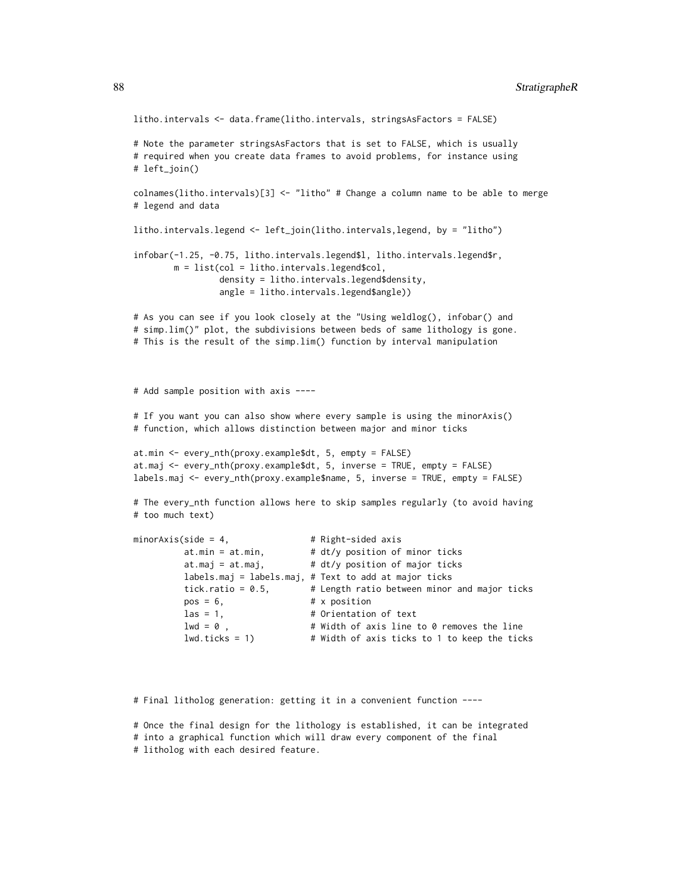```
litho.intervals <- data.frame(litho.intervals, stringsAsFactors = FALSE)
# Note the parameter stringsAsFactors that is set to FALSE, which is usually
# required when you create data frames to avoid problems, for instance using
# left_join()
colnames(litho.intervals)[3] <- "litho" # Change a column name to be able to merge
# legend and data
litho.intervals.legend <- left_join(litho.intervals,legend, by = "litho")
infobar(-1.25, -0.75, litho.intervals.legend$l, litho.intervals.legend$r,
       m = list(col = litho.intervals.legend$col,
                density = litho.intervals.legend$density,
                angle = litho.intervals.legend$angle))
# As you can see if you look closely at the "Using weldlog(), infobar() and
# simp.lim()" plot, the subdivisions between beds of same lithology is gone.
# This is the result of the simp.lim() function by interval manipulation
# Add sample position with axis ----
# If you want you can also show where every sample is using the minorAxis()
# function, which allows distinction between major and minor ticks
at.min <- every_nth(proxy.example$dt, 5, empty = FALSE)
at.maj <- every_nth(proxy.example$dt, 5, inverse = TRUE, empty = FALSE)
labels.maj <- every_nth(proxy.example$name, 5, inverse = TRUE, empty = FALSE)
# The every_nth function allows here to skip samples regularly (to avoid having
# too much text)
minorAxis(side = 4, \# Right-sided axis
         at.min = at.min, \qquad # dt/y position of minor ticks
         at.maj = at.maj, # dt/y position of major ticks
         labels.maj = labels.maj, # Text to add at major ticks
         tick.ratio = 0.5, \qquad # Length ratio between minor and major ticks
         pos = 6, # x positionlas = 1, \qquad # Orientation of text
         1wd = 0, # Width of axis line to 0 removes the linelwd.ticks = 1) # Width of axis ticks to 1 to keep the ticks
```
# Final litholog generation: getting it in a convenient function ----

# Once the final design for the lithology is established, it can be integrated # into a graphical function which will draw every component of the final # litholog with each desired feature.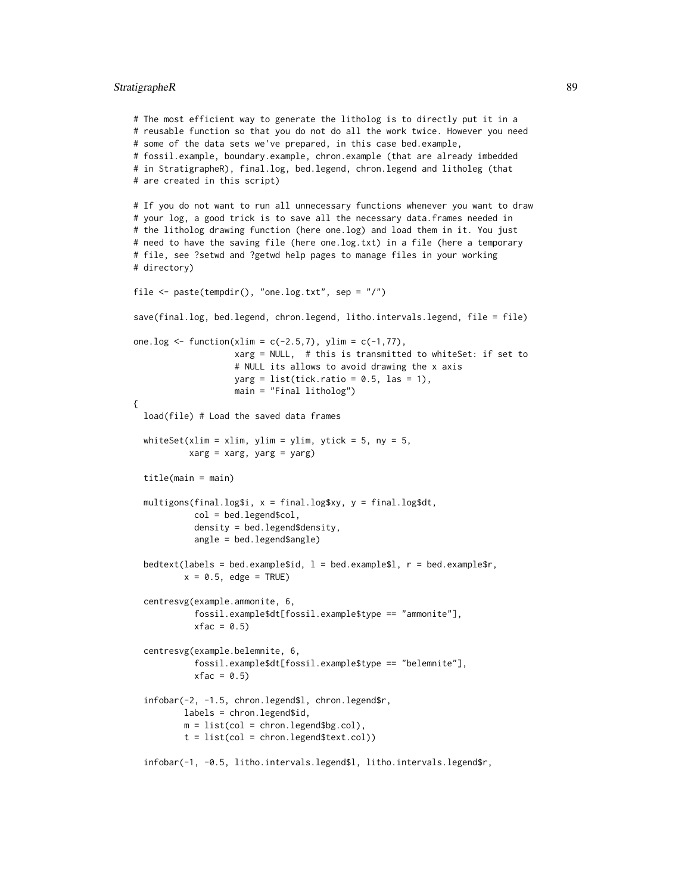#### StratigrapheR 89

```
# The most efficient way to generate the litholog is to directly put it in a
# reusable function so that you do not do all the work twice. However you need
# some of the data sets we've prepared, in this case bed.example,
# fossil.example, boundary.example, chron.example (that are already imbedded
# in StratigrapheR), final.log, bed.legend, chron.legend and litholeg (that
# are created in this script)
# If you do not want to run all unnecessary functions whenever you want to draw
# your log, a good trick is to save all the necessary data.frames needed in
# the litholog drawing function (here one.log) and load them in it. You just
# need to have the saving file (here one.log.txt) in a file (here a temporary
# file, see ?setwd and ?getwd help pages to manage files in your working
# directory)
file <- paste(tempdir(), "one.log.txt", sep = "/")
save(final.log, bed.legend, chron.legend, litho.intervals.legend, file = file)
one.log <- function(xlim = c(-2.5,7), ylim = c(-1,77),
                   xarg = NULL, # this is transmitted to whiteSet: if set to
                    # NULL its allows to avoid drawing the x axis
                   yarg = list(tick.ratio = 0.5, las = 1),
                   main = "Final litholog")
{
 load(file) # Load the saved data frames
 whiteSet(xlim = xlim, ylim = ylim, ytick = 5, ny = 5,
          xarg = xarg, yarg = yarg)
 title(main = main)
 multigons(final.log$i, x = final.log$xy, y = final.log$dt,
           col = bed.legend$col,
           density = bed.legend$density,
           angle = bed.legend$angle)
 bedtext(labels = bed.example$id, l = bed.example$l, r = bed.example$r,
          x = 0.5, edge = TRUE)
  centresvg(example.ammonite, 6,
           fossil.example$dt[fossil.example$type == "ammonite"],
           xfac = 0.5centresvg(example.belemnite, 6,
           fossil.example$dt[fossil.example$type == "belemnite"],
           xfac = 0.5infobar(-2, -1.5, chron.legend$l, chron.legend$r,
         labels = chron.legend$id,
         m = list(col = chrom.length, g.col),
         t = list(col = chron.legend$text.col))
```
infobar(-1, -0.5, litho.intervals.legend\$l, litho.intervals.legend\$r,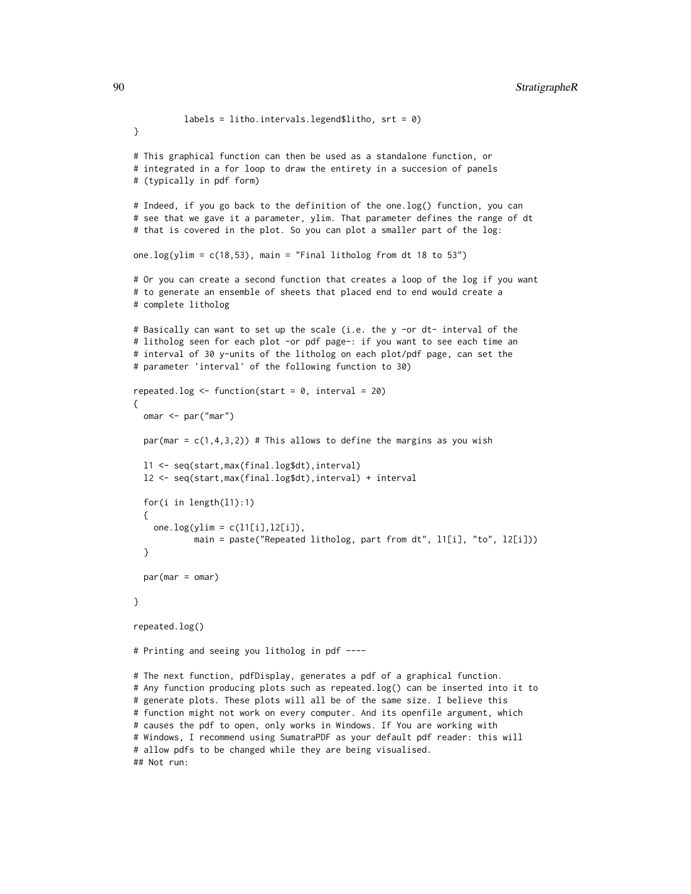```
labels = litho.intervals.legend$litho, srt = 0)
}
# This graphical function can then be used as a standalone function, or
# integrated in a for loop to draw the entirety in a succesion of panels
# (typically in pdf form)
# Indeed, if you go back to the definition of the one.log() function, you can
# see that we gave it a parameter, ylim. That parameter defines the range of dt
# that is covered in the plot. So you can plot a smaller part of the log:
one.log(ylim = c(18,53), main = "Final litholog from dt 18 to 53")
# Or you can create a second function that creates a loop of the log if you want
# to generate an ensemble of sheets that placed end to end would create a
# complete litholog
# Basically can want to set up the scale (i.e. the y -or dt- interval of the
# litholog seen for each plot -or pdf page-: if you want to see each time an
# interval of 30 y-units of the litholog on each plot/pdf page, can set the
# parameter 'interval' of the following function to 30)
repeated.log \le function(start = 0, interval = 20)
{
 omar <- par("mar")
 par(mar = c(1,4,3,2)) # This allows to define the margins as you wish
 l1 <- seq(start,max(final.log$dt),interval)
 l2 <- seq(start,max(final.log$dt),interval) + interval
 for(i in length(l1):1)
 {
   one.log(ylim = c(11[i], 12[i]),main = paste("Repeated litholog, part from dt", l1[i], "to", l2[i]))
 }
 par(mar = omar)
}
repeated.log()
# Printing and seeing you litholog in pdf ----
# The next function, pdfDisplay, generates a pdf of a graphical function.
# Any function producing plots such as repeated.log() can be inserted into it to
# generate plots. These plots will all be of the same size. I believe this
# function might not work on every computer. And its openfile argument, which
# causes the pdf to open, only works in Windows. If You are working with
# Windows, I recommend using SumatraPDF as your default pdf reader: this will
# allow pdfs to be changed while they are being visualised.
## Not run:
```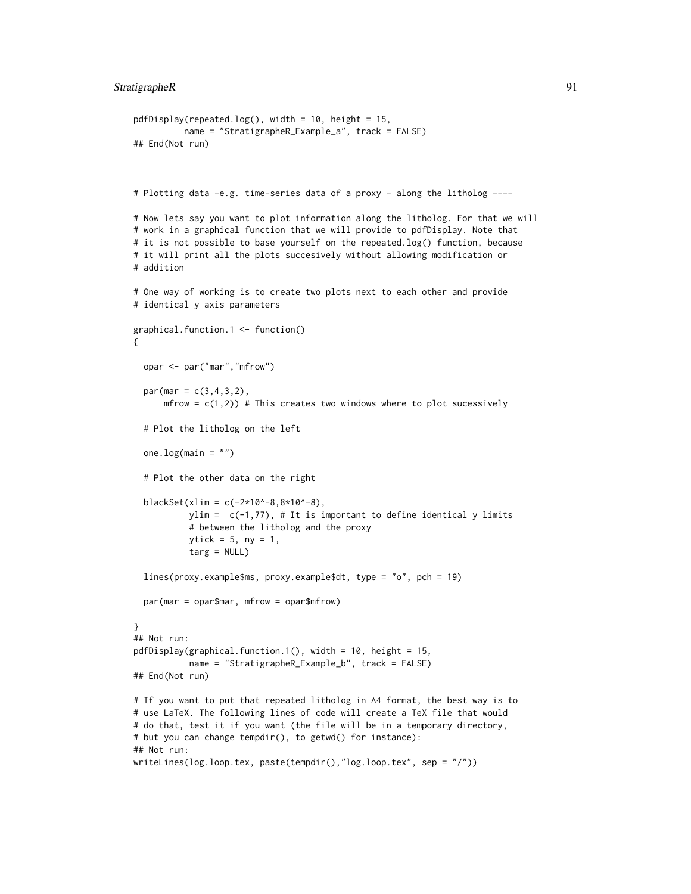$pdfDisplay(repeated.log(), width = 10, height = 15,$ 

```
name = "StratigrapheR_Example_a", track = FALSE)
## End(Not run)
# Plotting data -e.g. time-series data of a proxy - along the litholog ----
# Now lets say you want to plot information along the litholog. For that we will
# work in a graphical function that we will provide to pdfDisplay. Note that
# it is not possible to base yourself on the repeated.log() function, because
# it will print all the plots succesively without allowing modification or
# addition
# One way of working is to create two plots next to each other and provide
# identical y axis parameters
graphical.function.1 <- function()
{
 opar <- par("mar","mfrow")
 par(max = c(3, 4, 3, 2),mfrow = c(1,2)) # This creates two windows where to plot sucessively
 # Plot the litholog on the left
 one.log(main = ")
 # Plot the other data on the right
 blackSet(xlim = c(-2*10^{\wedge} -8, 8*10^{\wedge} -8),
           ylim = c(-1, 77), # It is important to define identical y limits
           # between the litholog and the proxy
           ytick = 5, ny = 1,
           targ = NULL)
 lines(proxy.example$ms, proxy.example$dt, type = "o", pch = 19)
 par(mar = opar$mar, mfrow = opar$mfrow)
}
## Not run:
pdfDisplay(graphical.function.1(), width = 10, height = 15,
           name = "StratigrapheR_Example_b", track = FALSE)
## End(Not run)
# If you want to put that repeated litholog in A4 format, the best way is to
# use LaTeX. The following lines of code will create a TeX file that would
# do that, test it if you want (the file will be in a temporary directory,
# but you can change tempdir(), to getwd() for instance):
## Not run:
writeLines(log.loop.tex, paste(tempdir(),"log.loop.tex", sep = "/"))
```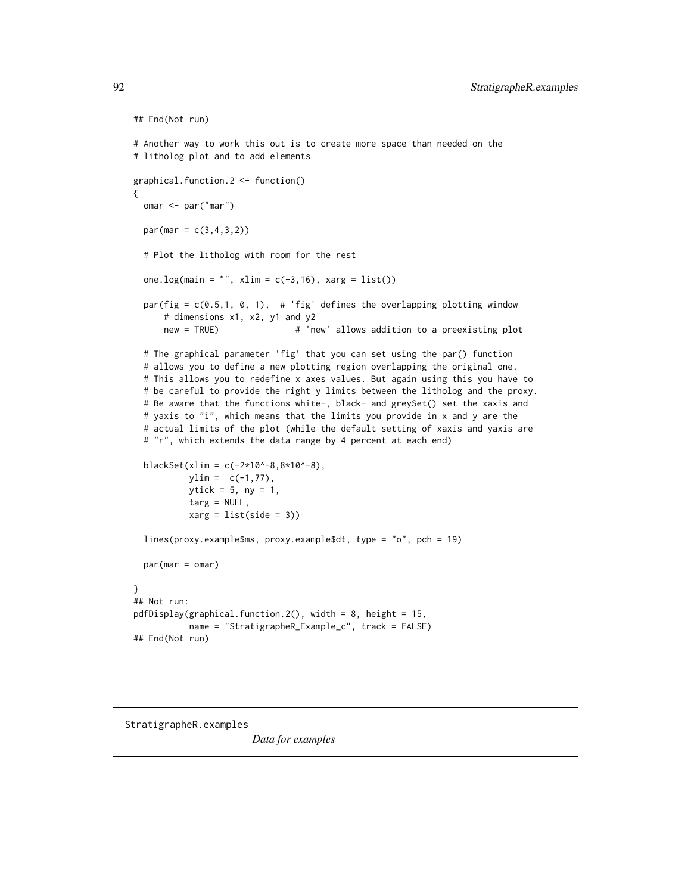```
## End(Not run)
# Another way to work this out is to create more space than needed on the
# litholog plot and to add elements
graphical.function.2 <- function()
{
 omar <- par("mar")
 par(max = c(3, 4, 3, 2))# Plot the litholog with room for the rest
 one.log(main = "", xlim = c(-3,16), xarg = list())
 par(fig = c(0.5,1, 0, 1), # 'fig' defines the overlapping plotting window
     # dimensions x1, x2, y1 and y2
     new = TRUE) # 'new' allows addition to a preexisting plot
 # The graphical parameter 'fig' that you can set using the par() function
 # allows you to define a new plotting region overlapping the original one.
 # This allows you to redefine x axes values. But again using this you have to
 # be careful to provide the right y limits between the litholog and the proxy.
 # Be aware that the functions white-, black- and greySet() set the xaxis and
 # yaxis to "i", which means that the limits you provide in x and y are the
 # actual limits of the plot (while the default setting of xaxis and yaxis are
 # "r", which extends the data range by 4 percent at each end)
 blackSet(xlim = c(-2*10^-8,8*10^-8),
          ylim = c(-1, 77),ytick = 5, ny = 1,
          targ = NULL,
          xarg = list(side = 3))lines(proxy.example$ms, proxy.example$dt, type = "o", pch = 19)
 par(max = omar)}
## Not run:
pdfDisplay(graphical.function.2(), width = 8, height = 15,
          name = "StratigrapheR_Example_c", track = FALSE)
## End(Not run)
```
StratigrapheR.examples

*Data for examples*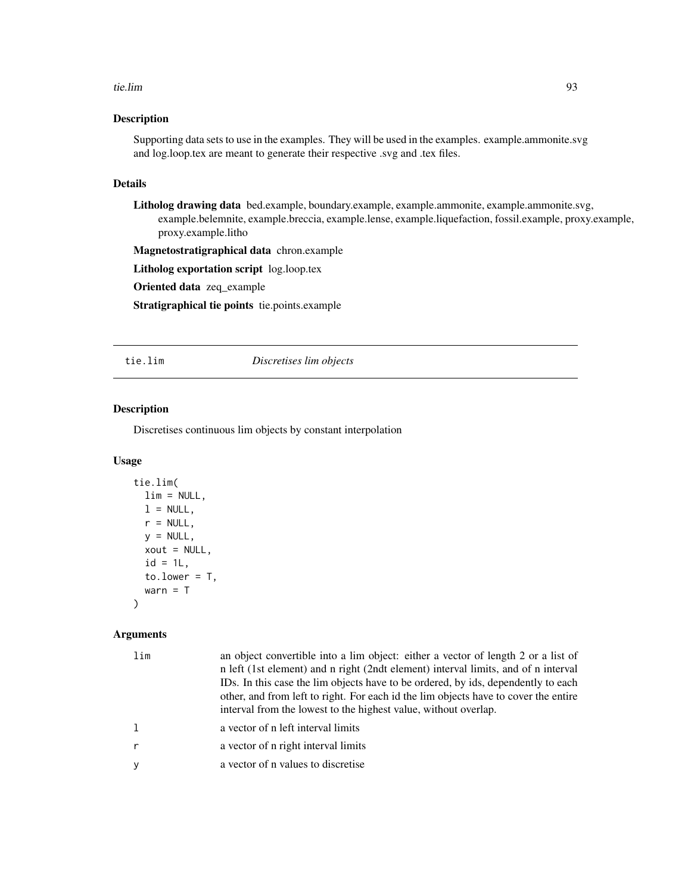#### <span id="page-92-0"></span>tie.lim 93

# Description

Supporting data sets to use in the examples. They will be used in the examples. example.ammonite.svg and log.loop.tex are meant to generate their respective .svg and .tex files.

#### Details

Litholog drawing data bed.example, boundary.example, example.ammonite, example.ammonite.svg, example.belemnite, example.breccia, example.lense, example.liquefaction, fossil.example, proxy.example, proxy.example.litho

Magnetostratigraphical data chron.example

Litholog exportation script log.loop.tex

Oriented data zeq\_example

Stratigraphical tie points tie.points.example

tie.lim *Discretises lim objects*

# Description

Discretises continuous lim objects by constant interpolation

#### Usage

```
tie.lim(
  lim = NULL,
  l = NULL,r = NULL,y = NULL,xout = NULL,id = 1L,
 to.lower = T,
 warn = T)
```
# Arguments

| a vector of n left interval limits<br>a vector of n right interval limits<br>a vector of n values to discretise | lim | an object convertible into a lim object: either a vector of length 2 or a list of<br>n left (1st element) and n right (2ndt element) interval limits, and of n interval<br>IDs. In this case the lim objects have to be ordered, by ids, dependently to each<br>other, and from left to right. For each id the lim objects have to cover the entire<br>interval from the lowest to the highest value, without overlap. |
|-----------------------------------------------------------------------------------------------------------------|-----|------------------------------------------------------------------------------------------------------------------------------------------------------------------------------------------------------------------------------------------------------------------------------------------------------------------------------------------------------------------------------------------------------------------------|
|                                                                                                                 |     |                                                                                                                                                                                                                                                                                                                                                                                                                        |
|                                                                                                                 |     |                                                                                                                                                                                                                                                                                                                                                                                                                        |
|                                                                                                                 |     |                                                                                                                                                                                                                                                                                                                                                                                                                        |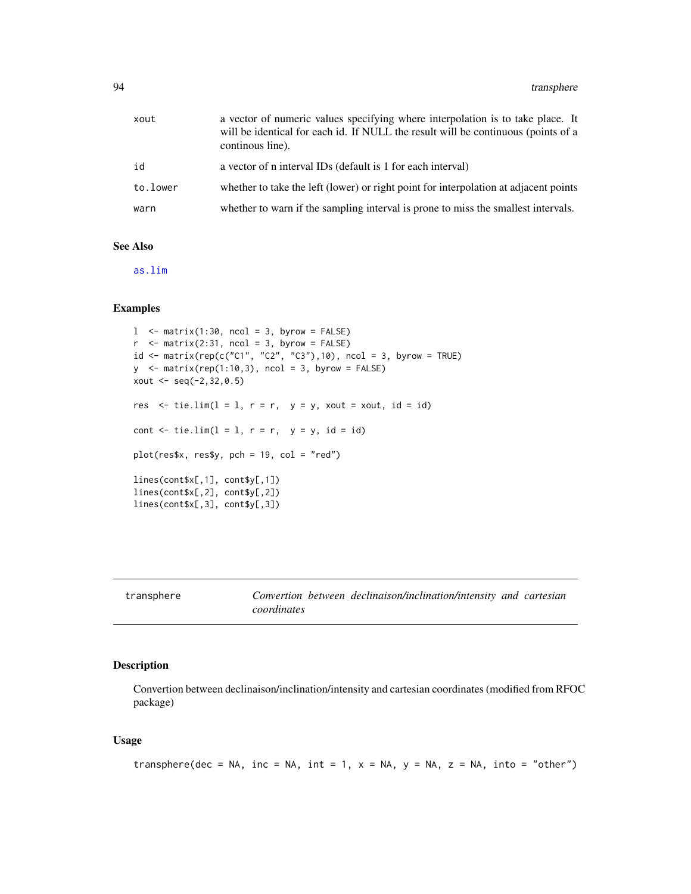<span id="page-93-0"></span>

| xout     | a vector of numeric values specifying where interpolation is to take place. It<br>will be identical for each id. If NULL the result will be continuous (points of a<br>continous line). |
|----------|-----------------------------------------------------------------------------------------------------------------------------------------------------------------------------------------|
| id       | a vector of n interval IDs (default is 1 for each interval)                                                                                                                             |
| to.lower | whether to take the left (lower) or right point for interpolation at adjacent points                                                                                                    |
| warn     | whether to warn if the sampling interval is prone to miss the smallest intervals.                                                                                                       |

# See Also

[as.lim](#page-2-0)

# Examples

```
l <- matrix(1:30, ncol = 3, byrow = FALSE)
r <- matrix(2:31, ncol = 3, byrow = FALSE)
id \leq matrix(rep(c("C1", "C2", "C3"),10), ncol = 3, byrow = TRUE)y \le - matrix(rep(1:10,3), ncol = 3, byrow = FALSE)
xout \leq -seq(-2, 32, 0.5)res \le tie.lim(1 = 1, r = r, y = y, xout = xout, id = id)
cont \le tie.lim(l = 1, r = r, y = y, id = id)
plot(res$x, res$y, pch = 19, col = "red")
lines(cont$x[,1], cont$y[,1])
lines(cont$x[,2], cont$y[,2])
lines(cont$x[,3], cont$y[,3])
```
transphere *Convertion between declinaison/inclination/intensity and cartesian coordinates*

# Description

Convertion between declinaison/inclination/intensity and cartesian coordinates (modified from RFOC package)

# Usage

```
transphere(dec = NA, inc = NA, int = 1, x = NA, y = NA, z = NA, into = "other")
```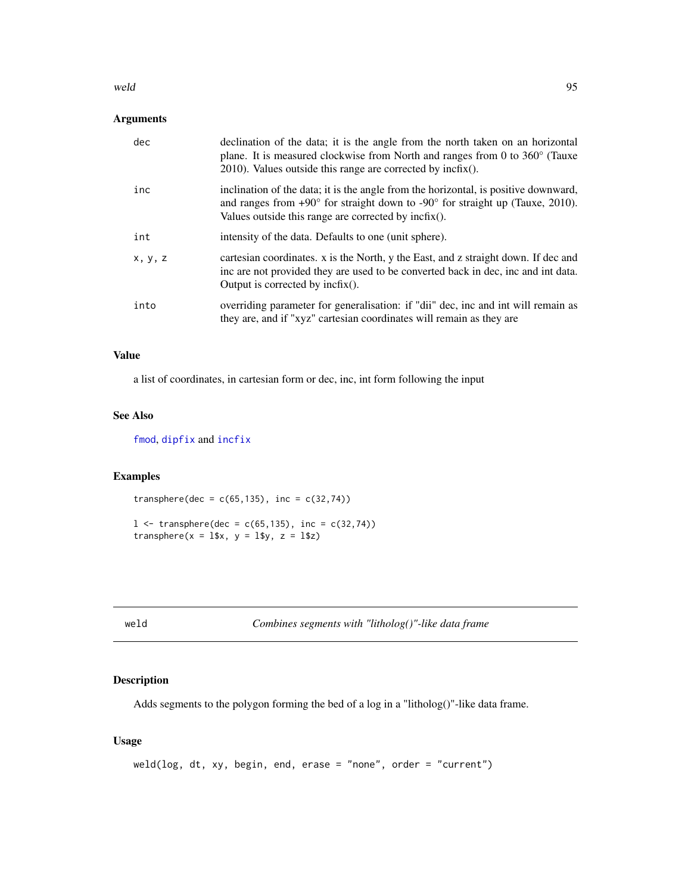#### <span id="page-94-1"></span>weld the contract of the contract of the contract of the contract of the contract of the contract of the contract of the contract of the contract of the contract of the contract of the contract of the contract of the contr

# Arguments

| dec     | declination of the data; it is the angle from the north taken on an horizontal<br>plane. It is measured clockwise from North and ranges from 0 to $360^{\circ}$ (Tauxe<br>$2010$ ). Values outside this range are corrected by incfix().       |
|---------|------------------------------------------------------------------------------------------------------------------------------------------------------------------------------------------------------------------------------------------------|
| inc     | inclination of the data; it is the angle from the horizontal, is positive downward,<br>and ranges from $+90^{\circ}$ for straight down to $-90^{\circ}$ for straight up (Tauxe, 2010).<br>Values outside this range are corrected by incfix(). |
| int     | intensity of the data. Defaults to one (unit sphere).                                                                                                                                                                                          |
| x, y, z | cartesian coordinates. x is the North, y the East, and z straight down. If dec and<br>inc are not provided they are used to be converted back in dec, inc and int data.<br>Output is corrected by $\text{incfix}()$ .                          |
| into    | overriding parameter for generalisation: if "dii" dec, inc and int will remain as<br>they are, and if "xyz" cartesian coordinates will remain as they are                                                                                      |

#### Value

a list of coordinates, in cartesian form or dec, inc, int form following the input

# See Also

[fmod](#page-29-0), [dipfix](#page-16-0) and [incfix](#page-39-0)

#### Examples

transphere(dec =  $c(65, 135)$ , inc =  $c(32, 74)$ )

 $1 \le$  transphere(dec = c(65,135), inc = c(32,74)) transphere( $x = 1$ \$x,  $y = 1$ \$y,  $z = 1$ \$z)

<span id="page-94-0"></span>weld *Combines segments with "litholog()"-like data frame*

# Description

Adds segments to the polygon forming the bed of a log in a "litholog()"-like data frame.

# Usage

```
weld(log, dt, xy, begin, end, erase = "none", order = "current")
```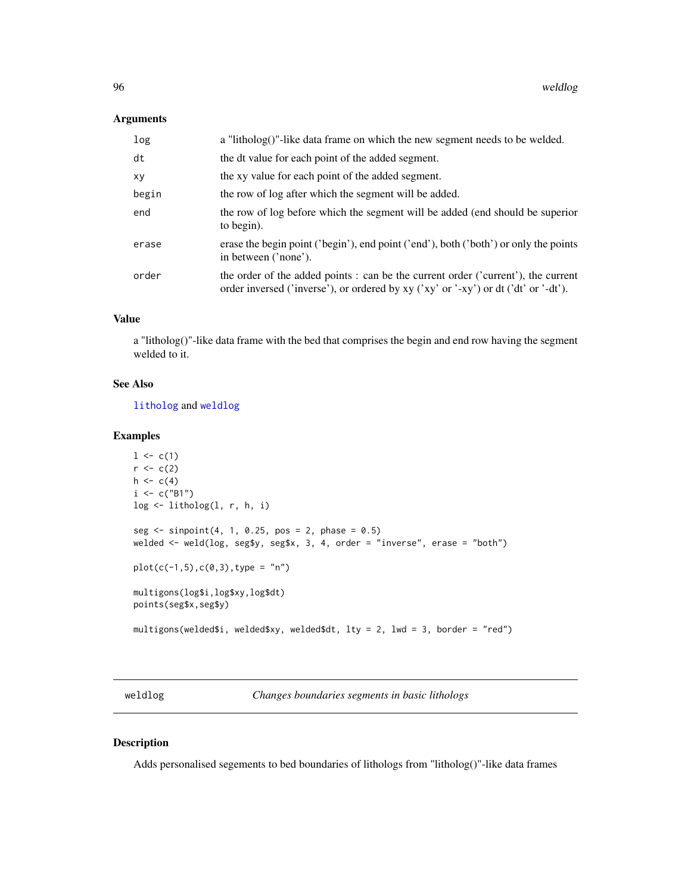#### <span id="page-95-1"></span>Arguments

| log   | a "litholog()"-like data frame on which the new segment needs to be welded.                                                                                              |
|-------|--------------------------------------------------------------------------------------------------------------------------------------------------------------------------|
| dt    | the dt value for each point of the added segment.                                                                                                                        |
| xy    | the xy value for each point of the added segment.                                                                                                                        |
| begin | the row of log after which the segment will be added.                                                                                                                    |
| end   | the row of log before which the segment will be added (end should be superior<br>to begin).                                                                              |
| erase | erase the begin point ('begin'), end point ('end'), both ('both') or only the points<br>in between ('none').                                                             |
| order | the order of the added points : can be the current order ('current'), the current<br>order inversed ('inverse'), or ordered by xy ('xy' or '-xy') or dt ('dt' or '-dt'). |
|       |                                                                                                                                                                          |

# Value

a "litholog()"-like data frame with the bed that comprises the begin and end row having the segment welded to it.

# See Also

[litholog](#page-42-0) and [weldlog](#page-95-0)

#### Examples

```
1 \leftarrow c(1)r < -c(2)h \leq -c(4)i \leq c("B1")log < -1itholog(1, r, h, i)seg \le sinpoint(4, 1, 0.25, pos = 2, phase = 0.5)
welded <- weld(log, seg$y, seg$x, 3, 4, order = "inverse", erase = "both")
plot(c(-1,5),c(0,3),type = "n")multigons(log$i,log$xy,log$dt)
points(seg$x,seg$y)
multigons(welded$i, welded$xy, welded$dt, lty = 2, lwd = 3, border = "red")
```
<span id="page-95-0"></span>weldlog *Changes boundaries segments in basic lithologs*

# Description

Adds personalised segements to bed boundaries of lithologs from "litholog()"-like data frames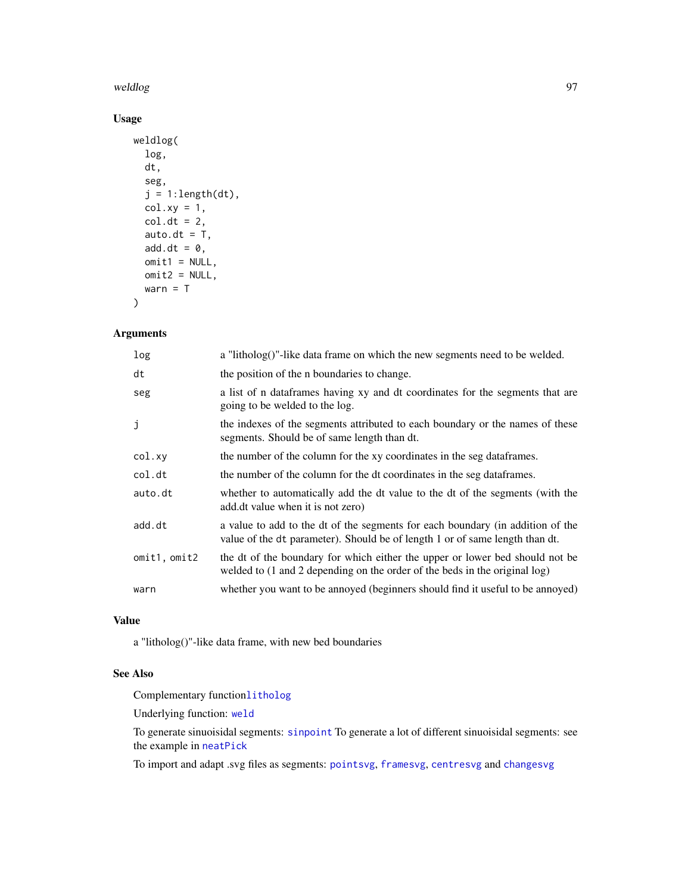#### <span id="page-96-0"></span>weldlog 500 million of the state of the state of the state of the state of the state of the state of the state of the state of the state of the state of the state of the state of the state of the state of the state of the

# Usage

```
weldlog(
  log,
  dt,
  seg,
  j = 1: length(dt),
  colxy = 1,
  col. dt = 2,
  auto.dt = T,
  add.dt = \theta,
  omit1 = NULL,omit2 = NULL,warn = T\mathcal{L}
```
# Arguments

| log          | a "litholog()"-like data frame on which the new segments need to be welded.                                                                                    |
|--------------|----------------------------------------------------------------------------------------------------------------------------------------------------------------|
| dt           | the position of the <i>n</i> boundaries to change.                                                                                                             |
| seg          | a list of n data frames having xy and dt coordinates for the segments that are<br>going to be welded to the log.                                               |
| j            | the indexes of the segments attributed to each boundary or the names of these<br>segments. Should be of same length than dt.                                   |
| col.xy       | the number of the column for the xy coordinates in the seg data frames.                                                                                        |
| col.dt       | the number of the column for the dt coordinates in the seg data frames.                                                                                        |
| auto.dt      | whether to automatically add the dt value to the dt of the segments (with the<br>add.dt value when it is not zero)                                             |
| add.dt       | a value to add to the dt of the segments for each boundary (in addition of the<br>value of the dt parameter). Should be of length 1 or of same length than dt. |
| omit1, omit2 | the dt of the boundary for which either the upper or lower bed should not be<br>welded to (1 and 2 depending on the order of the beds in the original log)     |
| warn         | whether you want to be annoyed (beginners should find it useful to be annoyed)                                                                                 |

#### Value

a "litholog()"-like data frame, with new bed boundaries

# See Also

Complementary function[litholog](#page-42-0)

Underlying function: [weld](#page-94-0)

To generate sinuoisidal segments: [sinpoint](#page-76-0) To generate a lot of different sinuoisidal segments: see the example in [neatPick](#page-53-0)

To import and adapt .svg files as segments: [pointsvg](#page-64-0), [framesvg](#page-31-0), [centresvg](#page-8-0) and [changesvg](#page-11-0)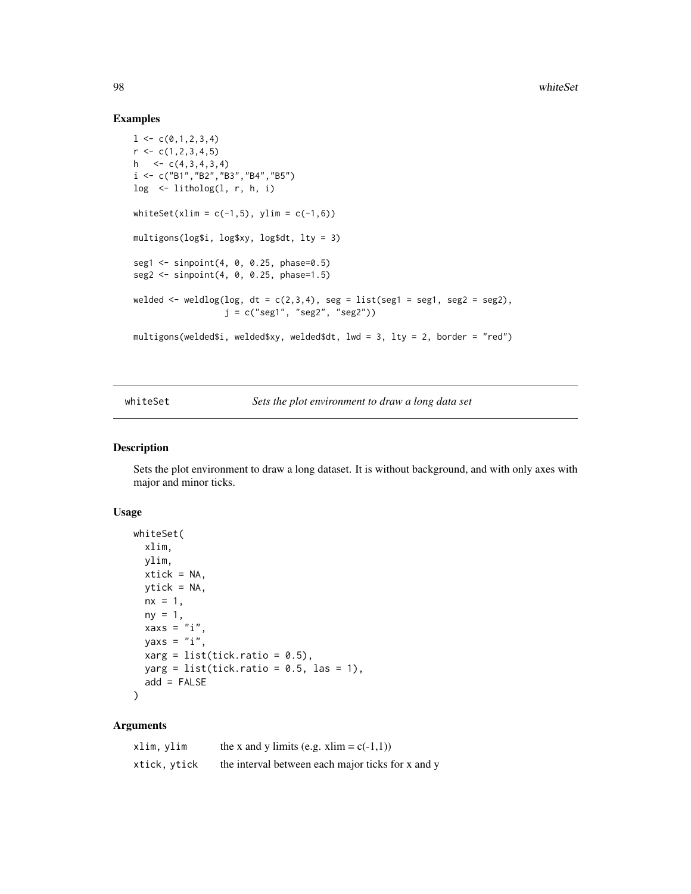#### Examples

```
1 \leftarrow c(0,1,2,3,4)r \leftarrow c(1, 2, 3, 4, 5)h \leq \lfloor C(4,3,4,3,4)i <- c("B1","B2","B3","B4","B5")
log <- litholog(l, r, h, i)
whiteSet(xlim = c(-1,5), ylim = c(-1,6))
multigons(log$i, log$xy, log$dt, lty = 3)
seg1 <- sinpoint(4, 0, 0.25, phase=0.5)
seg2 <- sinpoint(4, 0, 0.25, phase=1.5)
welded <- weldlog(log, dt = c(2,3,4), seg = list(seg1 = seg1, seg2 = seg2),
                   j = c("seg1", "seg2", "seg2"))
multigons(welded$i, welded$xy, welded$dt, lwd = 3, lty = 2, border = "red")
```
whiteSet *Sets the plot environment to draw a long data set*

#### Description

Sets the plot environment to draw a long dataset. It is without background, and with only axes with major and minor ticks.

#### Usage

```
whiteSet(
 xlim,
 ylim,
 xtick = NA,
 ytick = NA,
 nx = 1,
 ny = 1,xaxs = "i",yaxs = "i",xarg = list(tick.ratio = 0.5),
 yarg = list(tick.ratio = 0.5, las = 1),add = FALSE\mathcal{L}
```
# Arguments

| xlim, ylim   | the x and y limits (e.g. xlim = $c(-1,1)$ )       |
|--------------|---------------------------------------------------|
| xtick, ytick | the interval between each major ticks for x and y |

<span id="page-97-0"></span>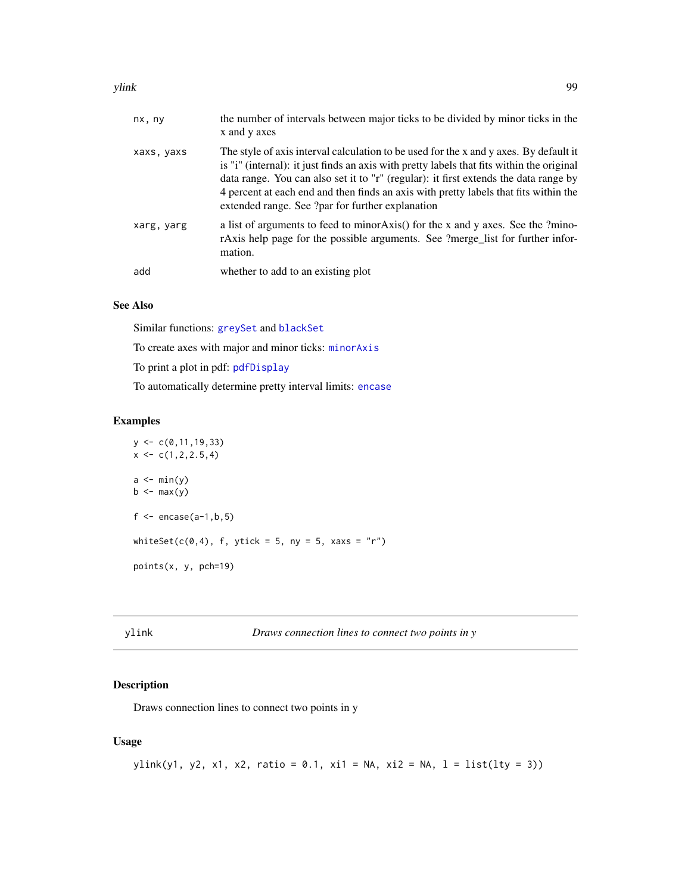#### <span id="page-98-0"></span>ylink the control of the control of the control of the control of the control of the control of the control of the control of the control of the control of the control of the control of the control of the control of the co

| nx, ny     | the number of intervals between major ticks to be divided by minor ticks in the<br>x and y axes                                                                                                                                                                                                                                                                                                                        |
|------------|------------------------------------------------------------------------------------------------------------------------------------------------------------------------------------------------------------------------------------------------------------------------------------------------------------------------------------------------------------------------------------------------------------------------|
| xaxs, yaxs | The style of axis interval calculation to be used for the x and y axes. By default it<br>is "i" (internal): it just finds an axis with pretty labels that fits within the original<br>data range. You can also set it to "r" (regular): it first extends the data range by<br>4 percent at each end and then finds an axis with pretty labels that fits within the<br>extended range. See ?par for further explanation |
| xarg, yarg | a list of arguments to feed to minor Axis() for the x and y axes. See the ?mino-<br>rAxis help page for the possible arguments. See ?merge_list for further infor-<br>mation.                                                                                                                                                                                                                                          |
| add        | whether to add to an existing plot                                                                                                                                                                                                                                                                                                                                                                                     |

# See Also

Similar functions: [greySet](#page-33-0) and [blackSet](#page-6-0)

To create axes with major and minor ticks: [minorAxis](#page-47-0)

To print a plot in pdf: [pdfDisplay](#page-60-0)

To automatically determine pretty interval limits: [encase](#page-23-0)

#### Examples

```
y \leftarrow c(0, 11, 19, 33)x \leftarrow c(1, 2, 2.5, 4)a \leftarrow min(y)b \leq -\max(y)f \leftarrow encase(a-1,b,5)
whiteSet(c(0,4), f, ytick = 5, ny = 5, xaxs = "r")
points(x, y, pch=19)
```
ylink *Draws connection lines to connect two points in y*

# Description

Draws connection lines to connect two points in y

# Usage

```
ylink(y1, y2, x1, x2, ratio = 0.1, x11 = NA, x12 = NA, 1 = list(lty = 3))
```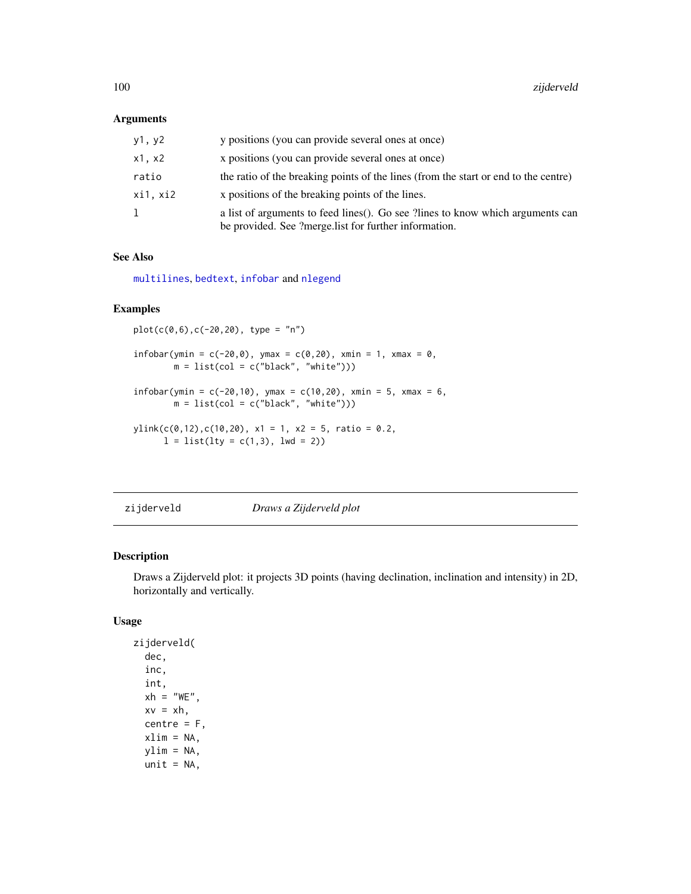#### <span id="page-99-0"></span>Arguments

| y1, y2   | y positions (you can provide several ones at once)                                                                                      |
|----------|-----------------------------------------------------------------------------------------------------------------------------------------|
| x1, x2   | x positions (you can provide several ones at once)                                                                                      |
| ratio    | the ratio of the breaking points of the lines (from the start or end to the centre)                                                     |
| xi1, xi2 | x positions of the breaking points of the lines.                                                                                        |
| ı.       | a list of arguments to feed lines(). Go see ?lines to know which arguments can<br>be provided. See ?merge.list for further information. |

#### See Also

[multilines](#page-52-0), [bedtext](#page-5-0), [infobar](#page-40-0) and [nlegend](#page-58-0)

#### Examples

 $plot(c(\emptyset, 6), c(-2\emptyset, 2\emptyset), type = "n")$  $infobar(ymin = c(-20, 0), ymax = c(0, 20), xmin = 1, xmax = 0,$  $m = list(col = c("black", "white"))$ infobar(ymin =  $c(-20,10)$ , ymax =  $c(10,20)$ , xmin = 5, xmax = 6,  $m = list(col = c("black", "white"))$  $ylink(c(0, 12), c(10, 20), x1 = 1, x2 = 5, ratio = 0.2,$  $l = list(lty = c(1,3), lwd = 2))$ 

zijderveld *Draws a Zijderveld plot*

### Description

Draws a Zijderveld plot: it projects 3D points (having declination, inclination and intensity) in 2D, horizontally and vertically.

#### Usage

zijderveld( dec, inc, int,  $xh = "WE".$  $xy = xh$ , centre  $=$   $F$ , xlim = NA, ylim = NA,  $unit = NA$ ,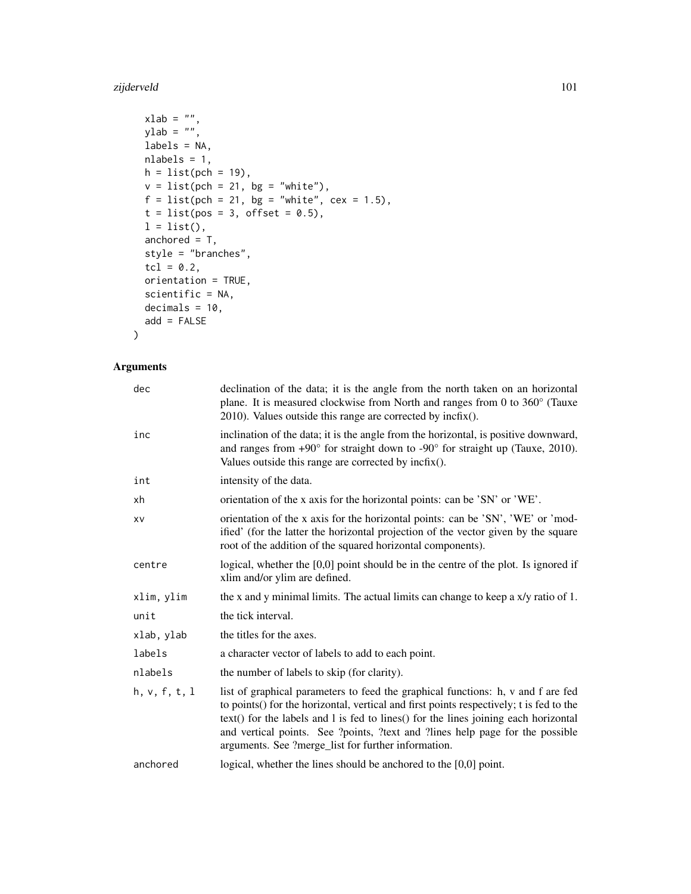#### zijderveld 101

```
xlab = ",
ylab = "",labels = NA,
nlabels = 1,
h = list(pch = 19),
v = list(pch = 21, bg = "white"),f = list(pch = 21, bg = "white", cex = 1.5),
t = list(pos = 3, offset = 0.5),
l = list(),anchored = T,
style = "branches",
tcl = 0.2,
orientation = TRUE,
scientific = NA,
decimals = 10,
add = FALSE
```
# Arguments

 $\mathcal{L}$ 

| dec           | declination of the data; it is the angle from the north taken on an horizontal<br>plane. It is measured clockwise from North and ranges from 0 to 360° (Tauxe<br>$2010$ ). Values outside this range are corrected by incfix().                                                                                                                                                                            |
|---------------|------------------------------------------------------------------------------------------------------------------------------------------------------------------------------------------------------------------------------------------------------------------------------------------------------------------------------------------------------------------------------------------------------------|
| inc           | inclination of the data; it is the angle from the horizontal, is positive downward,<br>and ranges from $+90^{\circ}$ for straight down to $-90^{\circ}$ for straight up (Tauxe, 2010).<br>Values outside this range are corrected by incfix().                                                                                                                                                             |
| int           | intensity of the data.                                                                                                                                                                                                                                                                                                                                                                                     |
| xh            | orientation of the x axis for the horizontal points: can be 'SN' or 'WE'.                                                                                                                                                                                                                                                                                                                                  |
| XV            | orientation of the x axis for the horizontal points: can be 'SN', 'WE' or 'mod-<br>ified' (for the latter the horizontal projection of the vector given by the square<br>root of the addition of the squared horizontal components).                                                                                                                                                                       |
| centre        | logical, whether the $[0,0]$ point should be in the centre of the plot. Is ignored if<br>xlim and/or ylim are defined.                                                                                                                                                                                                                                                                                     |
| xlim, ylim    | the x and y minimal limits. The actual limits can change to keep a x/y ratio of 1.                                                                                                                                                                                                                                                                                                                         |
| unit          | the tick interval.                                                                                                                                                                                                                                                                                                                                                                                         |
| xlab, ylab    | the titles for the axes.                                                                                                                                                                                                                                                                                                                                                                                   |
| labels        | a character vector of labels to add to each point.                                                                                                                                                                                                                                                                                                                                                         |
| nlabels       | the number of labels to skip (for clarity).                                                                                                                                                                                                                                                                                                                                                                |
| h, v, f, t, l | list of graphical parameters to feed the graphical functions: h, v and f are fed<br>to points() for the horizontal, vertical and first points respectively; t is fed to the<br>text() for the labels and l is fed to lines() for the lines joining each horizontal<br>and vertical points. See ?points, ?text and ?lines help page for the possible<br>arguments. See ?merge_list for further information. |
| anchored      | logical, whether the lines should be anchored to the $[0,0]$ point.                                                                                                                                                                                                                                                                                                                                        |
|               |                                                                                                                                                                                                                                                                                                                                                                                                            |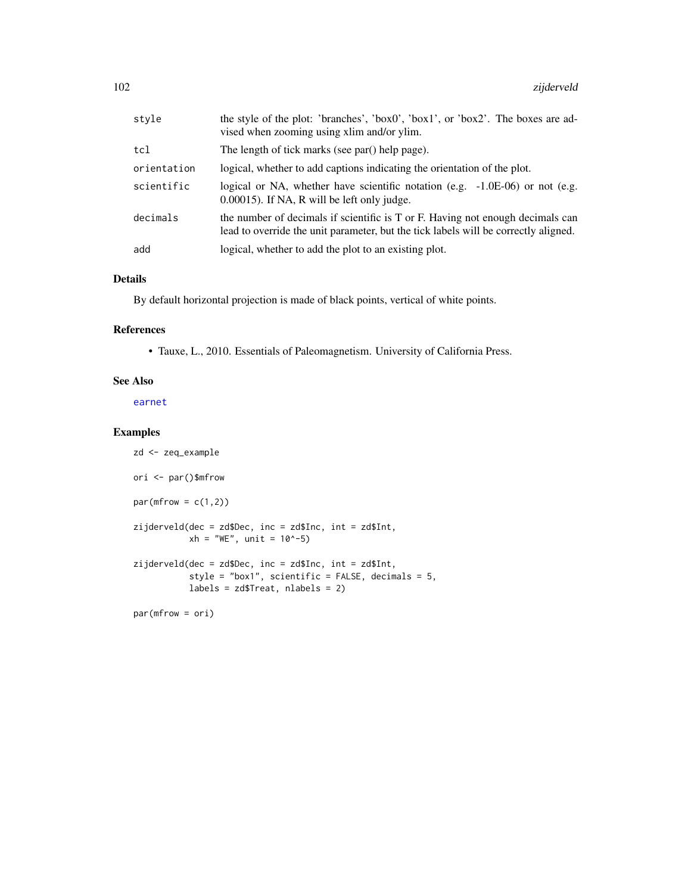<span id="page-101-0"></span>

| style       | the style of the plot: 'branches', 'box0', 'box1', or 'box2'. The boxes are ad-<br>vised when zooming using xlim and/or ylim.                                         |
|-------------|-----------------------------------------------------------------------------------------------------------------------------------------------------------------------|
| tcl         | The length of tick marks (see par() help page).                                                                                                                       |
| orientation | logical, whether to add captions indicating the orientation of the plot.                                                                                              |
| scientific  | logical or NA, whether have scientific notation (e.g. $-1.0E-06$ ) or not (e.g.<br>$0.00015$ ). If NA, R will be left only judge.                                     |
| decimals    | the number of decimals if scientific is T or F. Having not enough decimals can<br>lead to override the unit parameter, but the tick labels will be correctly aligned. |
| add         | logical, whether to add the plot to an existing plot.                                                                                                                 |

# Details

By default horizontal projection is made of black points, vertical of white points.

# References

• Tauxe, L., 2010. Essentials of Paleomagnetism. University of California Press.

#### See Also

[earnet](#page-18-0)

```
zd <- zeq_example
ori <- par()$mfrow
par(mfrow = c(1,2))zijderveld(dec = zd$Dec, inc = zd$Inc, int = zd$Int,
           xh = "WE", unit = 10^(-5)zijderveld(dec = zd$Dec, inc = zd$Inc, int = zd$Int,
           style = "box1", scientific = FALSE, decimals = 5,
           labels = zd$Treat, nlabels = 2)
par(mfrow = ori)
```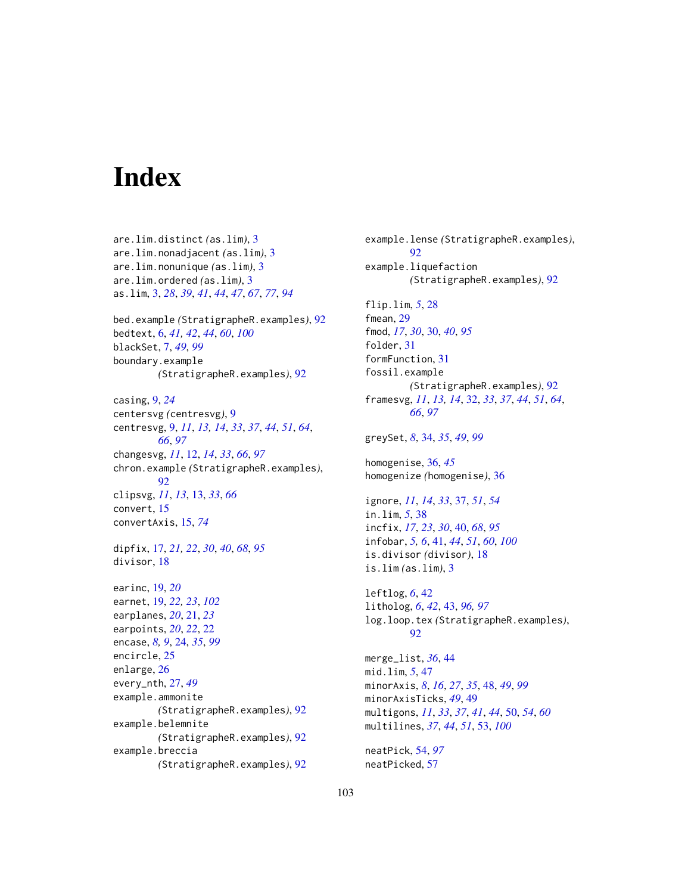# Index

are.lim.distinct *(*as.lim*)*, [3](#page-2-1) are.lim.nonadjacent *(*as.lim*)*, [3](#page-2-1) are.lim.nonunique *(*as.lim*)*, [3](#page-2-1) are.lim.ordered *(*as.lim*)*, [3](#page-2-1) as.lim, [3,](#page-2-1) *[28](#page-27-0)*, *[39](#page-38-0)*, *[41](#page-40-1)*, *[44](#page-43-0)*, *[47](#page-46-0)*, *[67](#page-66-0)*, *[77](#page-76-1)*, *[94](#page-93-0)* bed.example *(*StratigrapheR.examples*)*, [92](#page-91-0) bedtext, [6,](#page-5-1) *[41,](#page-40-1) [42](#page-41-0)*, *[44](#page-43-0)*, *[60](#page-59-0)*, *[100](#page-99-0)* blackSet, [7,](#page-6-1) *[49](#page-48-0)*, *[99](#page-98-0)* boundary.example *(*StratigrapheR.examples*)*, [92](#page-91-0) casing, [9,](#page-8-1) *[24](#page-23-1)* centersvg *(*centresvg*)*, [9](#page-8-1) centresvg, [9,](#page-8-1) *[11](#page-10-0)*, *[13,](#page-12-0) [14](#page-13-0)*, *[33](#page-32-0)*, *[37](#page-36-0)*, *[44](#page-43-0)*, *[51](#page-50-0)*, *[64](#page-63-0)*, *[66](#page-65-0)*, *[97](#page-96-0)* changesvg, *[11](#page-10-0)*, [12,](#page-11-1) *[14](#page-13-0)*, *[33](#page-32-0)*, *[66](#page-65-0)*, *[97](#page-96-0)* chron.example *(*StratigrapheR.examples*)*, [92](#page-91-0) clipsvg, *[11](#page-10-0)*, *[13](#page-12-0)*, [13,](#page-12-0) *[33](#page-32-0)*, *[66](#page-65-0)* convert, [15](#page-14-1) convertAxis, [15,](#page-14-1) *[74](#page-73-0)* dipfix, [17,](#page-16-1) *[21,](#page-20-0) [22](#page-21-0)*, *[30](#page-29-1)*, *[40](#page-39-1)*, *[68](#page-67-0)*, *[95](#page-94-1)* divisor, [18](#page-17-0) earinc, [19,](#page-18-1) *[20](#page-19-0)* earnet, [19,](#page-18-1) *[22,](#page-21-0) [23](#page-22-0)*, *[102](#page-101-0)* earplanes, *[20](#page-19-0)*, [21,](#page-20-0) *[23](#page-22-0)* earpoints, *[20](#page-19-0)*, *[22](#page-21-0)*, [22](#page-21-0) encase, *[8,](#page-7-0) [9](#page-8-1)*, [24,](#page-23-1) *[35](#page-34-0)*, *[99](#page-98-0)* encircle, [25](#page-24-0) enlarge, [26](#page-25-0) every\_nth, [27,](#page-26-0) *[49](#page-48-0)* example.ammonite *(*StratigrapheR.examples*)*, [92](#page-91-0) example.belemnite *(*StratigrapheR.examples*)*, [92](#page-91-0) example.breccia *(*StratigrapheR.examples*)*, [92](#page-91-0)

example.lense *(*StratigrapheR.examples*)*, [92](#page-91-0) example.liquefaction *(*StratigrapheR.examples*)*, [92](#page-91-0) flip.lim, *[5](#page-4-0)*, [28](#page-27-0) fmean, [29](#page-28-0) fmod, *[17](#page-16-1)*, *[30](#page-29-1)*, [30,](#page-29-1) *[40](#page-39-1)*, *[95](#page-94-1)* folder, [31](#page-30-0) formFunction, [31](#page-30-0) fossil.example *(*StratigrapheR.examples*)*, [92](#page-91-0) framesvg, *[11](#page-10-0)*, *[13,](#page-12-0) [14](#page-13-0)*, [32,](#page-31-1) *[33](#page-32-0)*, *[37](#page-36-0)*, *[44](#page-43-0)*, *[51](#page-50-0)*, *[64](#page-63-0)*, *[66](#page-65-0)*, *[97](#page-96-0)* greySet, *[8](#page-7-0)*, [34,](#page-33-1) *[35](#page-34-0)*, *[49](#page-48-0)*, *[99](#page-98-0)* homogenise, [36,](#page-35-0) *[45](#page-44-0)* homogenize *(*homogenise*)*, [36](#page-35-0) ignore, *[11](#page-10-0)*, *[14](#page-13-0)*, *[33](#page-32-0)*, [37,](#page-36-0) *[51](#page-50-0)*, *[54](#page-53-1)* in.lim, *[5](#page-4-0)*, [38](#page-37-0) incfix, *[17](#page-16-1)*, *[23](#page-22-0)*, *[30](#page-29-1)*, [40,](#page-39-1) *[68](#page-67-0)*, *[95](#page-94-1)* infobar, *[5,](#page-4-0) [6](#page-5-1)*, [41,](#page-40-1) *[44](#page-43-0)*, *[51](#page-50-0)*, *[60](#page-59-0)*, *[100](#page-99-0)* is.divisor *(*divisor*)*, [18](#page-17-0) is.lim *(*as.lim*)*, [3](#page-2-1) leftlog, *[6](#page-5-1)*, [42](#page-41-0) litholog, *[6](#page-5-1)*, *[42](#page-41-0)*, [43,](#page-42-1) *[96,](#page-95-1) [97](#page-96-0)* log.loop.tex *(*StratigrapheR.examples*)*, [92](#page-91-0) merge\_list, *[36](#page-35-0)*, [44](#page-43-0) mid.lim, *[5](#page-4-0)*, [47](#page-46-0) minorAxis, *[8](#page-7-0)*, *[16](#page-15-0)*, *[27](#page-26-0)*, *[35](#page-34-0)*, [48,](#page-47-1) *[49](#page-48-0)*, *[99](#page-98-0)* minorAxisTicks, *[49](#page-48-0)*, [49](#page-48-0) multigons, *[11](#page-10-0)*, *[33](#page-32-0)*, *[37](#page-36-0)*, *[41](#page-40-1)*, *[44](#page-43-0)*, [50,](#page-49-0) *[54](#page-53-1)*, *[60](#page-59-0)* multilines, *[37](#page-36-0)*, *[44](#page-43-0)*, *[51](#page-50-0)*, [53,](#page-52-1) *[100](#page-99-0)* neatPick, [54,](#page-53-1) *[97](#page-96-0)* neatPicked, [57](#page-56-0)